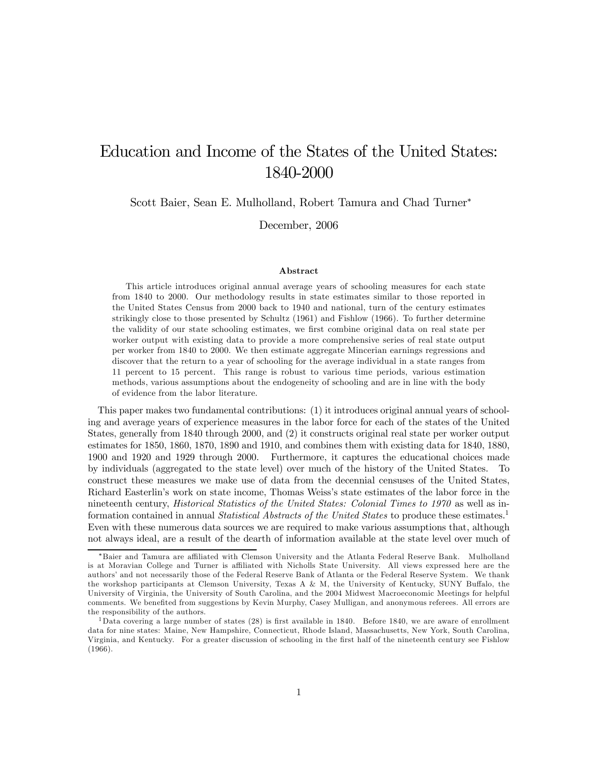# Education and Income of the States of the United States: 1840-2000

Scott Baier, Sean E. Mulholland, Robert Tamura and Chad Turner<sup>∗</sup>

December, 2006

#### Abstract

This article introduces original annual average years of schooling measures for each state from 1840 to 2000. Our methodology results in state estimates similar to those reported in the United States Census from 2000 back to 1940 and national, turn of the century estimates strikingly close to those presented by Schultz (1961) and Fishlow (1966). To further determine the validity of our state schooling estimates, we first combine original data on real state per worker output with existing data to provide a more comprehensive series of real state output per worker from 1840 to 2000. We then estimate aggregate Mincerian earnings regressions and discover that the return to a year of schooling for the average individual in a state ranges from 11 percent to 15 percent. This range is robust to various time periods, various estimation methods, various assumptions about the endogeneity of schooling and are in line with the body of evidence from the labor literature.

This paper makes two fundamental contributions: (1) it introduces original annual years of schooling and average years of experience measures in the labor force for each of the states of the United States, generally from 1840 through 2000, and (2) it constructs original real state per worker output estimates for 1850, 1860, 1870, 1890 and 1910, and combines them with existing data for 1840, 1880, 1900 and 1920 and 1929 through 2000. Furthermore, it captures the educational choices made by individuals (aggregated to the state level) over much of the history of the United States. To construct these measures we make use of data from the decennial censuses of the United States, Richard Easterlin's work on state income, Thomas Weiss's state estimates of the labor force in the nineteenth century, *Historical Statistics of the United States: Colonial Times to 1970* as well as information contained in annual *Statistical Abstracts of the United States* to produce these estimates.<sup>1</sup> Even with these numerous data sources we are required to make various assumptions that, although not always ideal, are a result of the dearth of information available at the state level over much of

<sup>∗</sup>Baier and Tamura are affiliated with Clemson University and the Atlanta Federal Reserve Bank. Mulholland is at Moravian College and Turner is affiliated with Nicholls State University. All views expressed here are the authors' and not necessarily those of the Federal Reserve Bank of Atlanta or the Federal Reserve System. We thank the workshop participants at Clemson University, Texas A & M, the University of Kentucky, SUNY Buffalo, the University of Virginia, the University of South Carolina, and the 2004 Midwest Macroeconomic Meetings for helpful comments. We benefited from suggestions by Kevin Murphy, Casey Mulligan, and anonymous referees. All errors are the responsibility of the authors.

<sup>&</sup>lt;sup>1</sup>Data covering a large number of states  $(28)$  is first available in 1840. Before 1840, we are aware of enrollment data for nine states: Maine, New Hampshire, Connecticut, Rhode Island, Massachusetts, New York, South Carolina, Virginia, and Kentucky. For a greater discussion of schooling in the first half of the nineteenth century see Fishlow (1966).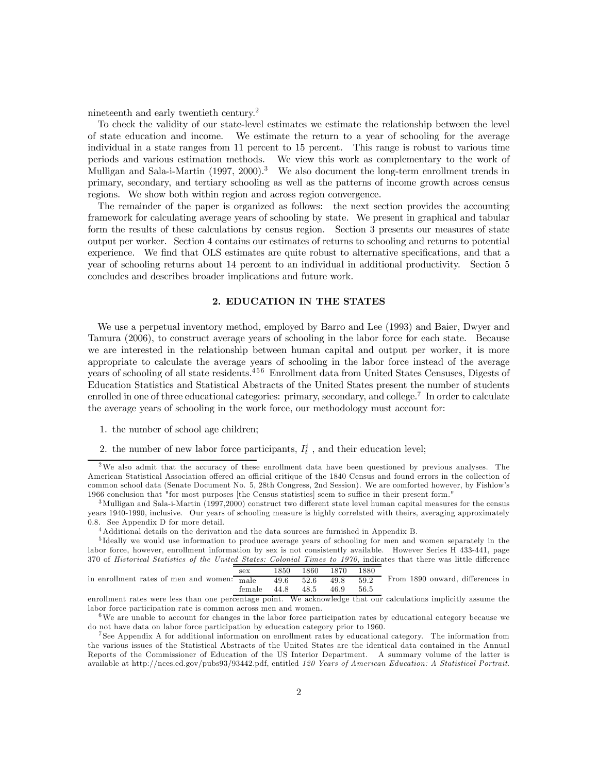nineteenth and early twentieth century.<sup>2</sup>

To check the validity of our state-level estimates we estimate the relationship between the level of state education and income. We estimate the return to a year of schooling for the average individual in a state ranges from 11 percent to 15 percent. This range is robust to various time periods and various estimation methods. We view this work as complementary to the work of Mulligan and Sala-i-Martin (1997, 2000).<sup>3</sup> We also document the long-term enrollment trends in primary, secondary, and tertiary schooling as well as the patterns of income growth across census regions. We show both within region and across region convergence.

The remainder of the paper is organized as follows: the next section provides the accounting framework for calculating average years of schooling by state. We present in graphical and tabular form the results of these calculations by census region. Section 3 presents our measures of state output per worker. Section 4 contains our estimates of returns to schooling and returns to potential experience. We find that OLS estimates are quite robust to alternative specifications, and that a year of schooling returns about 14 percent to an individual in additional productivity. Section 5 concludes and describes broader implications and future work.

#### 2. EDUCATION IN THE STATES

We use a perpetual inventory method, employed by Barro and Lee (1993) and Baier, Dwyer and Tamura (2006), to construct average years of schooling in the labor force for each state. Because we are interested in the relationship between human capital and output per worker, it is more appropriate to calculate the average years of schooling in the labor force instead of the average years of schooling of all state residents.<sup>456</sup> Enrollment data from United States Censuses, Digests of Education Statistics and Statistical Abstracts of the United States present the number of students enrolled in one of three educational categories: primary, secondary, and college.<sup>7</sup> In order to calculate the average years of schooling in the work force, our methodology must account for:

- 1. the number of school age children;
- 2. the number of new labor force participants,  $I_t^i$ , and their education level;

<sup>2</sup>We also admit that the accuracy of these enrollment data have been questioned by previous analyses. The American Statistical Association offered an official critique of the 1840 Census and found errors in the collection of common school data (Senate Document No. 5, 28th Congress, 2nd Session). We are comforted however, by Fishlow's 1966 conclusion that "for most purposes [the Census statistics] seem to suffice in their present form."

<sup>3</sup>Mulligan and Sala-i-Martin (1997,2000) construct two different state level human capital measures for the census years 1940-1990, inclusive. Our years of schooling measure is highly correlated with theirs, averaging approximately 0.8. See Appendix D for more detail.

<sup>&</sup>lt;sup>4</sup> Additional details on the derivation and the data sources are furnished in Appendix B.

<sup>5</sup> Ideally we would use information to produce average years of schooling for men and women separately in the labor force, however, enrollment information by sex is not consistently available. However Series H 433-441, page 370 of Historical Statistics of the United States: Colonial Times to 1970, indicates that there was little difference sex 1850 1860 1870 1880

in enrollment rates of men and women:  $_{\text{male}}$  49.6  $52.6$  49.8  $59.2$ female 44.8 48.5 46.9 56.5 From 1890 onward, differences in

enrollment rates were less than one percentage point. We acknowledge that our calculations implicitly assume the labor force participation rate is common across men and women.

<sup>6</sup>We are unable to account for changes in the labor force participation rates by educational category because we do not have data on labor force participation by education category prior to 1960.

<sup>7</sup> See Appendix A for additional information on enrollment rates by educational category. The information from the various issues of the Statistical Abstracts of the United States are the identical data contained in the Annual Reports of the Commissioner of Education of the US Interior Department. A summary volume of the latter is available at http://nces.ed.gov/pubs93/93442.pdf, entitled 120 Years of American Education: A Statistical Portrait.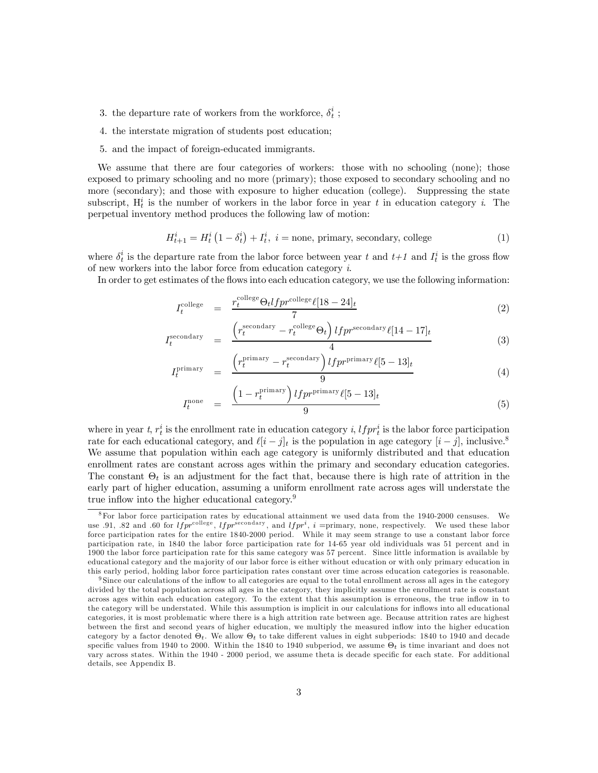- 3. the departure rate of workers from the workforce,  $\delta^i_t$  ;
- 4. the interstate migration of students post education;
- 5. and the impact of foreign-educated immigrants.

We assume that there are four categories of workers: those with no schooling (none); those exposed to primary schooling and no more (primary); those exposed to secondary schooling and no more (secondary); and those with exposure to higher education (college). Suppressing the state subscript,  $H_t^i$  is the number of workers in the labor force in year t in education category i. The perpetual inventory method produces the following law of motion:

$$
H_{t+1}^{i} = H_{t}^{i} \left(1 - \delta_{t}^{i}\right) + I_{t}^{i}, \ i = \text{none, primary, secondary, college} \tag{1}
$$

where  $\delta_t^i$  is the departure rate from the labor force between year t and  $t+1$  and  $I_t^i$  is the gross flow of new workers into the labor force from education category i.

In order to get estimates of the flows into each education category, we use the following information:

$$
I_t^{\text{college}} = \frac{r_t^{\text{college}} \Theta_t l f p r^{\text{college}} \ell [18 - 24]_t}{7}
$$
\n
$$
(2)
$$

$$
I_t^{\text{secondary}} = \frac{\left(r_t^{\text{secondary}} - r_t^{\text{collect}} \Theta_t\right) l f p r^{\text{secondary}} \ell [14-17]_t}{4} \tag{3}
$$

$$
I_t^{\text{primary}} = \frac{\left(r_t^{\text{primary}} - r_t^{\text{secondary}}\right) l f p r^{\text{primary}} \ell [5 - 13]_t}{9} \tag{4}
$$

$$
I_t^{\text{none}} = \frac{\left(1 - r_t^{\text{primary}}\right) l f p r^{\text{primary}} \ell [5 - 13]_t}{9} \tag{5}
$$

where in year t,  $r_t^i$  is the enrollment rate in education category i,  $l f p r_t^i$  is the labor force participation rate for each educational category, and  $\ell[i-j]_t$  is the population in age category  $[i-j]$ , inclusive.<sup>8</sup> We assume that population within each age category is uniformly distributed and that education enrollment rates are constant across ages within the primary and secondary education categories. The constant  $\Theta_t$  is an adjustment for the fact that, because there is high rate of attrition in the early part of higher education, assuming a uniform enrollment rate across ages will understate the true inflow into the higher educational category.<sup>9</sup>

<sup>8</sup>For labor force participation rates by educational attainment we used data from the 1940-2000 censuses. We use .91, .82 and .60 for  $lfp^{re0 \text{lege}}$ ,  $lfp^{reco0 \text{day}}$ , and  $lfp^{i}$ , i =primary, none, respectively. We used these labor force participation rates for the entire 1840-2000 period. While it may seem strange to use a constant labor force participation rate, in 1840 the labor force participation rate for 14-65 year old individuals was 51 percent and in 1900 the labor force participation rate for this same category was 57 percent. Since little information is available by educational category and the ma jority of our labor force is either without education or with only primary education in this early period, holding labor force participation rates constant over time across education categories is reasonable.

<sup>&</sup>lt;sup>9</sup> Since our calculations of the inflow to all categories are equal to the total enrollment across all ages in the category divided by the total population across all ages in the category, they implicitly assume the enrollment rate is constant across ages within each education category. To the extent that this assumption is erroneous, the true inflow in to the category will be understated. While this assumption is implicit in our calculations for inflows into all educational categories, it is most problematic where there is a high attrition rate between age. Because attrition rates are highest between the first and second years of higher education, we multiply the measured inflow into the higher education category by a factor denoted  $\Theta_t$ . We allow  $\Theta_t$  to take different values in eight subperiods: 1840 to 1940 and decade specific values from 1940 to 2000. Within the 1840 to 1940 subperiod, we assume  $\Theta_t$  is time invariant and does not vary across states. Within the 1940 - 2000 period, we assume theta is decade specific for each state. For additional details, see Appendix B.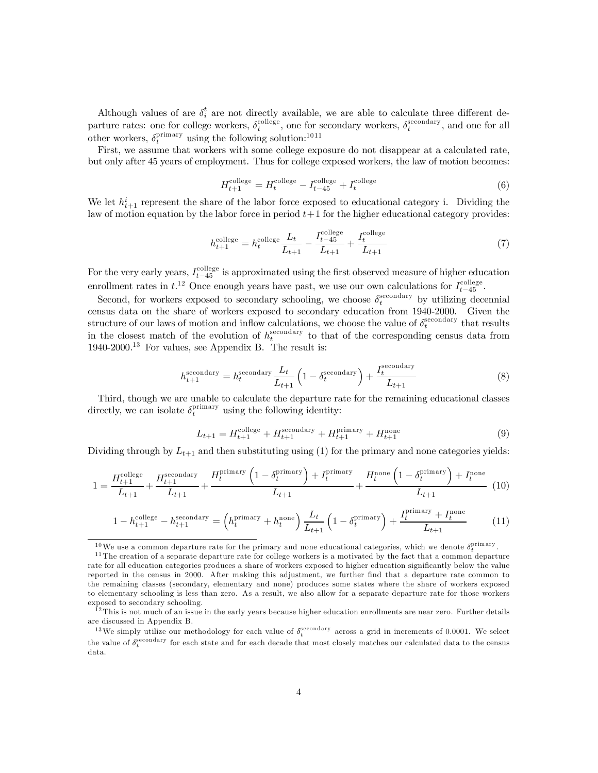Although values of are  $\delta_i^t$  are not directly available, we are able to calculate three different departure rates: one for college workers,  $\delta_t^{\text{collect}}$ , one for secondary workers,  $\delta_t^{\text{secondary}}$ , and one for all other workers,  $\delta_t^{\text{primary}}$  using the following solution:<sup>1011</sup>

First, we assume that workers with some college exposure do not disappear at a calculated rate, but only after 45 years of employment. Thus for college exposed workers, the law of motion becomes:

$$
H_{t+1}^{\text{college}} = H_t^{\text{college}} - I_{t-45}^{\text{college}} + I_t^{\text{college}} \tag{6}
$$

We let  $h_{t+1}^i$  represent the share of the labor force exposed to educational category i. Dividing the law of motion equation by the labor force in period  $t+1$  for the higher educational category provides:

$$
h_{t+1}^{\text{collapse}} = h_t^{\text{collapse}} \frac{L_t}{L_{t+1}} - \frac{I_{t-45}^{\text{collapse}}}{L_{t+1}} + \frac{I_t^{\text{collapse}}}{L_{t+1}}
$$
(7)

For the very early years,  $I_{t-45}^{\text{collect}}$  is approximated using the first observed measure of higher education enrollment rates in  $t^{12}$  Once enough years have past, we use our own calculations for  $I_{t-45}^{\text{collapse}}$ .

Second, for workers exposed to secondary schooling, we choose  $\delta_t^{\text{secondary}}$  by utilizing decennial census data on the share of workers exposed to secondary education from 1940-2000. Given the structure of our laws of motion and inflow calculations, we choose the value of  $\delta_t^{\text{secondary}}$  that results in the closest match of the evolution of  $h_t^{\text{secondary}}$  to that of the corresponding census data from 1940-2000.<sup>13</sup> For values, see Appendix B. The result is:

$$
h_{t+1}^{\text{secondary}} = h_t^{\text{secondary}} \frac{L_t}{L_{t+1}} \left( 1 - \delta_t^{\text{secondary}} \right) + \frac{I_t^{\text{secondary}}}{L_{t+1}} \tag{8}
$$

Third, though we are unable to calculate the departure rate for the remaining educational classes directly, we can isolate  $\delta_t^{\text{primary}}$  using the following identity:

$$
L_{t+1} = H_{t+1}^{\text{college}} + H_{t+1}^{\text{secondary}} + H_{t+1}^{\text{primary}} + H_{t+1}^{\text{none}}
$$
\n(9)

Dividing through by  $L_{t+1}$  and then substituting using (1) for the primary and none categories yields:

$$
1 = \frac{H_{t+1}^{\text{college}}}{L_{t+1}} + \frac{H_{t+1}^{\text{secondary}}}{L_{t+1}} + \frac{H_t^{\text{primary}}\left(1 - \delta_t^{\text{primary}}\right) + I_t^{\text{primary}}}{L_{t+1}} + \frac{H_t^{\text{none}}\left(1 - \delta_t^{\text{primary}}\right) + I_t^{\text{none}}}{L_{t+1}} \tag{10}
$$

$$
1 - h_{t+1}^{\text{collect}} - h_{t+1}^{\text{secondary}} = \left( h_t^{\text{primary}} + h_t^{\text{none}} \right) \frac{L_t}{L_{t+1}} \left( 1 - \delta_t^{\text{primary}} \right) + \frac{I_t^{\text{primary}} + I_t^{\text{none}}}{L_{t+1}} \tag{11}
$$

<sup>&</sup>lt;sup>10</sup>We use a common departure rate for the primary and none educational categories, which we denote  $\delta_t^{\text{primary}}$ .

 $11$  The creation of a separate departure rate for college workers is a motivated by the fact that a common departure rate for all education categories produces a share of workers exposed to higher education significantly below the value reported in the census in 2000. After making this adjustment, we further find that a departure rate common to the remaining classes (secondary, elementary and none) produces some states where the share of workers exposed to elementary schooling is less than zero. As a result, we also allow for a separate departure rate for those workers exposed to secondary schooling.

<sup>&</sup>lt;sup>12</sup>This is not much of an issue in the early years because higher education enrollments are near zero. Further details are discussed in Appendix B.

<sup>&</sup>lt;sup>13</sup>We simply utilize our methodology for each value of  $\delta_t^{\text{secondary}}$  across a grid in increments of 0.0001. We select the value of  $\delta_t^{\rm secondary}$  for each state and for each decade that most closely matches our calculated data to the census data.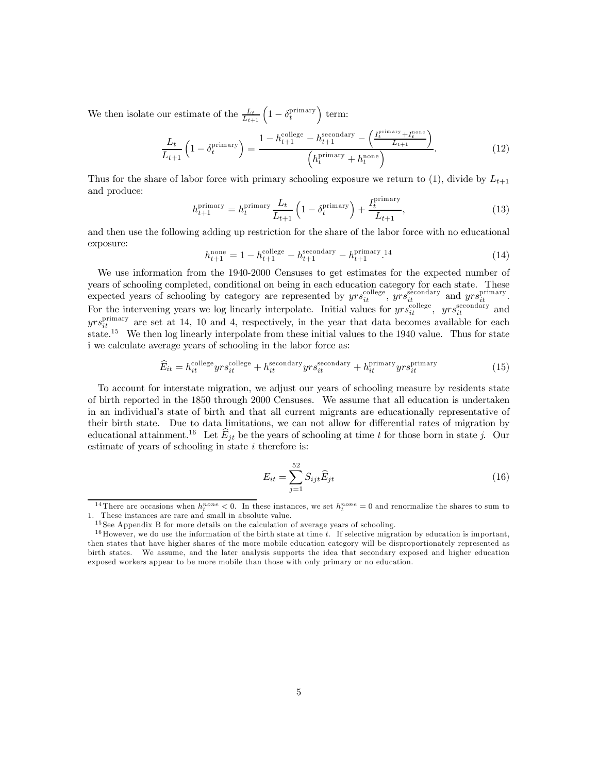We then isolate our estimate of the  $\frac{L_t}{L_{t+1}}\left(1-\delta_t^{\text{primary}}\right)$  term:

$$
\frac{L_t}{L_{t+1}} \left( 1 - \delta_t^{\text{primary}} \right) = \frac{1 - h_{t+1}^{\text{college}} - h_{t+1}^{\text{secondary}} - \left( \frac{I_t^{\text{primary}} + I_t^{\text{none}}}{L_{t+1}} \right)}{\left( h_t^{\text{primary}} + h_t^{\text{none}} \right)}.
$$
\n(12)

Thus for the share of labor force with primary schooling exposure we return to (1), divide by  $L_{t+1}$ and produce:

$$
h_{t+1}^{\text{primary}} = h_t^{\text{primary}} \frac{L_t}{L_{t+1}} \left( 1 - \delta_t^{\text{primary}} \right) + \frac{I_t^{\text{primary}}}{L_{t+1}},\tag{13}
$$

and then use the following adding up restriction for the share of the labor force with no educational exposure:

$$
h_{t+1}^{\text{none}} = 1 - h_{t+1}^{\text{collapse}} - h_{t+1}^{\text{secondary}} - h_{t+1}^{\text{primary}}.
$$
 (14)

We use information from the 1940-2000 Censuses to get estimates for the expected number of years of schooling completed, conditional on being in each education category for each state. These expected years of schooling by category are represented by  $yrs_{it}^{\text{collect}}$ ,  $yrs_{it}^{\text{secondary}}$  and  $yrs_{it}^{\text{primary}}$ . For the intervening years we log linearly interpolate. Initial values for  $yrs_{it}^{\text{collect}}$ ,  $yrs_{it}^{\text{secondary}}$  and  $yrs_{it}^{\text{primary}}$  are set at 14, 10 and 4, respectively, in the year that data becomes available for each state.<sup>15</sup> We then log linearly interpolate from these initial values to the 1940 value. Thus for state i we calculate average years of schooling in the labor force as:

$$
\widehat{E}_{it} = h_{it}^{\text{college}} y r s_{it}^{\text{college}} + h_{it}^{\text{secondary}} y r s_{it}^{\text{secondary}} + h_{it}^{\text{primary}} y r s_{it}^{\text{primary}}
$$
\n(15)

To account for interstate migration, we adjust our years of schooling measure by residents state of birth reported in the 1850 through 2000 Censuses. We assume that all education is undertaken in an individual's state of birth and that all current migrants are educationally representative of their birth state. Due to data limitations, we can not allow for differential rates of migration by educational attainment.<sup>16</sup> Let  $\widehat{E}_{jt}$  be the years of schooling at time t for those born in state j. Our estimate of years of schooling in state  $i$  therefore is:

$$
E_{it} = \sum_{j=1}^{52} S_{ijt} \hat{E}_{jt}
$$
 (16)

<sup>&</sup>lt;sup>14</sup>There are occasions when  $h_t^{none} < 0$ . In these instances, we set  $h_t^{none} = 0$  and renormalize the shares to sum to 1. These instances are rare and small in absolute value.

 $^{15}\mathrm{See}$  Appendix B for more details on the calculation of average years of schooling.

 $16$  However, we do use the information of the birth state at time t. If selective migration by education is important, then states that have higher shares of the more mobile education category will be disproportionately represented as birth states. We assume, and the later analysis supports the idea that secondary exposed and higher education exposed workers appear to be more mobile than those with only primary or no education.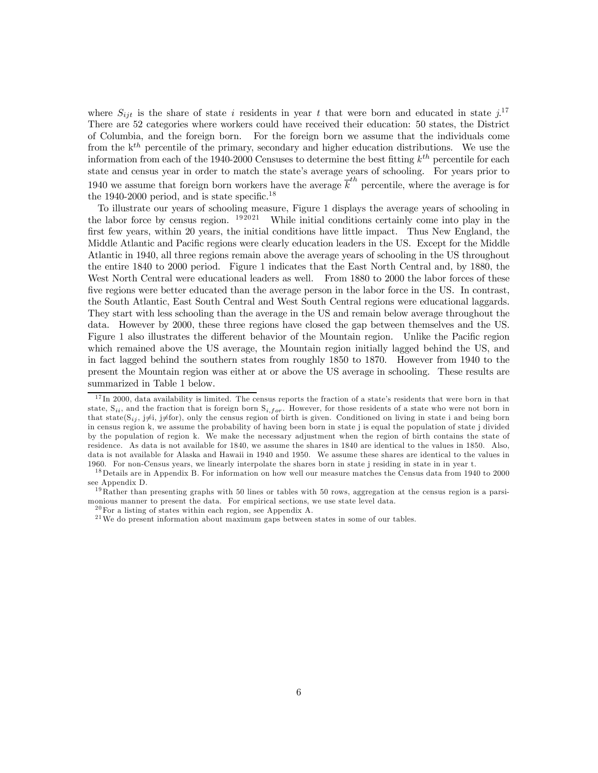where  $S_{ijt}$  is the share of state i residents in year t that were born and educated in state  $j$ <sup>17</sup> There are 52 categories where workers could have received their education: 50 states, the District of Columbia, and the foreign born. For the foreign born we assume that the individuals come from the  $k^{th}$  percentile of the primary, secondary and higher education distributions. We use the information from each of the 1940-2000 Censuses to determine the best fitting  $k^{th}$  percentile for each state and census year in order to match the state's average years of schooling. For years prior to 1940 we assume that foreign born workers have the average  $\overline{k}^{th}$  percentile, where the average is for the 1940-2000 period, and is state specific.<sup>18</sup>

To illustrate our years of schooling measure, Figure 1 displays the average years of schooling in the labor force by census region.  $192021$  While initial conditions certainly come into play in the first few years, within 20 years, the initial conditions have little impact. Thus New England, the Middle Atlantic and Pacific regions were clearly education leaders in the US. Except for the Middle Atlantic in 1940, all three regions remain above the average years of schooling in the US throughout the entire 1840 to 2000 period. Figure 1 indicates that the East North Central and, by 1880, the West North Central were educational leaders as well. From 1880 to 2000 the labor forces of these five regions were better educated than the average person in the labor force in the US. In contrast, the South Atlantic, East South Central and West South Central regions were educational laggards. They start with less schooling than the average in the US and remain below average throughout the data. However by 2000, these three regions have closed the gap between themselves and the US. Figure 1 also illustrates the different behavior of the Mountain region. Unlike the Pacific region which remained above the US average, the Mountain region initially lagged behind the US, and in fact lagged behind the southern states from roughly 1850 to 1870. However from 1940 to the present the Mountain region was either at or above the US average in schooling. These results are summarized in Table 1 below.

 $17 \text{ In } 2000$ , data availability is limited. The census reports the fraction of a state's residents that were born in that state,  $S_{ii}$ , and the fraction that is foreign born  $S_{i, for}$ . However, for those residents of a state who were not born in that state(S<sub>ij</sub>, j $\neq$ i<sub>j</sub>), only the census region of birth is given. Conditioned on living in state i and being born in census region k, we assume the probability of having been born in state j is equal the population of state j divided by the population of region k. We make the necessary adjustment when the region of birth contains the state of residence. As data is not available for 1840, we assume the shares in 1840 are identical to the values in 1850. Also, data is not available for Alaska and Hawaii in 1940 and 1950. We assume these shares are identical to the values in 1960. For non-Census years, we linearly interpolate the shares born in state j residing in state in in year t.

<sup>&</sup>lt;sup>18</sup> Details are in Appendix B. For information on how well our measure matches the Census data from 1940 to 2000 see Appendix D.

 $19$  Rather than presenting graphs with 50 lines or tables with 50 rows, aggregation at the census region is a parsimonious manner to present the data. For empirical sections, we use state level data.

 $^{20}$  For a listing of states within each region, see Appendix A.

 $21$ We do present information about maximum gaps between states in some of our tables.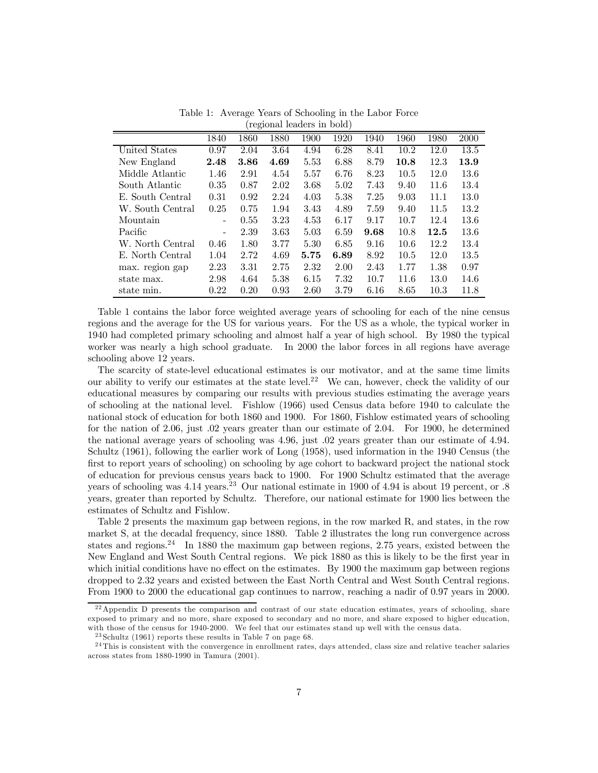| $10,00$ number of $10,000$ |                          |      |      |      |      |      |      |      |      |  |  |
|----------------------------|--------------------------|------|------|------|------|------|------|------|------|--|--|
|                            | 1840                     | 1860 | 1880 | 1900 | 1920 | 1940 | 1960 | 1980 | 2000 |  |  |
| United States              | 0.97                     | 2.04 | 3.64 | 4.94 | 6.28 | 8.41 | 10.2 | 12.0 | 13.5 |  |  |
| New England                | 2.48                     | 3.86 | 4.69 | 5.53 | 6.88 | 8.79 | 10.8 | 12.3 | 13.9 |  |  |
| Middle Atlantic            | 1.46                     | 2.91 | 4.54 | 5.57 | 6.76 | 8.23 | 10.5 | 12.0 | 13.6 |  |  |
| South Atlantic             | 0.35                     | 0.87 | 2.02 | 3.68 | 5.02 | 7.43 | 9.40 | 11.6 | 13.4 |  |  |
| E. South Central           | 0.31                     | 0.92 | 2.24 | 4.03 | 5.38 | 7.25 | 9.03 | 11.1 | 13.0 |  |  |
| W. South Central           | 0.25                     | 0.75 | 1.94 | 3.43 | 4.89 | 7.59 | 9.40 | 11.5 | 13.2 |  |  |
| Mountain                   | -                        | 0.55 | 3.23 | 4.53 | 6.17 | 9.17 | 10.7 | 12.4 | 13.6 |  |  |
| Pacific                    | $\overline{\phantom{0}}$ | 2.39 | 3.63 | 5.03 | 6.59 | 9.68 | 10.8 | 12.5 | 13.6 |  |  |
| W. North Central           | 0.46                     | 1.80 | 3.77 | 5.30 | 6.85 | 9.16 | 10.6 | 12.2 | 13.4 |  |  |
| E. North Central           | 1.04                     | 2.72 | 4.69 | 5.75 | 6.89 | 8.92 | 10.5 | 12.0 | 13.5 |  |  |
| max. region gap            | 2.23                     | 3.31 | 2.75 | 2.32 | 2.00 | 2.43 | 1.77 | 1.38 | 0.97 |  |  |
| state max.                 | 2.98                     | 4.64 | 5.38 | 6.15 | 7.32 | 10.7 | 11.6 | 13.0 | 14.6 |  |  |
| state min.                 | 0.22                     | 0.20 | 0.93 | 2.60 | 3.79 | 6.16 | 8.65 | 10.3 | 11.8 |  |  |

Table 1: Average Years of Schooling in the Labor Force (regional leaders in bold)

Table 1 contains the labor force weighted average years of schooling for each of the nine census regions and the average for the US for various years. For the US as a whole, the typical worker in 1940 had completed primary schooling and almost half a year of high school. By 1980 the typical worker was nearly a high school graduate. In 2000 the labor forces in all regions have average schooling above 12 years.

The scarcity of state-level educational estimates is our motivator, and at the same time limits our ability to verify our estimates at the state level.<sup>22</sup> We can, however, check the validity of our educational measures by comparing our results with previous studies estimating the average years of schooling at the national level. Fishlow (1966) used Census data before 1940 to calculate the national stock of education for both 1860 and 1900. For 1860, Fishlow estimated years of schooling for the nation of 2.06, just .02 years greater than our estimate of 2.04. For 1900, he determined the national average years of schooling was 4.96, just .02 years greater than our estimate of 4.94. Schultz (1961), following the earlier work of Long (1958), used information in the 1940 Census (the first to report years of schooling) on schooling by age cohort to backward project the national stock of education for previous census years back to 1900. For 1900 Schultz estimated that the average years of schooling was  $4.14$  years.<sup>23</sup> Our national estimate in 1900 of  $4.94$  is about 19 percent, or .8 years, greater than reported by Schultz. Therefore, our national estimate for 1900 lies between the estimates of Schultz and Fishlow.

Table 2 presents the maximum gap between regions, in the row marked R, and states, in the row market S, at the decadal frequency, since 1880. Table 2 illustrates the long run convergence across states and regions.<sup>24</sup> In 1880 the maximum gap between regions, 2.75 years, existed between the New England and West South Central regions. We pick 1880 as this is likely to be the first year in which initial conditions have no effect on the estimates. By 1900 the maximum gap between regions dropped to 2.32 years and existed between the East North Central and West South Central regions. From 1900 to 2000 the educational gap continues to narrow, reaching a nadir of 0.97 years in 2000.

<sup>&</sup>lt;sup>22</sup> Appendix D presents the comparison and contrast of our state education estimates, years of schooling, share exposed to primary and no more, share exposed to secondary and no more, and share exposed to higher education, with those of the census for 1940-2000. We feel that our estimates stand up well with the census data.

 $^{23}$ Schultz (1961) reports these results in Table 7 on page 68.

 $24$ This is consistent with the convergence in enrollment rates, days attended, class size and relative teacher salaries across states from 1880-1990 in Tamura (2001).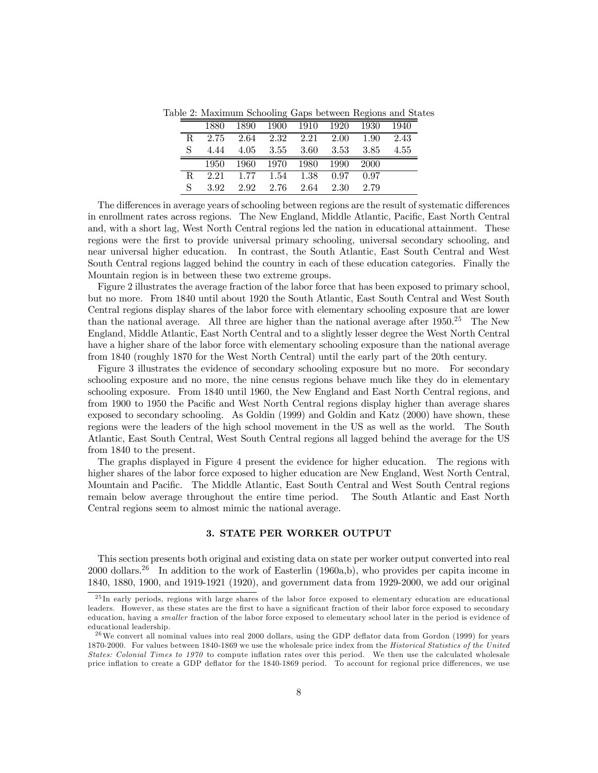|    | 1880 | 1890 | 1900   | 1910 | 1920 | 1930 | 1940 |
|----|------|------|--------|------|------|------|------|
| R. | 2.75 | 2.64 | 2.32   | 2.21 | 2.00 | 1.90 | 2.43 |
| S  | 4.44 | 4.05 | - 3.55 | 3.60 | 3.53 | 3.85 | 4.55 |
|    | 1950 | 1960 | 1970   | 1980 | 1990 | 2000 |      |
| R. | 2.21 | 1.77 | 1.54   | 1.38 | 0.97 | 0.97 |      |
| S  | 392  | 2.92 | 2.76   | 2.64 | 2.30 | 2.79 |      |

Table 2: Maximum Schooling Gaps between Regions and States

The differences in average years of schooling between regions are the result of systematic differences in enrollment rates across regions. The New England, Middle Atlantic, Pacific, East North Central and, with a short lag, West North Central regions led the nation in educational attainment. These regions were the first to provide universal primary schooling, universal secondary schooling, and near universal higher education. In contrast, the South Atlantic, East South Central and West South Central regions lagged behind the country in each of these education categories. Finally the Mountain region is in between these two extreme groups.

Figure 2 illustrates the average fraction of the labor force that has been exposed to primary school, but no more. From 1840 until about 1920 the South Atlantic, East South Central and West South Central regions display shares of the labor force with elementary schooling exposure that are lower than the national average. All three are higher than the national average after  $1950.^{25}$  The New England, Middle Atlantic, East North Central and to a slightly lesser degree the West North Central have a higher share of the labor force with elementary schooling exposure than the national average from 1840 (roughly 1870 for the West North Central) until the early part of the 20th century.

Figure 3 illustrates the evidence of secondary schooling exposure but no more. For secondary schooling exposure and no more, the nine census regions behave much like they do in elementary schooling exposure. From 1840 until 1960, the New England and East North Central regions, and from 1900 to 1950 the Pacific and West North Central regions display higher than average shares exposed to secondary schooling. As Goldin (1999) and Goldin and Katz (2000) have shown, these regions were the leaders of the high school movement in the US as well as the world. The South Atlantic, East South Central, West South Central regions all lagged behind the average for the US from 1840 to the present.

The graphs displayed in Figure 4 present the evidence for higher education. The regions with higher shares of the labor force exposed to higher education are New England, West North Central, Mountain and Pacific. The Middle Atlantic, East South Central and West South Central regions remain below average throughout the entire time period. The South Atlantic and East North Central regions seem to almost mimic the national average.

#### 3. STATE PER WORKER OUTPUT

This section presents both original and existing data on state per worker output converted into real  $2000$  dollars.<sup>26</sup> In addition to the work of Easterlin (1960a,b), who provides per capita income in 1840, 1880, 1900, and 1919-1921 (1920), and government data from 1929-2000, we add our original

 $^{25}$ In early periods, regions with large shares of the labor force exposed to elementary education are educational leaders. However, as these states are the first to have a significant fraction of their labor force exposed to secondary education, having a *smaller* fraction of the labor force exposed to elementary school later in the period is evidence of educational leadership.

 $^{26}$ We convert all nominal values into real 2000 dollars, using the GDP deflator data from Gordon (1999) for years 1870-2000. For values between 1840-1869 we use the wholesale price index from the Historical Statistics of the United States: Colonial Times to 1970 to compute inflation rates over this period. We then use the calculated wholesale price inflation to create a GDP deflator for the 1840-1869 period. To account for regional price differences, we use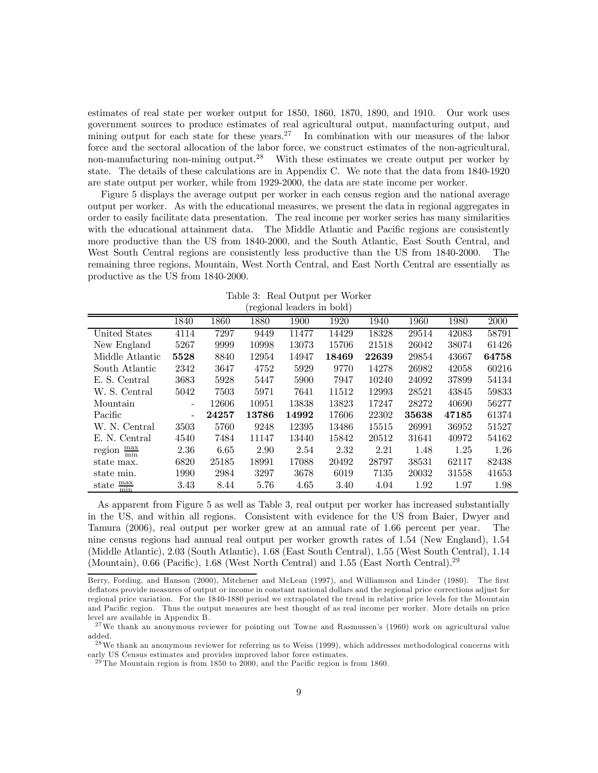estimates of real state per worker output for 1850, 1860, 1870, 1890, and 1910. Our work uses government sources to produce estimates of real agricultural output, manufacturing output, and mining output for each state for these years.<sup>27</sup> In combination with our measures of the labor force and the sectoral allocation of the labor force, we construct estimates of the non-agricultural, non-manufacturing non-mining output.<sup>28</sup> With these estimates we create output per worker by state. The details of these calculations are in Appendix C. We note that the data from 1840-1920 are state output per worker, while from 1929-2000, the data are state income per worker.

Figure 5 displays the average output per worker in each census region and the national average output per worker. As with the educational measures, we present the data in regional aggregates in order to easily facilitate data presentation. The real income per worker series has many similarities with the educational attainment data. The Middle Atlantic and Pacific regions are consistently more productive than the US from 1840-2000, and the South Atlantic, East South Central, and West South Central regions are consistently less productive than the US from 1840-2000. The remaining three regions, Mountain, West North Central, and East North Central are essentially as productive as the US from 1840-2000.

| Table 3: Real Output per Worker |  |
|---------------------------------|--|
| (regional leaders in bold)      |  |
|                                 |  |

|                                           |                          |       |       | $1$ $\sigma$ $\sim$ $\sigma$ $\sim$ $\sigma$ $\sim$ $\sigma$ $\sim$ $\sigma$ $\sim$ |       |       |       |       |       |
|-------------------------------------------|--------------------------|-------|-------|-------------------------------------------------------------------------------------|-------|-------|-------|-------|-------|
|                                           | 1840                     | 1860  | 1880  | 1900                                                                                | 1920  | 1940  | 1960  | 1980  | 2000  |
| United States                             | 4114                     | 7297  | 9449  | 11477                                                                               | 14429 | 18328 | 29514 | 42083 | 58791 |
| New England                               | 5267                     | 9999  | 10998 | 13073                                                                               | 15706 | 21518 | 26042 | 38074 | 61426 |
| Middle Atlantic                           | 5528                     | 8840  | 12954 | 14947                                                                               | 18469 | 22639 | 29854 | 43667 | 64758 |
| South Atlantic                            | 2342                     | 3647  | 4752  | 5929                                                                                | 9770  | 14278 | 26982 | 42058 | 60216 |
| E. S. Central                             | 3683                     | 5928  | 5447  | 5900                                                                                | 7947  | 10240 | 24092 | 37899 | 54134 |
| W. S. Central                             | 5042                     | 7503  | 5971  | 7641                                                                                | 11512 | 12993 | 28521 | 43845 | 59833 |
| Mountain                                  | $\overline{\phantom{0}}$ | 12606 | 10951 | 13838                                                                               | 13823 | 17247 | 28272 | 40690 | 56277 |
| Pacific                                   |                          | 24257 | 13786 | 14992                                                                               | 17606 | 22302 | 35638 | 47185 | 61374 |
| W. N. Central                             | 3503                     | 5760  | 9248  | 12395                                                                               | 13486 | 15515 | 26991 | 36952 | 51527 |
| E. N. Central                             | 4540                     | 7484  | 11147 | 13440                                                                               | 15842 | 20512 | 31641 | 40972 | 54162 |
| $\frac{\text{max}}{\text{min}}$<br>region | 2.36                     | 6.65  | 2.90  | 2.54                                                                                | 2.32  | 2.21  | 1.48  | 1.25  | 1.26  |
| state max.                                | 6820                     | 25185 | 18991 | 17088                                                                               | 20492 | 28797 | 38531 | 62117 | 82438 |
| state min.                                | 1990                     | 2984  | 3297  | 3678                                                                                | 6019  | 7135  | 20032 | 31558 | 41653 |
| $\frac{\text{max}}{\text{min}}$<br>state  | 3.43                     | 8.44  | 5.76  | 4.65                                                                                | 3.40  | 4.04  | 1.92  | 1.97  | 1.98  |

As apparent from Figure 5 as well as Table 3, real output per worker has increased substantially in the US, and within all regions. Consistent with evidence for the US from Baier, Dwyer and Tamura (2006), real output per worker grew at an annual rate of 1.66 percent per year. The nine census regions had annual real output per worker growth rates of 1.54 (New England), 1.54 (Middle Atlantic), 2.03 (South Atlantic), 1.68 (East South Central), 1.55 (West South Central), 1.14 (Mountain), 0.66 (Pacific), 1.68 (West North Central) and 1.55 (East North Central).<sup>29</sup>

Berry, Fording, and Hanson (2000), Mitchener and McLean (1997), and Williamson and Linder (1980). The first deflators provide measures of output or income in constant national dollars and the regional price corrections adjust for regional price variation. For the 1840-1880 period we extrapolated the trend in relative price levels for the Mountain and Pacific region. Thus the output measures are best thought of as real income per worker. More details on price level are available in Appendix B.

<sup>&</sup>lt;sup>27</sup>We thank an anonymous reviewer for pointing out Towne and Rasmussen's (1960) work on agricultural value added.

<sup>&</sup>lt;sup>28</sup> We thank an anonymous reviewer for referring us to Weiss (1999), which addresses methodological concerns with early US Census estimates and provides improved labor force estimates.

 $29$  The Mountain region is from 1850 to 2000, and the Pacific region is from 1860.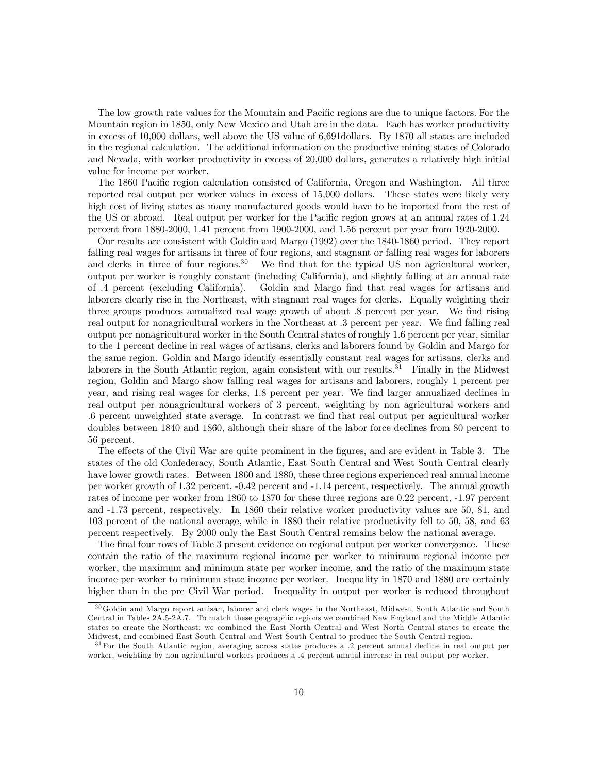The low growth rate values for the Mountain and Pacific regions are due to unique factors. For the Mountain region in 1850, only New Mexico and Utah are in the data. Each has worker productivity in excess of 10,000 dollars, well above the US value of 6,691dollars. By 1870 all states are included in the regional calculation. The additional information on the productive mining states of Colorado and Nevada, with worker productivity in excess of 20,000 dollars, generates a relatively high initial value for income per worker.

The 1860 Pacific region calculation consisted of California, Oregon and Washington. All three reported real output per worker values in excess of 15,000 dollars. These states were likely very high cost of living states as many manufactured goods would have to be imported from the rest of the US or abroad. Real output per worker for the Pacific region grows at an annual rates of 1.24 percent from 1880-2000, 1.41 percent from 1900-2000, and 1.56 percent per year from 1920-2000.

Our results are consistent with Goldin and Margo (1992) over the 1840-1860 period. They report falling real wages for artisans in three of four regions, and stagnant or falling real wages for laborers and clerks in three of four regions.<sup>30</sup> We find that for the typical US non agricultural worker, We find that for the typical US non agricultural worker, output per worker is roughly constant (including California), and slightly falling at an annual rate of .4 percent (excluding California). Goldin and Margo find that real wages for artisans and laborers clearly rise in the Northeast, with stagnant real wages for clerks. Equally weighting their three groups produces annualized real wage growth of about .8 percent per year. We find rising real output for nonagricultural workers in the Northeast at .3 percent per year. We find falling real output per nonagricultural worker in the South Central states of roughly 1.6 percent per year, similar to the 1 percent decline in real wages of artisans, clerks and laborers found by Goldin and Margo for the same region. Goldin and Margo identify essentially constant real wages for artisans, clerks and laborers in the South Atlantic region, again consistent with our results.<sup>31</sup> Finally in the Midwest region, Goldin and Margo show falling real wages for artisans and laborers, roughly 1 percent per year, and rising real wages for clerks, 1.8 percent per year. We find larger annualized declines in real output per nonagricultural workers of 3 percent, weighting by non agricultural workers and .6 percent unweighted state average. In contrast we find that real output per agricultural worker doubles between 1840 and 1860, although their share of the labor force declines from 80 percent to 56 percent.

The effects of the Civil War are quite prominent in the figures, and are evident in Table 3. The states of the old Confederacy, South Atlantic, East South Central and West South Central clearly have lower growth rates. Between 1860 and 1880, these three regions experienced real annual income per worker growth of 1.32 percent, -0.42 percent and -1.14 percent, respectively. The annual growth rates of income per worker from 1860 to 1870 for these three regions are 0.22 percent, -1.97 percent and -1.73 percent, respectively. In 1860 their relative worker productivity values are 50, 81, and 103 percent of the national average, while in 1880 their relative productivity fell to 50, 58, and 63 percent respectively. By 2000 only the East South Central remains below the national average.

The final four rows of Table 3 present evidence on regional output per worker convergence. These contain the ratio of the maximum regional income per worker to minimum regional income per worker, the maximum and minimum state per worker income, and the ratio of the maximum state income per worker to minimum state income per worker. Inequality in 1870 and 1880 are certainly higher than in the pre Civil War period. Inequality in output per worker is reduced throughout

<sup>&</sup>lt;sup>30</sup>Goldin and Margo report artisan, laborer and clerk wages in the Northeast, Midwest, South Atlantic and South Central in Tables 2A.5-2A.7. To match these geographic regions we combined New England and the Middle Atlantic states to create the Northeast; we combined the East North Central and West North Central states to create the Midwest, and combined East South Central and West South Central to produce the South Central region.

<sup>&</sup>lt;sup>31</sup> For the South Atlantic region, averaging across states produces a .2 percent annual decline in real output per worker, weighting by non agricultural workers produces a .4 percent annual increase in real output per worker.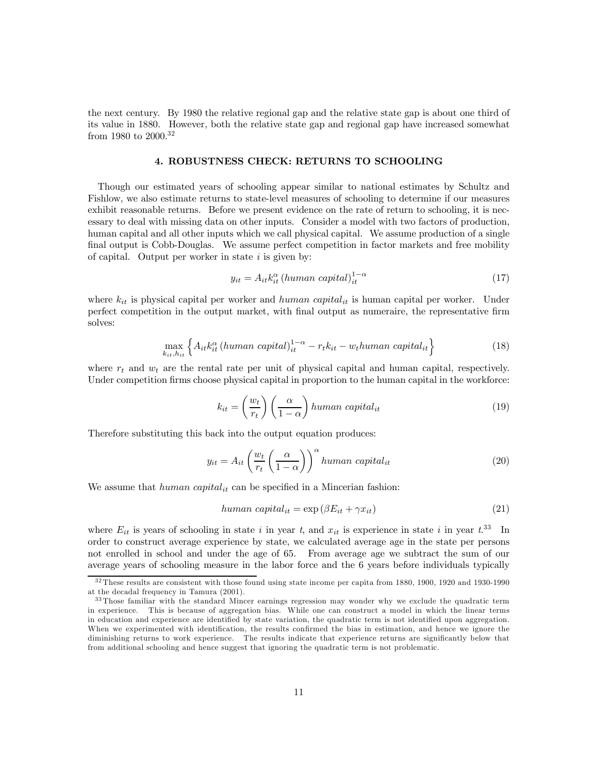the next century. By 1980 the relative regional gap and the relative state gap is about one third of its value in 1880. However, both the relative state gap and regional gap have increased somewhat from 1980 to 2000.<sup>32</sup>

#### 4. ROBUSTNESS CHECK: RETURNS TO SCHOOLING

Though our estimated years of schooling appear similar to national estimates by Schultz and Fishlow, we also estimate returns to state-level measures of schooling to determine if our measures exhibit reasonable returns. Before we present evidence on the rate of return to schooling, it is necessary to deal with missing data on other inputs. Consider a model with two factors of production, human capital and all other inputs which we call physical capital. We assume production of a single final output is Cobb-Douglas. We assume perfect competition in factor markets and free mobility of capital. Output per worker in state  $i$  is given by:

$$
y_{it} = A_{it} k_{it}^{\alpha} \left( human \; capital \right)_{it}^{1-\alpha} \tag{17}
$$

where  $k_{it}$  is physical capital per worker and human capital<sub>it</sub> is human capital per worker. Under perfect competition in the output market, with final output as numeraire, the representative firm solves:

$$
\max_{k_{it}, h_{it}} \left\{ A_{it} k_{it}^{\alpha} \left( human \; capital \right)_{it}^{1-\alpha} - r_t k_{it} - w_t human \; capital_{it} \right\} \tag{18}
$$

where  $r_t$  and  $w_t$  are the rental rate per unit of physical capital and human capital, respectively. Under competition firms choose physical capital in proportion to the human capital in the workforce:

$$
k_{it} = \left(\frac{w_t}{r_t}\right) \left(\frac{\alpha}{1-\alpha}\right) human\ capital_{it}
$$
\n(19)

Therefore substituting this back into the output equation produces:

$$
y_{it} = A_{it} \left(\frac{w_t}{r_t} \left(\frac{\alpha}{1-\alpha}\right)\right)^{\alpha} human\ capital_{it}
$$
\n(20)

We assume that human capital<sub>it</sub> can be specified in a Mincerian fashion:

$$
human\ capital_{it} = \exp\left(\beta E_{it} + \gamma x_{it}\right) \tag{21}
$$

where  $E_{it}$  is years of schooling in state i in year t, and  $x_{it}$  is experience in state i in year  $t^{33}$  In order to construct average experience by state, we calculated average age in the state per persons not enrolled in school and under the age of 65. From average age we subtract the sum of our average years of schooling measure in the labor force and the 6 years before individuals typically

<sup>3 2</sup> These results are consistent with those found using state income per capita from 1880, 1900, 1920 and 1930-1990 at the decadal frequency in Tamura (2001).

<sup>&</sup>lt;sup>33</sup> Those familiar with the standard Mincer earnings regression may wonder why we exclude the quadratic term in experience. This is because of aggregation bias. While one can construct a model in which the linear terms in education and experience are identified by state variation, the quadratic term is not identified upon aggregation. When we experimented with identification, the results confirmed the bias in estimation, and hence we ignore the diminishing returns to work experience. The results indicate that experience returns are significantly below that from additional schooling and hence suggest that ignoring the quadratic term is not problematic.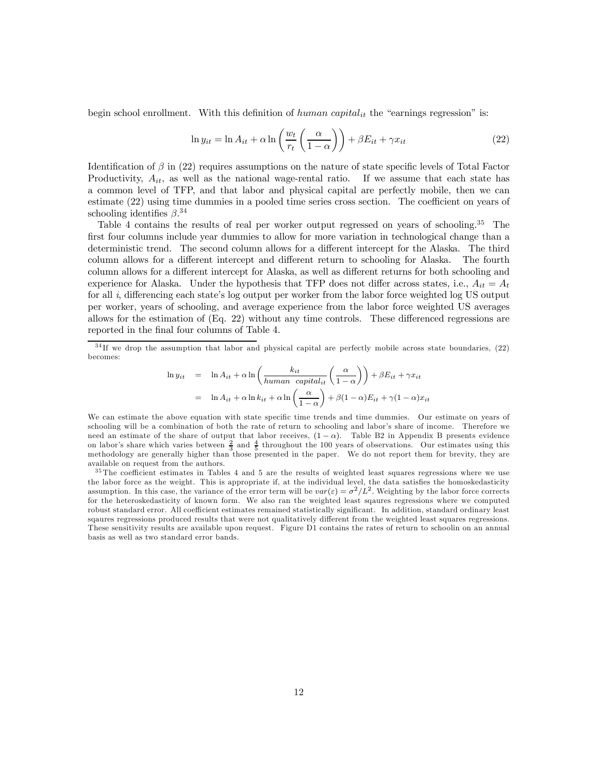begin school enrollment. With this definition of  $human\ capital_{it}$  the "earnings regression" is:

$$
\ln y_{it} = \ln A_{it} + \alpha \ln \left( \frac{w_t}{r_t} \left( \frac{\alpha}{1 - \alpha} \right) \right) + \beta E_{it} + \gamma x_{it}
$$
\n(22)

Identification of  $\beta$  in (22) requires assumptions on the nature of state specific levels of Total Factor Productivity,  $A_{it}$ , as well as the national wage-rental ratio. If we assume that each state has a common level of TFP, and that labor and physical capital are perfectly mobile, then we can estimate (22) using time dummies in a pooled time series cross section. The coefficient on years of schooling identifies  $\beta^{34}$ 

Table 4 contains the results of real per worker output regressed on years of schooling.<sup>35</sup> The first four columns include year dummies to allow for more variation in technological change than a deterministic trend. The second column allows for a different intercept for the Alaska. The third column allows for a different intercept and different return to schooling for Alaska. The fourth column allows for a different intercept for Alaska, as well as different returns for both schooling and experience for Alaska. Under the hypothesis that TFP does not differ across states, i.e.,  $A_{it} = A_t$ for all i, differencing each state's log output per worker from the labor force weighted log US output per worker, years of schooling, and average experience from the labor force weighted US averages allows for the estimation of (Eq. 22) without any time controls. These differenced regressions are reported in the final four columns of Table 4.

$$
\ln y_{it} = \ln A_{it} + \alpha \ln \left( \frac{k_{it}}{human \ capital_{it}} \left( \frac{\alpha}{1 - \alpha} \right) \right) + \beta E_{it} + \gamma x_{it}
$$

$$
= \ln A_{it} + \alpha \ln k_{it} + \alpha \ln \left( \frac{\alpha}{1 - \alpha} \right) + \beta (1 - \alpha) E_{it} + \gamma (1 - \alpha) x_{it}
$$

We can estimate the above equation with state specific time trends and time dummies. Our estimate on years of schooling will be a combination of both the rate of return to schooling and labor's share of income. Therefore we need an estimate of the share of output that labor receives,  $(1 - \alpha)$ . Table B2 in Appendix B presents evidence on labor's share which varies between  $\frac{2}{3}$  and  $\frac{4}{5}$  throughout the 100 years of observations. Our estimates using this methodology are generally higher than those presented in the paper. We do not report them for brevity, they are available on request from the authors.

 $35$  The coefficient estimates in Tables 4 and 5 are the results of weighted least squares regressions where we use the labor force as the weight. This is appropriate if, at the individual level, the data satisfies the homoskedasticity assumption. In this case, the variance of the error term will be  $var(\varepsilon) = \sigma^2/L^2$ . Weighting by the labor force corrects for the heteroskedasticity of known form. We also ran the weighted least sqaures regressions where we computed robust standard error. All coefficient estimates remained statistically significant. In addition, standard ordinary least sqaures regressions produced results that were not qualitatively different from the weighted least squares regressions. These sensitivity results are available upon request. Figure D1 contains the rates of return to schoolin on an annual basis as well as two standard error bands.

 $34$ If we drop the assumption that labor and physical capital are perfectly mobile across state boundaries,  $(22)$ becomes: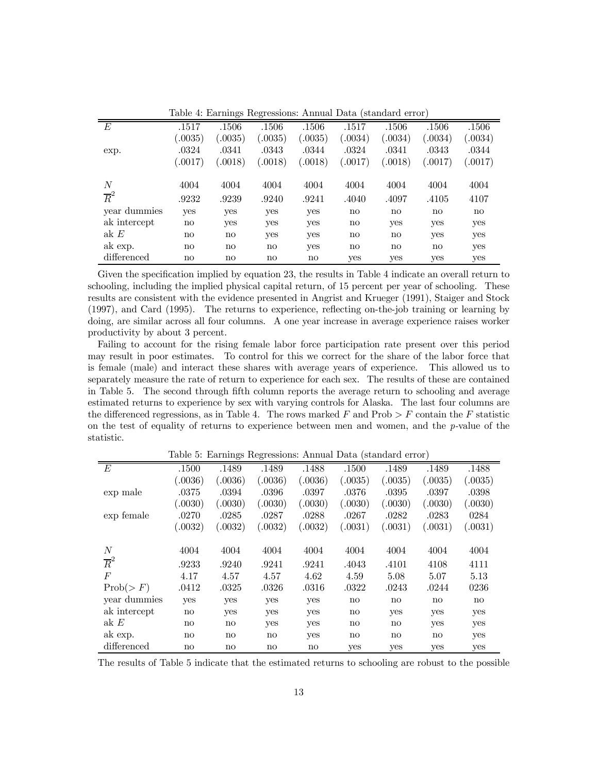|                  | Table 4: Earnings Regressions: Annual Data (standard error) |                        |              |              |                        |                        |                        |                        |  |  |  |
|------------------|-------------------------------------------------------------|------------------------|--------------|--------------|------------------------|------------------------|------------------------|------------------------|--|--|--|
| E                | .1517                                                       | .1506                  | .1506        | .1506        | .1517                  | .1506                  | .1506                  | .1506                  |  |  |  |
|                  | (.0035)                                                     | (.0035)                | (.0035)      | (.0035)      | (.0034)                | (.0034)                | (.0034)                | (.0034)                |  |  |  |
| exp.             | .0324                                                       | .0341                  | .0343        | .0344        | .0324                  | .0341                  | .0343                  | .0344                  |  |  |  |
|                  | (.0017)                                                     | (.0018)                | (.0018)      | (.0018)      | (.0017)                | (.0018)                | (.0017)                | (.0017)                |  |  |  |
| $\boldsymbol{N}$ | 4004                                                        | 4004                   | 4004         | 4004         | 4004                   | 4004                   | 4004                   | 4004                   |  |  |  |
| $\overline{R}^2$ | .9232                                                       | .9239                  | .9240        | .9241        | .4040                  | .4097                  | .4105                  | 4107                   |  |  |  |
| year dummies     | yes                                                         | <b>ves</b>             | yes          | yes          | $\mathbf{n}\mathbf{o}$ | $\mathbf{n}\mathbf{o}$ | $\mathbf{n}\mathbf{o}$ | $\mathbf{n}\mathbf{o}$ |  |  |  |
| ak intercept     | $\mathbf{n}$                                                | yes                    | yes          | yes          | $\mathbf{n}$           | yes                    | yes                    | yes                    |  |  |  |
| ak $E$           | $\mathbf{n}$                                                | $\mathbf{n}\mathbf{o}$ | yes          | yes          | $\mathbf{n}$           | $\mathbf{n}\mathbf{o}$ | yes                    | yes                    |  |  |  |
| ak exp.          | $\mathbf{n}$                                                | $\mathbf{n}\mathbf{o}$ | $\mathbf{n}$ | yes          | $\mathbf{n}$           | $\mathbf{n}\mathbf{o}$ | $\mathbf{n}\mathbf{o}$ | yes                    |  |  |  |
| differenced      | $\mathbf{n}$                                                | $\mathbf{n}\mathbf{o}$ | $\mathbf{n}$ | $\mathbf{n}$ | <b>ves</b>             | <b>ves</b>             | yes                    | yes                    |  |  |  |

Given the specification implied by equation 23, the results in Table 4 indicate an overall return to schooling, including the implied physical capital return, of 15 percent per year of schooling. These results are consistent with the evidence presented in Angrist and Krueger (1991), Staiger and Stock (1997), and Card (1995). The returns to experience, reflecting on-the-job training or learning by doing, are similar across all four columns. A one year increase in average experience raises worker productivity by about 3 percent.

Failing to account for the rising female labor force participation rate present over this period may result in poor estimates. To control for this we correct for the share of the labor force that is female (male) and interact these shares with average years of experience. This allowed us to separately measure the rate of return to experience for each sex. The results of these are contained in Table 5. The second through fifth column reports the average return to schooling and average estimated returns to experience by sex with varying controls for Alaska. The last four columns are the differenced regressions, as in Table 4. The rows marked F and Prob  $\geq F$  contain the F statistic on the test of equality of returns to experience between men and women, and the  $p$ -value of the statistic.

Table 5: Earnings Regressions: Annual Data (standard error)

|                  |                        |                        | $\frac{1}{2}$          |              |                        |                        |                        |              |
|------------------|------------------------|------------------------|------------------------|--------------|------------------------|------------------------|------------------------|--------------|
| E                | .1500                  | .1489                  | .1489                  | .1488        | .1500                  | .1489                  | .1489                  | .1488        |
|                  | (.0036)                | (.0036)                | (.0036)                | (.0036)      | (.0035)                | (.0035)                | (.0035)                | (.0035)      |
| exp male         | .0375                  | .0394                  | .0396                  | .0397        | .0376                  | .0395                  | .0397                  | .0398        |
|                  | (.0030)                | (.0030)                | (.0030)                | (.0030)      | (.0030)                | (.0030)                | (.0030)                | (.0030)      |
| exp female       | .0270                  | .0285                  | .0287                  | .0288        | .0267                  | .0282                  | .0283                  | 0284         |
|                  | (.0032)                | (.0032)                | (.0032)                | (.0032)      | (.0031)                | (.0031)                | (.0031)                | (.0031)      |
|                  |                        |                        |                        |              |                        |                        |                        |              |
| $\overline{N}$   | 4004                   | 4004                   | 4004                   | 4004         | 4004                   | 4004                   | 4004                   | 4004         |
| $\overline{R}^2$ | .9233                  | .9240                  | .9241                  | .9241        | .4043                  | .4101                  | 4108                   | 4111         |
| $\overline{F}$   | 4.17                   | 4.57                   | 4.57                   | 4.62         | 4.59                   | 5.08                   | 5.07                   | 5.13         |
| Prob(>F)         | .0412                  | .0325                  | .0326                  | .0316        | .0322                  | .0243                  | .0244                  | 0236         |
| year dummies     | yes                    | yes                    | yes                    | yes          | $\mathbf{n}\mathbf{o}$ | $\mathbf{n}\mathbf{o}$ | $\mathbf{n}\mathbf{o}$ | $\mathbf{n}$ |
| ak intercept     | $\mathbf{n}$           | yes                    | yes                    | yes          | $\mathbf{n}\mathbf{o}$ | yes                    | yes                    | yes          |
| ak E             | $\mathbf{n}$           | $\mathbf{n}\mathbf{o}$ | yes                    | yes          | $\mathbf{n}\mathbf{o}$ | $\mathbf{n}\mathbf{o}$ | yes                    | yes          |
| ak exp.          | $\mathbf{n}\mathbf{o}$ | $\mathbf{n}\mathbf{o}$ | $\mathbf{n}\mathbf{o}$ | yes          | $\mathbf{n}\mathbf{o}$ | $\mathbf{n}\mathbf{o}$ | $\mathbf{n}\mathbf{o}$ | yes          |
| differenced      | $\mathbf{no}$          | $\mathbf{no}$          | $\mathbf{n}\mathbf{o}$ | $\mathbf{n}$ | <b>ves</b>             | yes                    | yes                    | yes          |

The results of Table 5 indicate that the estimated returns to schooling are robust to the possible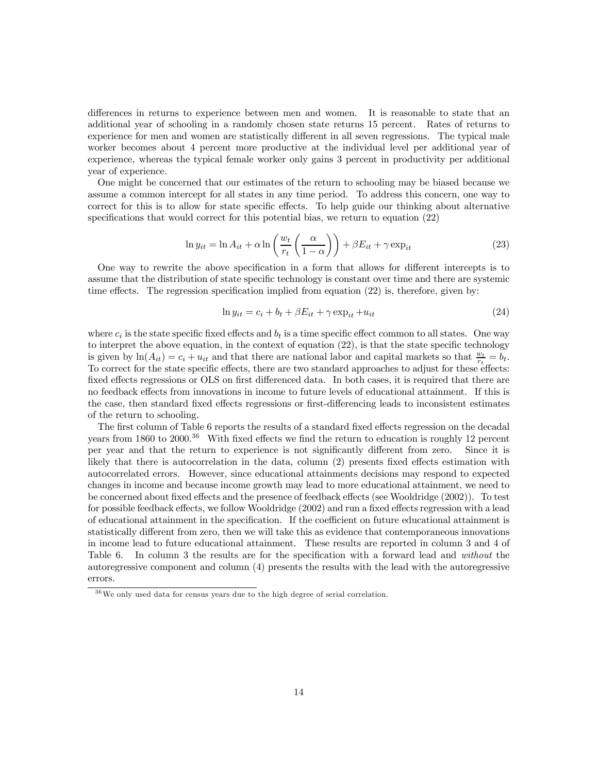differences in returns to experience between men and women. It is reasonable to state that an additional year of schooling in a randomly chosen state returns 15 percent. Rates of returns to experience for men and women are statistically different in all seven regressions. The typical male worker becomes about 4 percent more productive at the individual level per additional year of experience, whereas the typical female worker only gains 3 percent in productivity per additional year of experience.

One might be concerned that our estimates of the return to schooling may be biased because we assume a common intercept for all states in any time period. To address this concern, one way to correct for this is to allow for state specific effects. To help guide our thinking about alternative specifications that would correct for this potential bias, we return to equation (22)

$$
\ln y_{it} = \ln A_{it} + \alpha \ln \left( \frac{w_t}{r_t} \left( \frac{\alpha}{1 - \alpha} \right) \right) + \beta E_{it} + \gamma \exp_{it} \tag{23}
$$

One way to rewrite the above specification in a form that allows for different intercepts is to assume that the distribution of state specific technology is constant over time and there are systemic time effects. The regression specification implied from equation (22) is, therefore, given by:

$$
\ln y_{it} = c_i + b_t + \beta E_{it} + \gamma \exp_{it} + u_{it} \tag{24}
$$

where  $c_i$  is the state specific fixed effects and  $b_t$  is a time specific effect common to all states. One way to interpret the above equation, in the context of equation (22), is that the state specific technology is given by  $\ln(A_{it}) = c_i + u_{it}$  and that there are national labor and capital markets so that  $\frac{w_t}{r_t} = b_t$ . To correct for the state specific effects, there are two standard approaches to adjust for these effects: fixed effects regressions or OLS on first differenced data. In both cases, it is required that there are no feedback effects from innovations in income to future levels of educational attainment. If this is the case, then standard fixed effects regressions or first-differencing leads to inconsistent estimates of the return to schooling.

The first column of Table 6 reports the results of a standard fixed effects regression on the decadal years from 1860 to 2000.<sup>36</sup> With fixed effects we find the return to education is roughly 12 percent per year and that the return to experience is not significantly different from zero. Since it is likely that there is autocorrelation in the data, column (2) presents fixed effects estimation with autocorrelated errors. However, since educational attainments decisions may respond to expected changes in income and because income growth may lead to more educational attainment, we need to be concerned about fixed effects and the presence of feedback effects (see Wooldridge (2002)). To test for possible feedback effects, we follow Wooldridge (2002) and run a fixed effects regression with a lead of educational attainment in the specification. If the coefficient on future educational attainment is statistically different from zero, then we will take this as evidence that contemporaneous innovations in income lead to future educational attainment. These results are reported in column 3 and 4 of Table 6. In column 3 the results are for the specification with a forward lead and *without* the autoregressive component and column (4) presents the results with the lead with the autoregressive errors.

 $36\,\text{We}$  only used data for census years due to the high degree of serial correlation.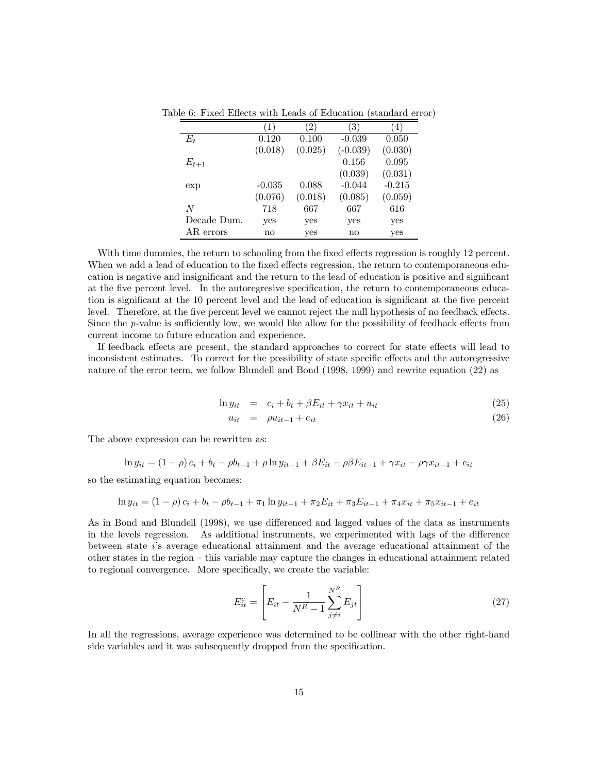|             |          | $ 2\rangle$ | 3          | $4^{\circ}$ |
|-------------|----------|-------------|------------|-------------|
| $E_t$       | 0.120    | 0.100       | $-0.039$   | 0.050       |
|             | (0.018)  | (0.025)     | $(-0.039)$ | (0.030)     |
| $E_{t+1}$   |          |             | 0.156      | 0.095       |
|             |          |             | (0.039)    | (0.031)     |
| exp         | $-0.035$ | 0.088       | $-0.044$   | $-0.215$    |
|             | (0.076)  | (0.018)     | (0.085)    | (0.059)     |
| N           | 718      | 667         | 667        | 616         |
| Decade Dum. | yes      | yes         | yes        | yes         |
| AR errors   | no       | yes         | no         | yes         |

Table 6: Fixed Effects with Leads of Education (standard error)

With time dummies, the return to schooling from the fixed effects regression is roughly 12 percent. When we add a lead of education to the fixed effects regression, the return to contemporaneous education is negative and insignificant and the return to the lead of education is positive and significant at the five percent level. In the autoregresive specification, the return to contemporaneous education is significant at the 10 percent level and the lead of education is significant at the five percent level. Therefore, at the five percent level we cannot reject the null hypothesis of no feedback effects. Since the p-value is sufficiently low, we would like allow for the possibility of feedback effects from current income to future education and experience.

If feedback effects are present, the standard approaches to correct for state effects will lead to inconsistent estimates. To correct for the possibility of state specific effects and the autoregressive nature of the error term, we follow Blundell and Bond (1998, 1999) and rewrite equation (22) as

$$
\ln y_{it} = c_i + b_t + \beta E_{it} + \gamma x_{it} + u_{it} \tag{25}
$$

$$
u_{it} = \rho u_{it-1} + e_{it} \tag{26}
$$

The above expression can be rewritten as:

$$
\ln y_{it} = (1 - \rho)c_i + b_t - \rho b_{t-1} + \rho \ln y_{it-1} + \beta E_{it} - \rho \beta E_{it-1} + \gamma x_{it} - \rho \gamma x_{it-1} + e_{it}
$$

so the estimating equation becomes:

$$
\ln y_{it} = (1 - \rho)c_i + b_t - \rho b_{t-1} + \pi_1 \ln y_{it-1} + \pi_2 E_{it} + \pi_3 E_{it-1} + \pi_4 x_{it} + \pi_5 x_{it-1} + e_{it}
$$

As in Bond and Blundell (1998), we use differenced and lagged values of the data as instruments in the levels regression. As additional instruments, we experimented with lags of the difference between state i's average educational attainment and the average educational attainment of the other states in the region — this variable may capture the changes in educational attainment related to regional convergence. More specifically, we create the variable:

$$
E_{it}^{c} = \left[ E_{it} - \frac{1}{N^R - 1} \sum_{j \neq i}^{N^R} E_{jt} \right]
$$
 (27)

In all the regressions, average experience was determined to be collinear with the other right-hand side variables and it was subsequently dropped from the specification.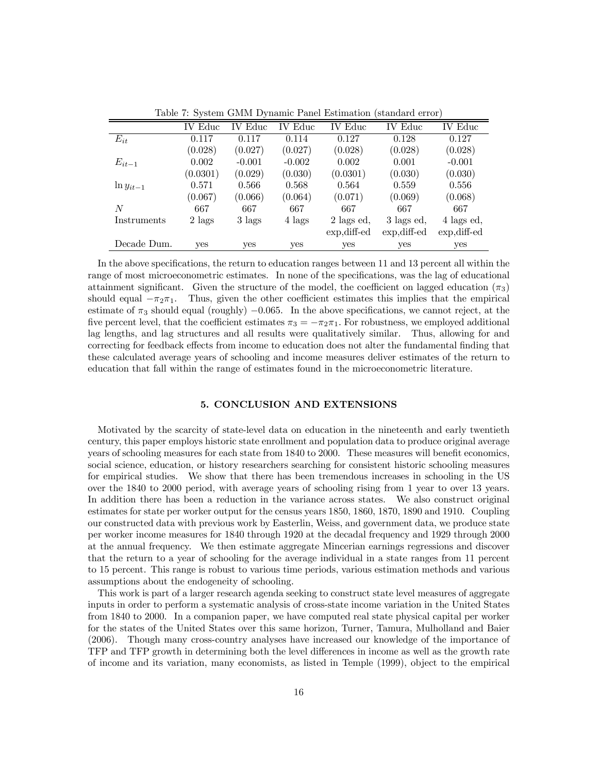|                | <b>IV</b> Educ | Educ<br>IV. | IV Educ  | IV Educ         | <b>IV</b> Educ  | IV Educ         |
|----------------|----------------|-------------|----------|-----------------|-----------------|-----------------|
| $E_{it}$       | 0.117          | 0.117       | 0.114    | 0.127           | 0.128           | 0.127           |
|                | (0.028)        | (0.027)     | (0.027)  | (0.028)         | (0.028)         | (0.028)         |
| $E_{it-1}$     | 0.002          | $-0.001$    | $-0.002$ | 0.002           | 0.001           | $-0.001$        |
|                | (0.0301)       | (0.029)     | (0.030)  | (0.0301)        | (0.030)         | (0.030)         |
| $\ln y_{it-1}$ | 0.571          | 0.566       | 0.568    | 0.564           | 0.559           | 0.556           |
|                | (0.067)        | (0.066)     | (0.064)  | (0.071)         | (0.069)         | (0.068)         |
| N              | 667            | 667         | 667      | 667             | 667             | 667             |
| Instruments    | 2 lags         | 3 lags      | 4 lags   | 2 lags ed,      | 3 lags ed,      | 4 lags ed,      |
|                |                |             |          | $exp$ , diff-ed | $exp$ , diff-ed | $exp$ , diff-ed |
| Decade Dum.    | <b>ves</b>     | yes         | yes      | yes             | yes             | yes             |

Table 7: System GMM Dynamic Panel Estimation (standard error)

In the above specifications, the return to education ranges between 11 and 13 percent all within the range of most microeconometric estimates. In none of the specifications, was the lag of educational attainment significant. Given the structure of the model, the coefficient on lagged education  $(\pi_3)$ should equal  $-\pi_2\pi_1$ . Thus, given the other coefficient estimates this implies that the empirical estimate of  $\pi_3$  should equal (roughly) –0.065. In the above specifications, we cannot reject, at the five percent level, that the coefficient estimates  $\pi_3 = -\pi_2 \pi_1$ . For robustness, we employed additional lag lengths, and lag structures and all results were qualitatively similar. Thus, allowing for and correcting for feedback effects from income to education does not alter the fundamental finding that these calculated average years of schooling and income measures deliver estimates of the return to education that fall within the range of estimates found in the microeconometric literature.

#### 5. CONCLUSION AND EXTENSIONS

Motivated by the scarcity of state-level data on education in the nineteenth and early twentieth century, this paper employs historic state enrollment and population data to produce original average years of schooling measures for each state from 1840 to 2000. These measures will benefit economics, social science, education, or history researchers searching for consistent historic schooling measures for empirical studies. We show that there has been tremendous increases in schooling in the US over the 1840 to 2000 period, with average years of schooling rising from 1 year to over 13 years. In addition there has been a reduction in the variance across states. We also construct original estimates for state per worker output for the census years 1850, 1860, 1870, 1890 and 1910. Coupling our constructed data with previous work by Easterlin, Weiss, and government data, we produce state per worker income measures for 1840 through 1920 at the decadal frequency and 1929 through 2000 at the annual frequency. We then estimate aggregate Mincerian earnings regressions and discover that the return to a year of schooling for the average individual in a state ranges from 11 percent to 15 percent. This range is robust to various time periods, various estimation methods and various assumptions about the endogeneity of schooling.

This work is part of a larger research agenda seeking to construct state level measures of aggregate inputs in order to perform a systematic analysis of cross-state income variation in the United States from 1840 to 2000. In a companion paper, we have computed real state physical capital per worker for the states of the United States over this same horizon, Turner, Tamura, Mulholland and Baier (2006). Though many cross-country analyses have increased our knowledge of the importance of TFP and TFP growth in determining both the level differences in income as well as the growth rate of income and its variation, many economists, as listed in Temple (1999), object to the empirical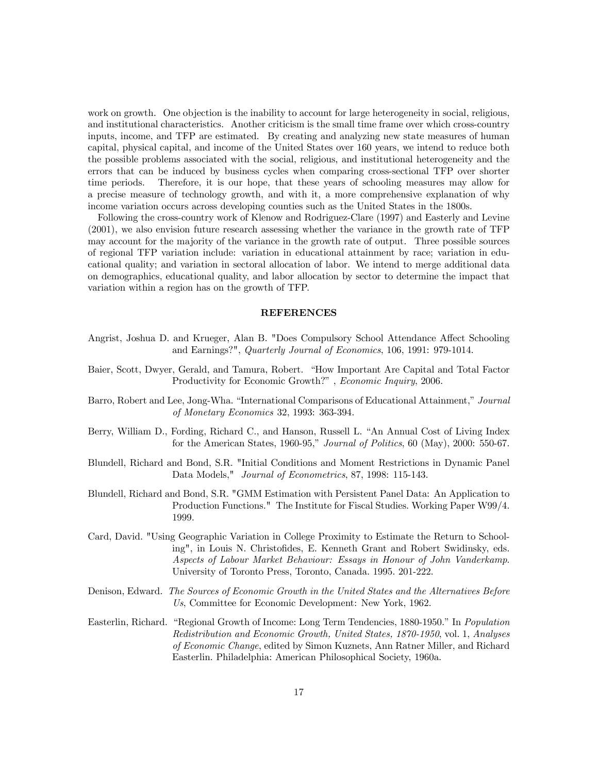work on growth. One objection is the inability to account for large heterogeneity in social, religious, and institutional characteristics. Another criticism is the small time frame over which cross-country inputs, income, and TFP are estimated. By creating and analyzing new state measures of human capital, physical capital, and income of the United States over 160 years, we intend to reduce both the possible problems associated with the social, religious, and institutional heterogeneity and the errors that can be induced by business cycles when comparing cross-sectional TFP over shorter time periods. Therefore, it is our hope, that these years of schooling measures may allow for a precise measure of technology growth, and with it, a more comprehensive explanation of why income variation occurs across developing counties such as the United States in the 1800s.

Following the cross-country work of Klenow and Rodriguez-Clare (1997) and Easterly and Levine (2001), we also envision future research assessing whether the variance in the growth rate of TFP may account for the majority of the variance in the growth rate of output. Three possible sources of regional TFP variation include: variation in educational attainment by race; variation in educational quality; and variation in sectoral allocation of labor. We intend to merge additional data on demographics, educational quality, and labor allocation by sector to determine the impact that variation within a region has on the growth of TFP.

#### REFERENCES

- Angrist, Joshua D. and Krueger, Alan B. "Does Compulsory School Attendance Affect Schooling and Earnings?", Quarterly Journal of Economics, 106, 1991: 979-1014.
- Baier, Scott, Dwyer, Gerald, and Tamura, Robert. "How Important Are Capital and Total Factor Productivity for Economic Growth?" , Economic Inquiry, 2006.
- Barro, Robert and Lee, Jong-Wha. "International Comparisons of Educational Attainment," Journal of Monetary Economics 32, 1993: 363-394.
- Berry, William D., Fording, Richard C., and Hanson, Russell L. "An Annual Cost of Living Index for the American States, 1960-95," Journal of Politics, 60 (May), 2000: 550-67.
- Blundell, Richard and Bond, S.R. "Initial Conditions and Moment Restrictions in Dynamic Panel Data Models," Journal of Econometrics, 87, 1998: 115-143.
- Blundell, Richard and Bond, S.R. "GMM Estimation with Persistent Panel Data: An Application to Production Functions." The Institute for Fiscal Studies. Working Paper W99/4. 1999.
- Card, David. "Using Geographic Variation in College Proximity to Estimate the Return to Schooling", in Louis N. Christofides, E. Kenneth Grant and Robert Swidinsky, eds. Aspects of Labour Market Behaviour: Essays in Honour of John Vanderkamp. University of Toronto Press, Toronto, Canada. 1995. 201-222.
- Denison, Edward. The Sources of Economic Growth in the United States and the Alternatives Before Us, Committee for Economic Development: New York, 1962.
- Easterlin, Richard. "Regional Growth of Income: Long Term Tendencies, 1880-1950." In Population Redistribution and Economic Growth, United States, 1870-1950, vol. 1, Analyses of Economic Change, edited by Simon Kuznets, Ann Ratner Miller, and Richard Easterlin. Philadelphia: American Philosophical Society, 1960a.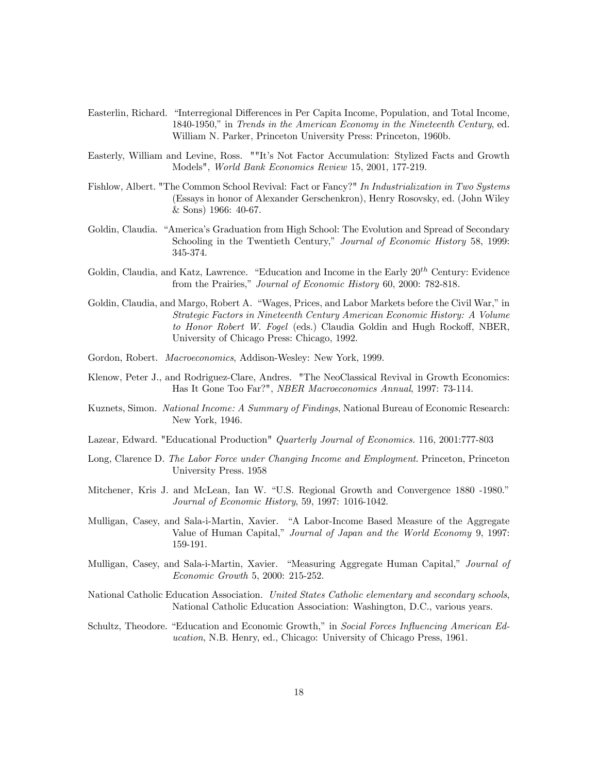- Easterlin, Richard. "Interregional Differences in Per Capita Income, Population, and Total Income, 1840-1950," in Trends in the American Economy in the Nineteenth Century, ed. William N. Parker, Princeton University Press: Princeton, 1960b.
- Easterly, William and Levine, Ross. ""It's Not Factor Accumulation: Stylized Facts and Growth Models", World Bank Economics Review 15, 2001, 177-219.
- Fishlow, Albert. "The Common School Revival: Fact or Fancy?" In Industrialization in Two Systems (Essays in honor of Alexander Gerschenkron), Henry Rosovsky, ed. (John Wiley & Sons) 1966: 40-67.
- Goldin, Claudia. "America's Graduation from High School: The Evolution and Spread of Secondary Schooling in the Twentieth Century," Journal of Economic History 58, 1999: 345-374.
- Goldin, Claudia, and Katz, Lawrence. "Education and Income in the Early  $20^{th}$  Century: Evidence from the Prairies," Journal of Economic History 60, 2000: 782-818.
- Goldin, Claudia, and Margo, Robert A. "Wages, Prices, and Labor Markets before the Civil War," in Strategic Factors in Nineteenth Century American Economic History: A Volume to Honor Robert W. Fogel (eds.) Claudia Goldin and Hugh Rockoff, NBER, University of Chicago Press: Chicago, 1992.
- Gordon, Robert. Macroeconomics, Addison-Wesley: New York, 1999.
- Klenow, Peter J., and Rodriguez-Clare, Andres. "The NeoClassical Revival in Growth Economics: Has It Gone Too Far?", NBER Macroeconomics Annual, 1997: 73-114.
- Kuznets, Simon. National Income: A Summary of Findings, National Bureau of Economic Research: New York, 1946.
- Lazear, Edward. "Educational Production" Quarterly Journal of Economics. 116, 2001:777-803
- Long, Clarence D. The Labor Force under Changing Income and Employment. Princeton, Princeton University Press. 1958
- Mitchener, Kris J. and McLean, Ian W. "U.S. Regional Growth and Convergence 1880 -1980." Journal of Economic History, 59, 1997: 1016-1042.
- Mulligan, Casey, and Sala-i-Martin, Xavier. "A Labor-Income Based Measure of the Aggregate Value of Human Capital," Journal of Japan and the World Economy 9, 1997: 159-191.
- Mulligan, Casey, and Sala-i-Martin, Xavier. "Measuring Aggregate Human Capital," Journal of Economic Growth 5, 2000: 215-252.
- National Catholic Education Association. United States Catholic elementary and secondary schools, National Catholic Education Association: Washington, D.C., various years.
- Schultz, Theodore. "Education and Economic Growth," in Social Forces Influencing American Education, N.B. Henry, ed., Chicago: University of Chicago Press, 1961.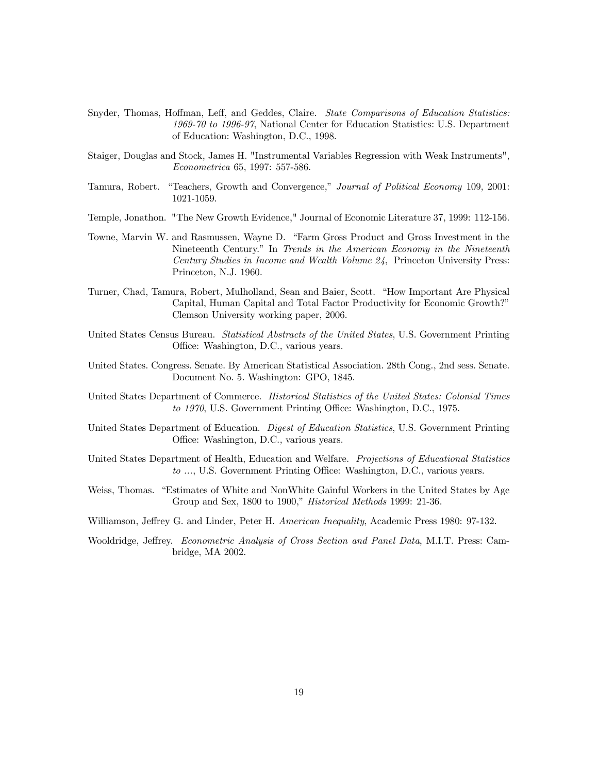- Snyder, Thomas, Hoffman, Leff, and Geddes, Claire. State Comparisons of Education Statistics: 1969-70 to 1996-97, National Center for Education Statistics: U.S. Department of Education: Washington, D.C., 1998.
- Staiger, Douglas and Stock, James H. "Instrumental Variables Regression with Weak Instruments", Econometrica 65, 1997: 557-586.
- Tamura, Robert. "Teachers, Growth and Convergence," Journal of Political Economy 109, 2001: 1021-1059.
- Temple, Jonathon. "The New Growth Evidence," Journal of Economic Literature 37, 1999: 112-156.
- Towne, Marvin W. and Rasmussen, Wayne D. "Farm Gross Product and Gross Investment in the Nineteenth Century." In Trends in the American Economy in the Nineteenth Century Studies in Income and Wealth Volume 24, Princeton University Press: Princeton, N.J. 1960.
- Turner, Chad, Tamura, Robert, Mulholland, Sean and Baier, Scott. "How Important Are Physical Capital, Human Capital and Total Factor Productivity for Economic Growth?" Clemson University working paper, 2006.
- United States Census Bureau. Statistical Abstracts of the United States, U.S. Government Printing Office: Washington, D.C., various years.
- United States. Congress. Senate. By American Statistical Association. 28th Cong., 2nd sess. Senate. Document No. 5. Washington: GPO, 1845.
- United States Department of Commerce. Historical Statistics of the United States: Colonial Times to 1970, U.S. Government Printing Office: Washington, D.C., 1975.
- United States Department of Education. Digest of Education Statistics, U.S. Government Printing Office: Washington, D.C., various years.
- United States Department of Health, Education and Welfare. Projections of Educational Statistics to ..., U.S. Government Printing Office: Washington, D.C., various years.
- Weiss, Thomas. "Estimates of White and NonWhite Gainful Workers in the United States by Age Group and Sex, 1800 to 1900," Historical Methods 1999: 21-36.
- Williamson, Jeffrey G. and Linder, Peter H. American Inequality, Academic Press 1980: 97-132.
- Wooldridge, Jeffrey. Econometric Analysis of Cross Section and Panel Data, M.I.T. Press: Cambridge, MA 2002.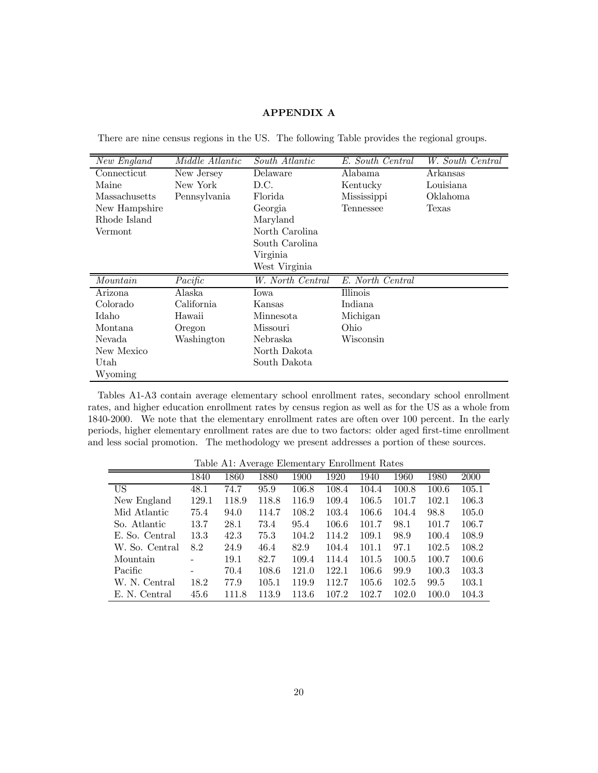## APPENDIX A

|  |  |  | There are nine census regions in the US. The following Table provides the regional groups. |  |
|--|--|--|--------------------------------------------------------------------------------------------|--|
|--|--|--|--------------------------------------------------------------------------------------------|--|

| New England   | <i>Middle Atlantic</i> | South Atlantic   | E. South Central | W. South Central |
|---------------|------------------------|------------------|------------------|------------------|
| Connecticut   | New Jersey             | Delaware         | Alabama          | Arkansas         |
| Maine         | New York               | D.C.             | Kentucky         | Louisiana        |
| Massachusetts | Pennsylvania           | Florida          | Mississippi      | Oklahoma         |
| New Hampshire |                        | Georgia          | Tennessee        | Texas            |
| Rhode Island  |                        | Maryland         |                  |                  |
| Vermont       |                        | North Carolina   |                  |                  |
|               |                        | South Carolina   |                  |                  |
|               |                        | Virginia         |                  |                  |
|               |                        | West Virginia    |                  |                  |
| Mountain      | Pacific                | W. North Central | E. North Central |                  |
| Arizona       | Alaska                 | Iowa             | Illinois         |                  |
| Colorado      | California             | Kansas           | Indiana          |                  |
| Idaho         | Hawaii                 | Minnesota        | Michigan         |                  |
| Montana       | Oregon                 | Missouri         | Ohio             |                  |
| Nevada        | Washington             | Nebraska         | Wisconsin        |                  |
| New Mexico    |                        | North Dakota     |                  |                  |
| Utah          |                        | South Dakota     |                  |                  |
| Wyoming       |                        |                  |                  |                  |

Tables A1-A3 contain average elementary school enrollment rates, secondary school enrollment rates, and higher education enrollment rates by census region as well as for the US as a whole from 1840-2000. We note that the elementary enrollment rates are often over 100 percent. In the early periods, higher elementary enrollment rates are due to two factors: older aged first-time enrollment and less social promotion. The methodology we present addresses a portion of these sources.

Table A1: Average Elementary Enrollment Rates 1840 1860 1880 1900 1920 1940 1960 1980 2000 US 48.1 74.7 95.9 106.8 108.4 104.4 100.8 100.6 105.1 New England 129.1 118.9 118.8 116.9 109.4 106.5 101.7 102.1 106.3 Mid Atlantic 75.4 94.0 114.7 108.2 103.4 106.6 104.4 98.8 105.0 So. Atlantic 13.7 28.1 73.4 95.4 106.6 101.7 98.1 101.7 106.7 E. So. Central 13.3 42.3 75.3 104.2 114.2 109.1 98.9 100.4 108.9 W. So. Central 8.2 24.9 46.4 82.9 104.4 101.1 97.1 102.5 108.2 Mountain - 19.1 82.7 109.4 114.4 101.5 100.5 100.7 100.6 Pacific - 70.4 108.6 121.0 122.1 106.6 99.9 100.3 103.3 W. N. Central 18.2 77.9 105.1 119.9 112.7 105.6 102.5 99.5 103.1 E. N. Central 45.6 111.8 113.9 113.6 107.2 102.7 102.0 100.0 104.3

20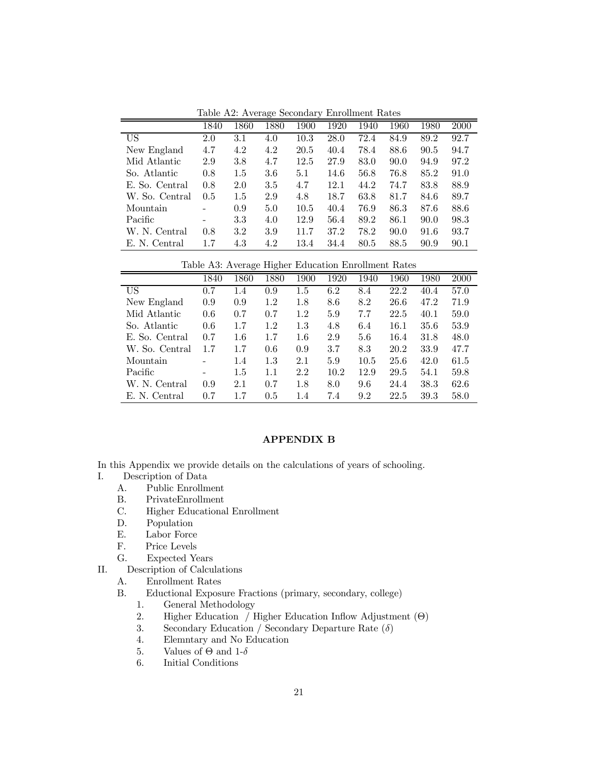Table A2: Average Secondary Enrollment Rates

|                | 1840                     | 1860 | 1880 | 1900 | 1920 | 1940 | 1960 | 1980 | 2000 |
|----------------|--------------------------|------|------|------|------|------|------|------|------|
| US             | 2.0                      | 3.1  | 4.0  | 10.3 | 28.0 | 72.4 | 84.9 | 89.2 | 92.7 |
| New England    | 4.7                      | 4.2  | 4.2  | 20.5 | 40.4 | 78.4 | 88.6 | 90.5 | 94.7 |
| Mid Atlantic   | 2.9                      | 3.8  | 4.7  | 12.5 | 27.9 | 83.0 | 90.0 | 94.9 | 97.2 |
| So. Atlantic   | 0.8                      | 1.5  | 3.6  | 5.1  | 14.6 | 56.8 | 76.8 | 85.2 | 91.0 |
| E. So. Central | 0.8                      | 2.0  | 3.5  | 4.7  | 12.1 | 44.2 | 74.7 | 83.8 | 88.9 |
| W. So. Central | 0.5                      | 1.5  | 2.9  | 4.8  | 18.7 | 63.8 | 81.7 | 84.6 | 89.7 |
| Mountain       | ۰                        | 0.9  | 5.0  | 10.5 | 40.4 | 76.9 | 86.3 | 87.6 | 88.6 |
| Pacific        | $\overline{\phantom{0}}$ | 3.3  | 4.0  | 12.9 | 56.4 | 89.2 | 86.1 | 90.0 | 98.3 |
| W. N. Central  | 0.8                      | 3.2  | 3.9  | 11.7 | 37.2 | 78.2 | 90.0 | 91.6 | 93.7 |
| E. N. Central  | 1.7                      | 4.3  | 4.2  | 13.4 | 34.4 | 80.5 | 88.5 | 90.9 | 90.1 |

Table A3: Average Higher Education Enrollment Rates

|                | 1840 | 1860 | 1880 | 1900    | 1920 | 1940 | 1960 | 1980 | 2000 |
|----------------|------|------|------|---------|------|------|------|------|------|
| US             | 0.7  | 1.4  | 0.9  | $1.5\,$ | 6.2  | 8.4  | 22.2 | 40.4 | 57.0 |
| New England    | 0.9  | 0.9  | 1.2  | 1.8     | 8.6  | 8.2  | 26.6 | 47.2 | 71.9 |
| Mid Atlantic   | 0.6  | 0.7  | 0.7  | 1.2     | 5.9  | 7.7  | 22.5 | 40.1 | 59.0 |
| So. Atlantic   | 0.6  | 1.7  | 1.2  | 1.3     | 4.8  | 6.4  | 16.1 | 35.6 | 53.9 |
| E. So. Central | 0.7  | 1.6  | 1.7  | $1.6\,$ | 2.9  | 5.6  | 16.4 | 31.8 | 48.0 |
| W. So. Central | 1.7  | 1.7  | 0.6  | 0.9     | 3.7  | 8.3  | 20.2 | 33.9 | 47.7 |
| Mountain       |      | 1.4  | 1.3  | 2.1     | 5.9  | 10.5 | 25.6 | 42.0 | 61.5 |
| Pacific        |      | 1.5  | 1.1  | 2.2     | 10.2 | 12.9 | 29.5 | 54.1 | 59.8 |
| W. N. Central  | 0.9  | 2.1  | 0.7  | 1.8     | 8.0  | 9.6  | 24.4 | 38.3 | 62.6 |
| E. N. Central  | 0.7  | 1.7  | 0.5  | 1.4     | 7.4  | 9.2  | 22.5 | 39.3 | 58.0 |

# APPENDIX B

In this Appendix we provide details on the calculations of years of schooling.

- I. Description of Data
	- A. Public Enrollment
	- B. PrivateEnrollment
	- C. Higher Educational Enrollment
	- D. Population
	- E. Labor Force
	- F. Price Levels
	- G. Expected Years

II. Description of Calculations

- A. Enrollment Rates
- B. Eductional Exposure Fractions (primary, secondary, college)
	- 1. General Methodology
	- 2. Higher Education / Higher Education Inflow Adjustment (Θ)
	- 3. Secondary Education / Secondary Departure Rate  $(\delta)$
	- 4. Elemntary and No Education
	- 5. Values of  $\Theta$  and 1-δ
	- 6. Initial Conditions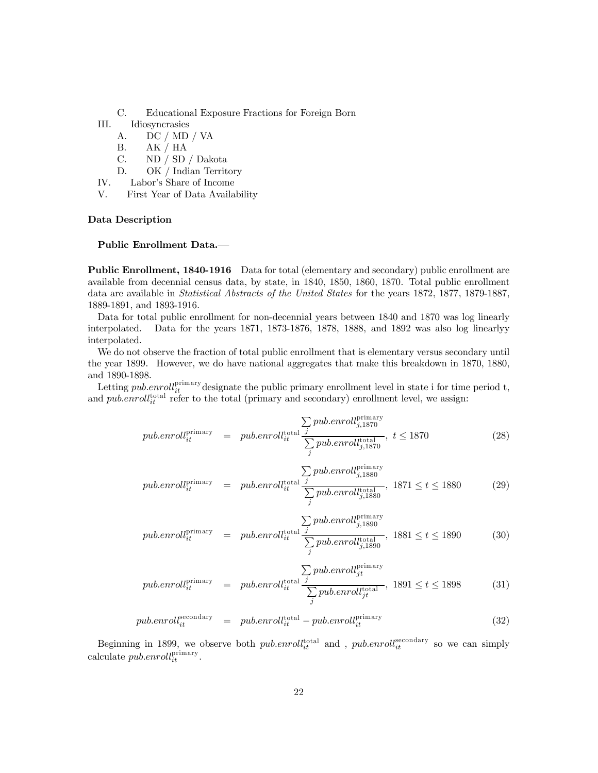- C. Educational Exposure Fractions for Foreign Born
- III. Idiosyncrasies
	- A. DC / MD / VA
	- B. AK / HA
	- C. ND / SD / Dakota
	- D. OK / Indian Territory
- IV. Labor's Share of Income
- V. First Year of Data Availability

#### Data Description

#### Public Enrollment Data.–

Public Enrollment, 1840-1916 Data for total (elementary and secondary) public enrollment are available from decennial census data, by state, in 1840, 1850, 1860, 1870. Total public enrollment data are available in Statistical Abstracts of the United States for the years 1872, 1877, 1879-1887, 1889-1891, and 1893-1916.

Data for total public enrollment for non-decennial years between 1840 and 1870 was log linearly interpolated. Data for the years 1871, 1873-1876, 1878, 1888, and 1892 was also log linearlyy interpolated.

We do not observe the fraction of total public enrollment that is elementary versus secondary until the year 1899. However, we do have national aggregates that make this breakdown in 1870, 1880, and 1890-1898.

Letting *pub.enroll*<sup>primary</sup> designate the public primary enrollment level in state i for time period t, and  $pub.enroll_{it}^{total}$  refer to the total (primary and secondary) enrollment level, we assign:

$$
pub.enroll_{it}^{\text{primary}} = publicenroll_{it}^{\text{total}} \frac{\sum_{j} pub.enroll_{j,1870}^{\text{primary}}}{\sum_{j}pub.enroll_{j,1870}^{\text{total}}}, \ t \le 1870
$$
\n
$$
(28)
$$

$$
pub.enroll_{it}^{\text{primary}} = pub.enroll_{it}^{\text{total}} \frac{\sum_{j} pub.enroll_{j,1880}^{\text{primary}}}{\sum_{j}pub.enroll_{j,1880}^{\text{total}}}, 1871 \le t \le 1880
$$
 (29)

$$
pub.enroll_{it}^{\text{primary}} = pub.enroll_{it}^{\text{total}} \frac{\sum_{j} pub.enroll_{j,1890}^{\text{primary}}}{\sum_{j}pub.enroll_{j,1890}^{\text{total}}}, 1881 \le t \le 1890
$$
 (30)

$$
pub.enroll_{it}^{\text{primary}} = pub.enroll_{it}^{\text{total}} \frac{\sum_{j} pub.enroll_{jt}^{\text{primary}}}{\sum_{j} pub.enroll_{jt}^{\text{total}}}, 1891 \le t \le 1898
$$
 (31)

$$
pub.en roll_{it}^{secondary} = publicen roll_{it}^{total} - pub.enroll_{it}^{primary}
$$
\n(32)

Beginning in 1899, we observe both  $public$  and ,  $public$  and ,  $public$  so we can simply calculate  $pub.enroll_{it}^{\text{primary}}$ .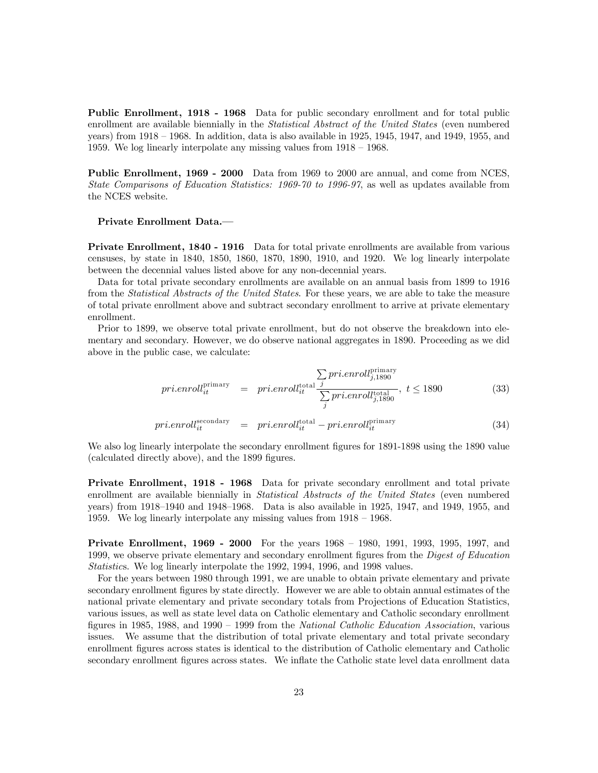Public Enrollment, 1918 - 1968 Data for public secondary enrollment and for total public enrollment are available biennially in the *Statistical Abstract of the United States* (even numbered years) from 1918 — 1968. In addition, data is also available in 1925, 1945, 1947, and 1949, 1955, and 1959. We log linearly interpolate any missing values from 1918 — 1968.

Public Enrollment, 1969 - 2000 Data from 1969 to 2000 are annual, and come from NCES, State Comparisons of Education Statistics: 1969-70 to 1996-97, as well as updates available from the NCES website.

#### Private Enrollment Data.–

Private Enrollment, 1840 - 1916 Data for total private enrollments are available from various censuses, by state in 1840, 1850, 1860, 1870, 1890, 1910, and 1920. We log linearly interpolate between the decennial values listed above for any non-decennial years.

Data for total private secondary enrollments are available on an annual basis from 1899 to 1916 from the *Statistical Abstracts of the United States*. For these years, we are able to take the measure of total private enrollment above and subtract secondary enrollment to arrive at private elementary enrollment.

Prior to 1899, we observe total private enrollment, but do not observe the breakdown into elementary and secondary. However, we do observe national aggregates in 1890. Proceeding as we did above in the public case, we calculate:

$$
pri.enroll_{it}^{\text{primary}} = pri.enroll_{it}^{\text{total}} \frac{\sum_{j} pri.enroll_{j,1890}^{\text{primary}}}{\sum_{j} pri.enroll_{j,1890}^{\text{total}}}, \ t \le 1890
$$
\n(33)

$$
pri.enroll_{it}^{\text{secondary}} = pri.enroll_{it}^{\text{total}} - pri.enroll_{it}^{\text{primary}} \tag{34}
$$

We also log linearly interpolate the secondary enrollment figures for 1891-1898 using the 1890 value (calculated directly above), and the 1899 figures.

Private Enrollment, 1918 - 1968 Data for private secondary enrollment and total private enrollment are available biennially in *Statistical Abstracts of the United States* (even numbered years) from 1918—1940 and 1948—1968. Data is also available in 1925, 1947, and 1949, 1955, and 1959. We log linearly interpolate any missing values from 1918 — 1968.

**Private Enrollment, 1969 - 2000** For the years 1968 – 1980, 1991, 1993, 1995, 1997, and 1999, we observe private elementary and secondary enrollment figures from the *Digest of Education* Statistics. We log linearly interpolate the 1992, 1994, 1996, and 1998 values.

For the years between 1980 through 1991, we are unable to obtain private elementary and private secondary enrollment figures by state directly. However we are able to obtain annual estimates of the national private elementary and private secondary totals from Projections of Education Statistics, various issues, as well as state level data on Catholic elementary and Catholic secondary enrollment figures in 1985, 1988, and 1990 — 1999 from the National Catholic Education Association, various issues. We assume that the distribution of total private elementary and total private secondary enrollment figures across states is identical to the distribution of Catholic elementary and Catholic secondary enrollment figures across states. We inflate the Catholic state level data enrollment data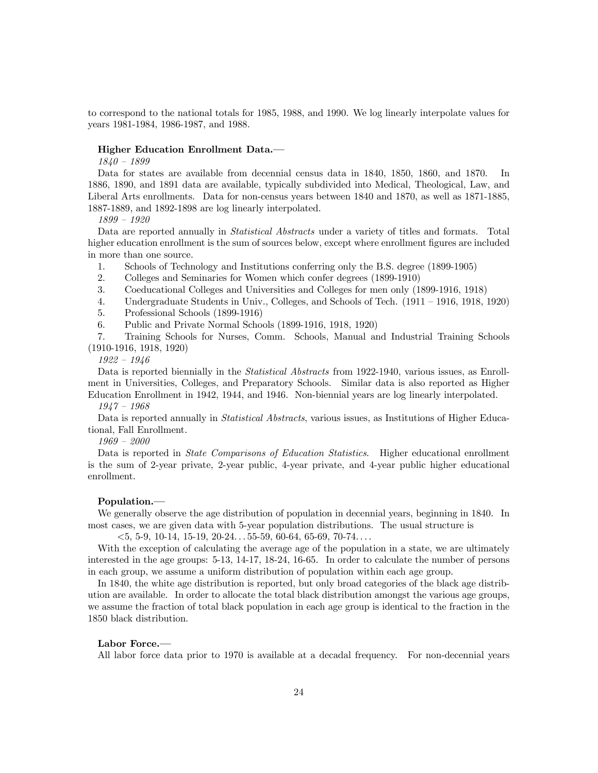to correspond to the national totals for 1985, 1988, and 1990. We log linearly interpolate values for years 1981-1984, 1986-1987, and 1988.

#### Higher Education Enrollment Data.–

1840 — 1899

Data for states are available from decennial census data in 1840, 1850, 1860, and 1870. In 1886, 1890, and 1891 data are available, typically subdivided into Medical, Theological, Law, and Liberal Arts enrollments. Data for non-census years between 1840 and 1870, as well as 1871-1885, 1887-1889, and 1892-1898 are log linearly interpolated.

1899 — 1920

Data are reported annually in *Statistical Abstracts* under a variety of titles and formats. Total higher education enrollment is the sum of sources below, except where enrollment figures are included in more than one source.

1. Schools of Technology and Institutions conferring only the B.S. degree (1899-1905)

2. Colleges and Seminaries for Women which confer degrees (1899-1910)

3. Coeducational Colleges and Universities and Colleges for men only (1899-1916, 1918)

4. Undergraduate Students in Univ., Colleges, and Schools of Tech. (1911 — 1916, 1918, 1920)

5. Professional Schools (1899-1916)

6. Public and Private Normal Schools (1899-1916, 1918, 1920)

7. Training Schools for Nurses, Comm. Schools, Manual and Industrial Training Schools (1910-1916, 1918, 1920)

1922 — 1946

Data is reported biennially in the *Statistical Abstracts* from 1922-1940, various issues, as Enrollment in Universities, Colleges, and Preparatory Schools. Similar data is also reported as Higher Education Enrollment in 1942, 1944, and 1946. Non-biennial years are log linearly interpolated.

1947 — 1968

Data is reported annually in *Statistical Abstracts*, various issues, as Institutions of Higher Educational, Fall Enrollment.

1969 — 2000

Data is reported in *State Comparisons of Education Statistics*. Higher educational enrollment is the sum of 2-year private, 2-year public, 4-year private, and 4-year public higher educational enrollment.

#### Population.–

We generally observe the age distribution of population in decennial years, beginning in 1840. In most cases, we are given data with 5-year population distributions. The usual structure is

 $<$  5, 5-9, 10-14, 15-19, 20-24. . . 55-59, 60-64, 65-69, 70-74. . . .

With the exception of calculating the average age of the population in a state, we are ultimately interested in the age groups: 5-13, 14-17, 18-24, 16-65. In order to calculate the number of persons in each group, we assume a uniform distribution of population within each age group.

In 1840, the white age distribution is reported, but only broad categories of the black age distribution are available. In order to allocate the total black distribution amongst the various age groups, we assume the fraction of total black population in each age group is identical to the fraction in the 1850 black distribution.

#### Labor Force.–

All labor force data prior to 1970 is available at a decadal frequency. For non-decennial years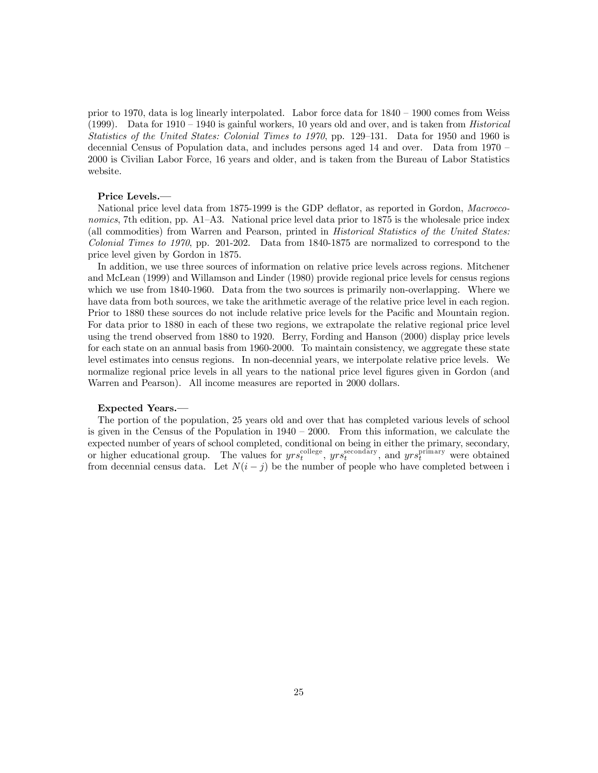prior to 1970, data is log linearly interpolated. Labor force data for 1840 — 1900 comes from Weiss (1999). Data for  $1910 - 1940$  is gainful workers, 10 years old and over, and is taken from *Historical* Statistics of the United States: Colonial Times to 1970, pp. 129—131. Data for 1950 and 1960 is decennial Census of Population data, and includes persons aged 14 and over. Data from 1970 — 2000 is Civilian Labor Force, 16 years and older, and is taken from the Bureau of Labor Statistics website.

#### Price Levels.–

National price level data from 1875-1999 is the GDP deflator, as reported in Gordon, Macroeconomics, 7th edition, pp. A1–A3. National price level data prior to 1875 is the wholesale price index (all commodities) from Warren and Pearson, printed in *Historical Statistics of the United States:* Colonial Times to 1970, pp. 201-202. Data from 1840-1875 are normalized to correspond to the price level given by Gordon in 1875.

In addition, we use three sources of information on relative price levels across regions. Mitchener and McLean (1999) and Willamson and Linder (1980) provide regional price levels for census regions which we use from 1840-1960. Data from the two sources is primarily non-overlapping. Where we have data from both sources, we take the arithmetic average of the relative price level in each region. Prior to 1880 these sources do not include relative price levels for the Pacific and Mountain region. For data prior to 1880 in each of these two regions, we extrapolate the relative regional price level using the trend observed from 1880 to 1920. Berry, Fording and Hanson (2000) display price levels for each state on an annual basis from 1960-2000. To maintain consistency, we aggregate these state level estimates into census regions. In non-decennial years, we interpolate relative price levels. We normalize regional price levels in all years to the national price level figures given in Gordon (and Warren and Pearson). All income measures are reported in 2000 dollars.

#### Expected Years.–

The portion of the population, 25 years old and over that has completed various levels of school is given in the Census of the Population in  $1940 - 2000$ . From this information, we calculate the expected number of years of school completed, conditional on being in either the primary, secondary, or higher educational group. The values for  $yrs_t^{\text{collect}}$ ,  $yrs_t^{\text{secondary}}$ , and  $yrs_t^{\text{primary}}$  were obtained from decennial census data. Let  $N(i - j)$  be the number of people who have completed between i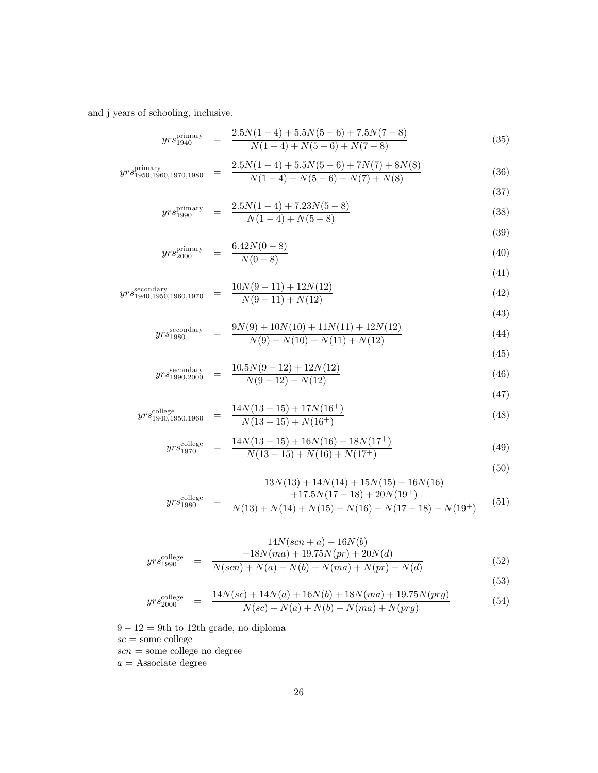and j years of schooling, inclusive.

$$
yrs_{1940}^{\text{primary}} = \frac{2.5N(1-4) + 5.5N(5-6) + 7.5N(7-8)}{N(1-4) + N(5-6) + N(7-8)}
$$
(35)

$$
yrs_{1950,1960,1970,1980}^{\text{primary}} = \frac{2.5N(1-4) + 5.5N(5-6) + 7N(7) + 8N(8)}{N(1-4) + N(5-6) + N(7) + N(8)} \tag{36}
$$

$$
yrs_{1990}^{\text{primary}} = \frac{2.5N(1-4) + 7.23N(5-8)}{N(1-4) + N(5-8)}
$$
(38)

$$
N(1-4) + N(5-8) \tag{39}
$$

$$
yrs_{2000}^{\text{primary}} = \frac{6.42N(0-8)}{N(0-8)}
$$
\n(40)

$$
yrs_{1940,1950,1960,1970}^{secondary} = \frac{10N(9-11) + 12N(12)}{N(9-11) + N(12)}
$$
\n(42)

$$
yrs_{1980}^{\text{secondary}} = \frac{9N(9) + 10N(10) + 11N(11) + 12N(12)}{N(9) + N(10) + N(11) + N(12)}
$$
\n(44)

$$
yrs_{1990,2000}^{\text{secondary}} = \frac{10.5N(9-12) + 12N(12)}{N(9-12) + N(12)}
$$
\n(46)

$$
\tag{47}
$$

$$
yrs_{1940,1950,1960}^{\text{college}} = \frac{14N(13-15) + 17N(16^+)}{N(13-15) + N(16^+)}
$$
\n(48)

$$
yrs_{1970}^{\text{college}} = \frac{14N(13-15) + 16N(16) + 18N(17^+)}{N(13-15) + N(16) + N(17^+)}
$$
(49)

$$
(50)
$$

(41)

(43)

(45)

$$
yrs_{1980}^{\text{college}} = \frac{13N(13) + 14N(14) + 15N(15) + 16N(16)}{N(13) + N(14) + N(15) + N(16) + N(17 - 18) + N(19^{+})}
$$
(51)

$$
yrs_{1990}^{\text{college}} = \frac{14N(scn+a) + 16N(b)}{N(scn) + N(a) + N(b) + N(ma) + N(pr) + N(d)}
$$
(52)

(53)  
\n
$$
yrs_{2000}^{\text{college}} = \frac{14N(\text{sc}) + 14N(a) + 16N(b) + 18N(ma) + 19.75N(\text{prg})}{N(\text{sc}) + N(\text{sc}) + N(\text{mc}) + N(\text{mc})}
$$

$$
rs_{2000}^{\text{college}} = \frac{14N(sc) + 14N(u) + 10N(v) + 16N(ma) + 19.75N(prg)}{N(sc) + N(a) + N(b) + N(ma) + N(prg)} \tag{54}
$$

 $9-12=9$ th to 12th grade, no diploma

 $\mathit{sc} =$ some college

 $\mathit{scn}$  = some college no degree

 $a=\operatorname{Associate}$  degree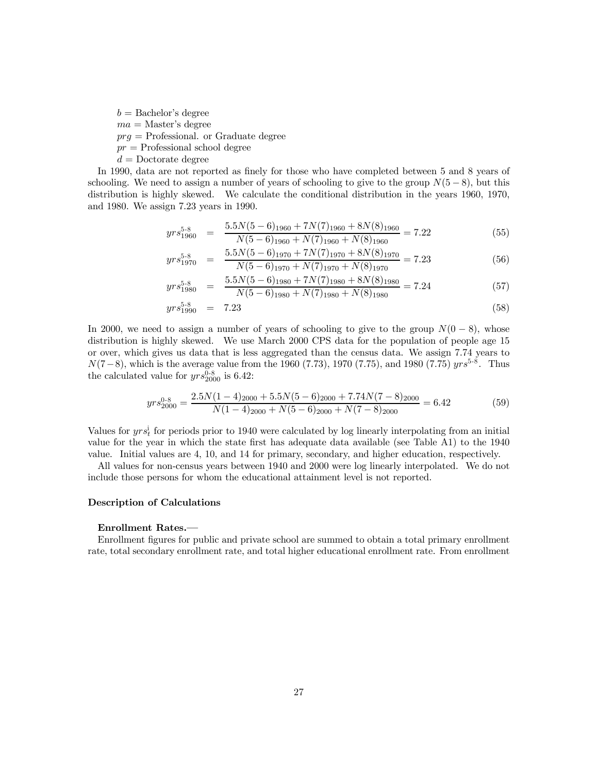$b =$ Bachelor's degree  $ma = Master's degree$ 

 $prq =$  Professional. or Graduate degree

 $pr =$ Professional school degree

 $d =$ Doctorate degree

In 1990, data are not reported as finely for those who have completed between 5 and 8 years of schooling. We need to assign a number of years of schooling to give to the group  $N(5-8)$ , but this distribution is highly skewed. We calculate the conditional distribution in the years 1960, 1970, and 1980. We assign 7.23 years in 1990.

$$
yrs_{1960}^{5\text{-}8} = \frac{5.5N(5-6)_{1960} + 7N(7)_{1960} + 8N(8)_{1960}}{N(5-6)_{1960} + N(7)_{1960} + N(8)_{1960}} = 7.22
$$
\n(55)

$$
yrs_{1970}^{5-8} = \frac{5.5N(5-6)_{1970} + 7N(7)_{1970} + 8N(8)_{1970}}{N(5-6)_{1970} + N(7)_{1970} + N(8)_{1970}} = 7.23
$$
\n(56)

$$
yrs_{1980}^{5-8} = \frac{5.5N(5-6)_{1980} + 7N(7)_{1980} + 8N(8)_{1980}}{N(5-6)_{1980} + N(7)_{1980} + N(8)_{1980}} = 7.24
$$
\n(57)

$$
yrs_{1990}^{5-8} = 7.23 \tag{58}
$$

In 2000, we need to assign a number of years of schooling to give to the group  $N(0-8)$ , whose distribution is highly skewed. We use March 2000 CPS data for the population of people age 15 or over, which gives us data that is less aggregated than the census data. We assign 7.74 years to  $N(7-8)$ , which is the average value from the 1960 (7.73), 1970 (7.75), and 1980 (7.75)  $yrs^{5-8}$ . Thus the calculated value for  $yrs_{2000}^{0.8}$  is 6.42:

$$
yrs_{2000}^{0.8} = \frac{2.5N(1-4)_{2000} + 5.5N(5-6)_{2000} + 7.74N(7-8)_{2000}}{N(1-4)_{2000} + N(5-6)_{2000} + N(7-8)_{2000}} = 6.42
$$
 (59)

Values for  $yrs_t^i$  for periods prior to 1940 were calculated by log linearly interpolating from an initial value for the year in which the state first has adequate data available (see Table A1) to the 1940 value. Initial values are 4, 10, and 14 for primary, secondary, and higher education, respectively.

All values for non-census years between 1940 and 2000 were log linearly interpolated. We do not include those persons for whom the educational attainment level is not reported.

### Description of Calculations

#### Enrollment Rates.–

Enrollment figures for public and private school are summed to obtain a total primary enrollment rate, total secondary enrollment rate, and total higher educational enrollment rate. From enrollment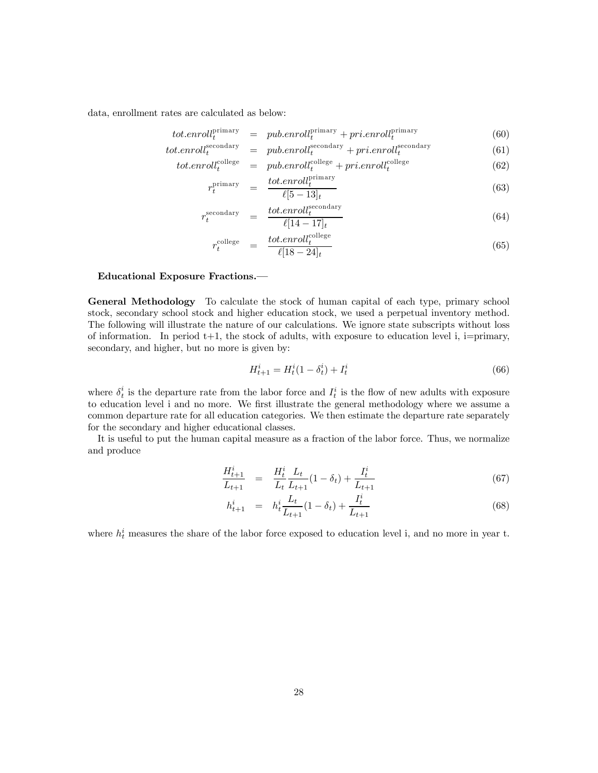data, enrollment rates are calculated as below:

$$
tot. envell_t^{\text{primary}} = pub. envell_t^{\text{primary}} + pri. envell_t^{\text{primary}} \tag{60}
$$

$$
tot. en roll_t^{\text{secondary}} = pub. en roll_t^{\text{secondary}} + pri. en roll_t^{\text{secondary}} \tag{61}
$$

$$
tot. en roll_t^{collapse} = pub. en roll_t^{collapse} + pri. en roll_t^{collapse}
$$
\n
$$
tot. en roll_t^{primary}
$$
\n(62)

$$
r_t^{\text{primary}} = \frac{tot.errorll_t^{\text{max}}}{\ell[5-13]_t} \tag{63}
$$

$$
r_t^{\text{secondary}} = \frac{tot.enrol_t^{\text{secondary}}}{\ell[14-17]_t} \tag{64}
$$

$$
r_t^{\text{colege}} = \frac{tot.enrol_t^{\text{colege}}}{\ell[18 - 24]_t} \tag{65}
$$

#### Educational Exposure Fractions.–

General Methodology To calculate the stock of human capital of each type, primary school stock, secondary school stock and higher education stock, we used a perpetual inventory method. The following will illustrate the nature of our calculations. We ignore state subscripts without loss of information. In period  $t+1$ , the stock of adults, with exposure to education level i, i=primary, secondary, and higher, but no more is given by:

$$
H_{t+1}^i = H_t^i (1 - \delta_t^i) + I_t^i
$$
\n(66)

where  $\delta_t^i$  is the departure rate from the labor force and  $I_t^i$  is the flow of new adults with exposure to education level i and no more. We first illustrate the general methodology where we assume a common departure rate for all education categories. We then estimate the departure rate separately for the secondary and higher educational classes.

It is useful to put the human capital measure as a fraction of the labor force. Thus, we normalize and produce

$$
\frac{H_{t+1}^i}{L_{t+1}} = \frac{H_t^i}{L_t} \frac{L_t}{L_{t+1}} (1 - \delta_t) + \frac{I_t^i}{L_{t+1}} \tag{67}
$$

$$
h_{t+1}^i = h_t^i \frac{L_t}{L_{t+1}} (1 - \delta_t) + \frac{I_t^i}{L_{t+1}}
$$
\n(68)

where  $h_t^i$  measures the share of the labor force exposed to education level i, and no more in year t.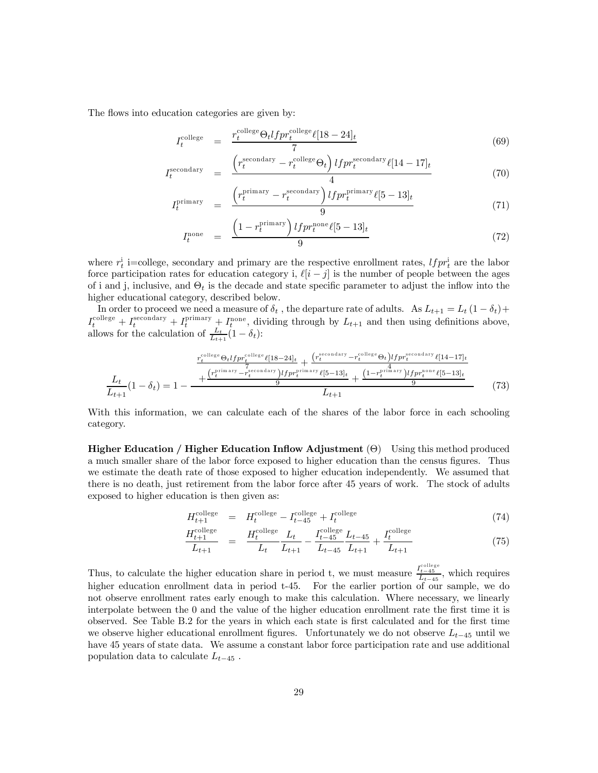The flows into education categories are given by:

$$
I_t^{\text{college}} = \frac{r_t^{\text{college}} \Theta_t l f p r_t^{\text{college}} \ell [18 - 24]_t}{7} \tag{69}
$$

$$
I_t^{\text{secondary}} = \frac{\left(r_t^{\text{secondary}} - r_t^{\text{collect}} \Theta_t\right) l f p r_t^{\text{secondary}} \ell [14 - 17]_t}{4} \tag{70}
$$

$$
I_t^{\text{primary}} = \frac{\left(r_t^{\text{primary}} - r_t^{\text{secondary}}\right) l f p r_t^{\text{primary}} \ell [5 - 13]_t}{9} \tag{71}
$$

$$
I_t^{\text{none}} = \frac{\left(1 - r_t^{\text{primary}}\right) l f p r_t^{\text{none}} \ell [5 - 13]_t}{9} \tag{72}
$$

where  $r_t^i$  i=college, secondary and primary are the respective enrollment rates,  $l f p r_t^i$  are the labor force participation rates for education category i,  $\ell[i-j]$  is the number of people between the ages of i and j, inclusive, and  $\Theta_t$  is the decade and state specific parameter to adjust the inflow into the higher educational category, described below.

In order to proceed we need a measure of  $\delta_t$  , the departure rate of adults. As  $L_{t+1} = L_t (1 - \delta_t) +$  $I_t^{\text{collect}} + I_t^{\text{secondary}} + I_t^{\text{primary}} + I_t^{\text{none}}$ , dividing through by  $L_{t+1}$  and then using definitions above, allows for the calculation of  $\frac{L_t}{L_{t+1}}(1-\delta_t)$ :

$$
\frac{L_t}{L_{t+1}}(1 - \delta_t) = 1 - \frac{+\frac{(r_t^{\text{prinner}} - r_t^{\text{collage}} \ell[18 - 24]_t + (r_t^{\text{reconductive}} - r_t^{\text{collage}} \Theta_t) l f p r_t^{\text{reconductive}} \ell[14 - 17]_t}{9}}{L_{t+1}}}
$$
\n
$$
\frac{L_t}{L_{t+1}}(1 - \delta_t) = 1 - \frac{+\frac{(r_t^{\text{prinner}} - r_t^{\text{scondary}}) l f p r_t^{\text{prinner}} \ell[5 - 13]_t + (1 - r_t^{\text{prinner}}) l f p r_t^{\text{none}} \ell[5 - 13]_t}{9}}{L_{t+1}}
$$
\n
$$
(73)
$$

With this information, we can calculate each of the shares of the labor force in each schooling category.

Higher Education / Higher Education Inflow Adjustment  $(\Theta)$  Using this method produced a much smaller share of the labor force exposed to higher education than the census figures. Thus we estimate the death rate of those exposed to higher education independently. We assumed that there is no death, just retirement from the labor force after 45 years of work. The stock of adults exposed to higher education is then given as:

$$
H_{t+1}^{\text{college}} = H_t^{\text{college}} - I_{t-45}^{\text{college}} + I_t^{\text{college}} \tag{74}
$$

$$
\frac{H_{t+1}^{\text{college}}}{L_{t+1}} = \frac{H_t^{\text{college}}}{L_t} \frac{L_t}{L_{t+1}} - \frac{I_{t-45}^{\text{college}}}{L_{t-45}} \frac{L_{t-45}}{L_{t+1}} + \frac{I_t^{\text{college}}}{L_{t+1}}
$$
(75)

Thus, to calculate the higher education share in period t, we must measure  $\frac{I_{t-45}^{\text{collapse}}}{L_{t-45}}$ , which requires higher education enrollment data in period t-45. For the earlier portion of our sample, we do not observe enrollment rates early enough to make this calculation. Where necessary, we linearly interpolate between the 0 and the value of the higher education enrollment rate the first time it is observed. See Table B.2 for the years in which each state is first calculated and for the first time we observe higher educational enrollment figures. Unfortunately we do not observe  $L_{t-45}$  until we have 45 years of state data. We assume a constant labor force participation rate and use additional population data to calculate  $L_{t-45}$ .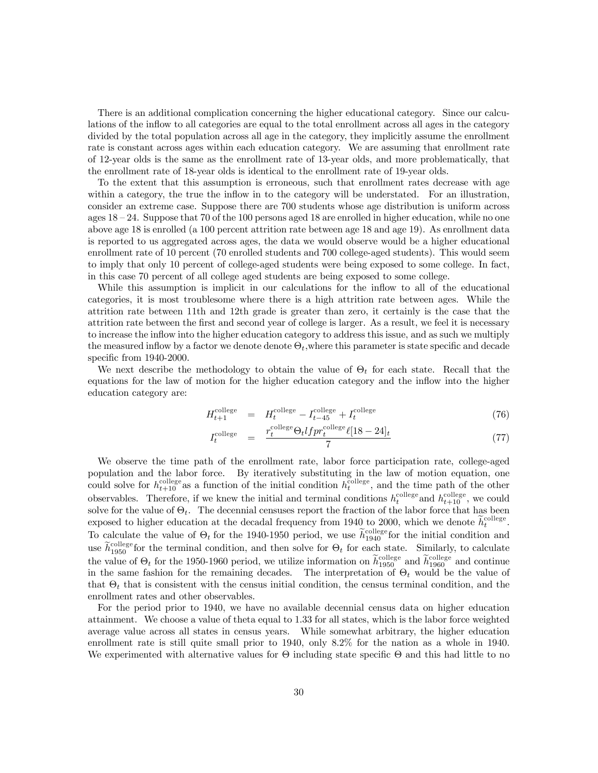There is an additional complication concerning the higher educational category. Since our calculations of the inflow to all categories are equal to the total enrollment across all ages in the category divided by the total population across all age in the category, they implicitly assume the enrollment rate is constant across ages within each education category. We are assuming that enrollment rate of 12-year olds is the same as the enrollment rate of 13-year olds, and more problematically, that the enrollment rate of 18-year olds is identical to the enrollment rate of 19-year olds.

To the extent that this assumption is erroneous, such that enrollment rates decrease with age within a category, the true the inflow in to the category will be understated. For an illustration, consider an extreme case. Suppose there are 700 students whose age distribution is uniform across ages  $18 - 24$ . Suppose that 70 of the 100 persons aged 18 are enrolled in higher education, while no one above age 18 is enrolled (a 100 percent attrition rate between age 18 and age 19). As enrollment data is reported to us aggregated across ages, the data we would observe would be a higher educational enrollment rate of 10 percent (70 enrolled students and 700 college-aged students). This would seem to imply that only 10 percent of college-aged students were being exposed to some college. In fact, in this case 70 percent of all college aged students are being exposed to some college.

While this assumption is implicit in our calculations for the inflow to all of the educational categories, it is most troublesome where there is a high attrition rate between ages. While the attrition rate between 11th and 12th grade is greater than zero, it certainly is the case that the attrition rate between the first and second year of college is larger. As a result, we feel it is necessary to increase the inflow into the higher education category to address this issue, and as such we multiply the measured inflow by a factor we denote denote  $\Theta_t$ , where this parameter is state specific and decade specific from 1940-2000.

We next describe the methodology to obtain the value of  $\Theta_t$  for each state. Recall that the equations for the law of motion for the higher education category and the inflow into the higher education category are:

$$
H_{t+1}^{\text{college}} = H_t^{\text{college}} - I_{t-45}^{\text{college}} + I_t^{\text{college}} \tag{76}
$$

$$
I_t^{\text{college}} = \frac{r_t^{\text{college}} \Theta_t l f p r_t^{\text{college}} \ell [18 - 24]_t}{7} \tag{77}
$$

We observe the time path of the enrollment rate, labor force participation rate, college-aged population and the labor force. By iteratively substituting in the law of motion equation, one could solve for  $h_{t+10}^{\text{collapse}}$  as a function of the initial condition  $h_t^{\text{collapse}}$ , and the time path of the other observables. Therefore, if we knew the initial and terminal conditions  $h_t^{\text{collect}}$  and  $h_{t+10}^{\text{collapse}}$ , we could solve for the value of  $\Theta_t$ . The decennial censuses report the fraction of the labor force that has been exposed to higher education at the decadal frequency from 1940 to 2000, which we denote  $\widetilde{h}_t^{\text{collect}}$ . To calculate the value of  $\Theta_t$  for the 1940-1950 period, we use  $\tilde{h}_{1940}^{\text{collect}}$  for the initial condition and use  $\tilde{h}_{1950}^{\text{collapse}}$  for the terminal condition, and then solve for  $\Theta_t$  for each state. Similarly, to calculate the value of  $\Theta_t$  for the 1950-1960 period, we utilize information on  $\widetilde{h}_{1950}^{\text{collapse}}$  and  $\widetilde{h}_{1960}^{\text{collapse}}$  and continue in the same fashion for the remaining decades. The interpretation of  $\Theta_t$  would be the value of that  $\Theta_t$  that is consistent with the census initial condition, the census terminal condition, and the enrollment rates and other observables.

For the period prior to 1940, we have no available decennial census data on higher education attainment. We choose a value of theta equal to 1.33 for all states, which is the labor force weighted average value across all states in census years. While somewhat arbitrary, the higher education enrollment rate is still quite small prior to 1940, only 8.2% for the nation as a whole in 1940. We experimented with alternative values for Θ including state specific Θ and this had little to no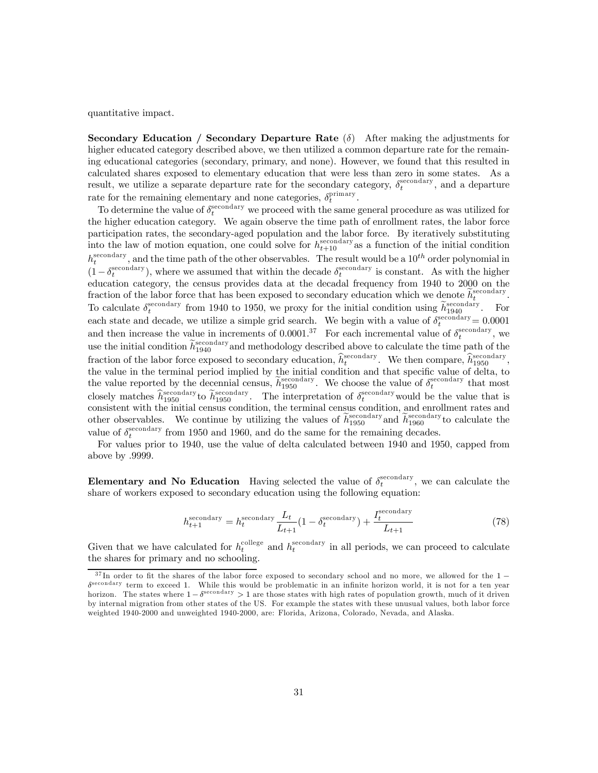quantitative impact.

Secondary Education / Secondary Departure Rate  $(\delta)$  After making the adjustments for higher educated category described above, we then utilized a common departure rate for the remaining educational categories (secondary, primary, and none). However, we found that this resulted in calculated shares exposed to elementary education that were less than zero in some states. As a result, we utilize a separate departure rate for the secondary category,  $\delta_t^{\text{secondary}}$ , and a departure rate for the remaining elementary and none categories,  $\delta_t^{\text{primary}}$ .

To determine the value of  $\delta_t^{\text{secondary}}$  we proceed with the same general procedure as was utilized for the higher education category. We again observe the time path of enrollment rates, the labor force participation rates, the secondary-aged population and the labor force. By iteratively substituting into the law of motion equation, one could solve for  $h_{t+10}^{\text{secondary}}$  as a function of the initial condition  $h_t^{\text{secondary}}$ , and the time path of the other observables. The result would be a  $10^{th}$  order polynomial in  $(1-\delta_t^{\text{secondary}})$ , where we assumed that within the decade  $\delta_t^{\text{secondary}}$  is constant. As with the higher education category, the census provides data at the decadal frequency from 1940 to 2000 on the fraction of the labor force that has been exposed to secondary education which we denote  $\tilde{h}_t^{\text{secondary}}$ . t To calculate  $\delta_t^{\text{secondary}}$  from 1940 to 1950, we proxy for the initial condition using  $\tilde{h}_{1940}^{\text{secondary}}$ . For each state and decade, we utilize a simple grid search. We begin with a value of  $\delta_t^{\text{secondary}} = 0.0001$ and then increase the value in increments of 0.0001.<sup>37</sup> For each incremental value of  $\delta_t^{\text{secondary}}$ , we use the initial condition  $\tilde{h}_{1940}^{\text{secondary}}$  and methodology described above to calculate the time path of the fraction of the labor force exposed to secondary education,  $\hat{h}^{\text{secondary}}_t$ . We then compare,  $\hat{h}^{\text{secondary}}_{1950}$ , the value in the terminal period implied by the initial condition and that specific value of delta, to the value reported by the decennial census,  $\tilde{h}_{1950}^{\text{secondary}}$ . We choose the value of  $\delta_t^{\text{secondary}}$  that most closely matches  $h_{1950}^{\text{secondary}}$  to  $h_{1950}^{\text{secondary}}$ . The interpretation of  $\delta_t^{\text{secondary}}$  would be the value that is consistent with the initial census condition, the terminal census condition, and enrollment rates and other observables. We continue by utilizing the values of  $\widetilde{h}_{1950}^{\text{secondary}}$  and  $\widetilde{h}_{1960}^{\text{secondary}}$  to calculate the value of  $\delta_t^{\text{secondary}}$  from 1950 and 1960, and do the same for the remaining decades.

For values prior to 1940, use the value of delta calculated between 1940 and 1950, capped from above by .9999.

Elementary and No Education Having selected the value of  $\delta_t^{\text{secondary}}$ , we can calculate the share of workers exposed to secondary education using the following equation:

$$
h_{t+1}^{\text{secondary}} = h_t^{\text{secondary}} \frac{L_t}{L_{t+1}} \left( 1 - \delta_t^{\text{secondary}} \right) + \frac{I_t^{\text{secondary}}}{L_{t+1}} \tag{78}
$$

Given that we have calculated for  $h_t^{\text{collect}}$  and  $h_t^{\text{secondary}}$  in all periods, we can proceed to calculate the shares for primary and no schooling.

 $37 \text{ In order to fit the shares of the labor force exposed to secondary school and no more, we allowed for the 1 – }$  $\delta^{\text{secondary}}$  term to exceed 1. While this would be problematic in an infinite horizon world, it is not for a ten year horizon. The states where  $1 - \delta^{\text{secondary}} > 1$  are those states with high rates of population growth, much of it driven by internal migration from other states of the US. For example the states with these unusual values, both labor force weighted 1940-2000 and unweighted 1940-2000, are: Florida, Arizona, Colorado, Nevada, and Alaska.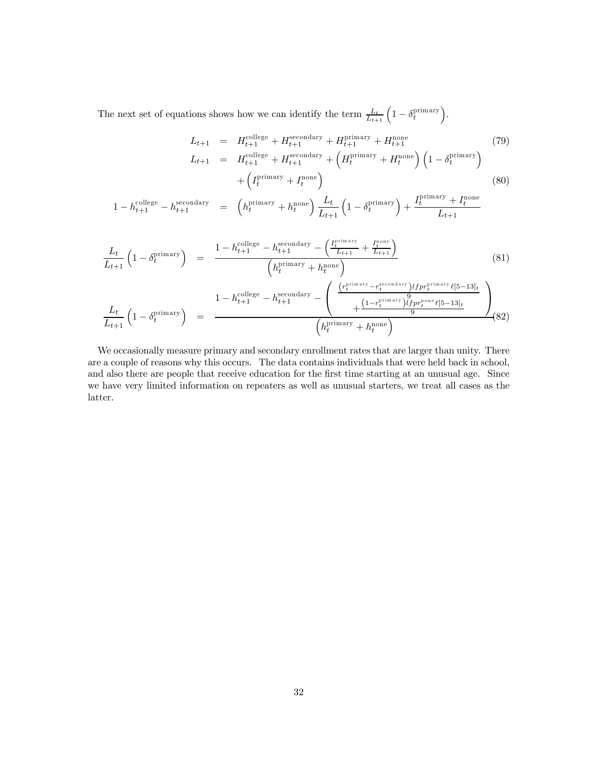The next set of equations shows how we can identify the term  $\frac{L_t}{L_{t+1}} \left(1 - \delta_t^{\text{primary}}\right)$ .

$$
L_{t+1} = H_{t+1}^{\text{collect}} + H_{t+1}^{\text{secondary}} + H_{t+1}^{\text{primary}} + H_{t+1}^{\text{none}}
$$
(79)  
\n
$$
L_{t+1} = H_{t+1}^{\text{collect}} + H_{t+1}^{\text{secondary}} + \left(H_t^{\text{primary}} + H_t^{\text{none}}\right) \left(1 - \delta_t^{\text{primary}}\right)
$$
  
\n
$$
+ \left(I_t^{\text{primary}} + I_t^{\text{none}}\right)
$$
(80)

$$
1 - h_{t+1}^{\text{college}} - h_{t+1}^{\text{secondary}} = \left( h_t^{\text{primary}} + h_t^{\text{none}} \right) \frac{L_t}{L_{t+1}} \left( 1 - \delta_t^{\text{primary}} \right) + \frac{I_t^{\text{primary}} + I_t^{\text{none}}}{L_{t+1}}
$$

$$
\frac{L_t}{L_{t+1}} \left( 1 - \delta_t^{\text{primary}} \right) = \frac{1 - h_{t+1}^{\text{college}} - h_{t+1}^{\text{secondary}} - \left( \frac{I_t^{\text{primary}}}{L_{t+1}} + \frac{I_t^{\text{none}}}{L_{t+1}} \right)}{\left( h_t^{\text{primary}} + h_t^{\text{none}} \right)}
$$
\n
$$
\frac{L_t}{L_{t+1}} \left( 1 - \delta_t^{\text{primary}} \right) = \frac{1 - h_{t+1}^{\text{college}} - h_{t+1}^{\text{secondary}} - \left( \frac{\left( r_t^{\text{primary}} - r_t^{\text{secondary}} \right) l f p r_t^{\text{primary}} \ell [5-13]_t}{+ \frac{\left( 1 - r_t^{\text{primary}} \right) l f p r_t^{\text{primary}} \ell [5-13]_t}{9} \right)}}{\left( h_t^{\text{primary}} + h_t^{\text{none}} \right)}
$$
\n
$$
(82)
$$

We occasionally measure primary and secondary enrollment rates that are larger than unity. There are a couple of reasons why this occurs. The data contains individuals that were held back in school, and also there are people that receive education for the first time starting at an unusual age. Since we have very limited information on repeaters as well as unusual starters, we treat all cases as the latter.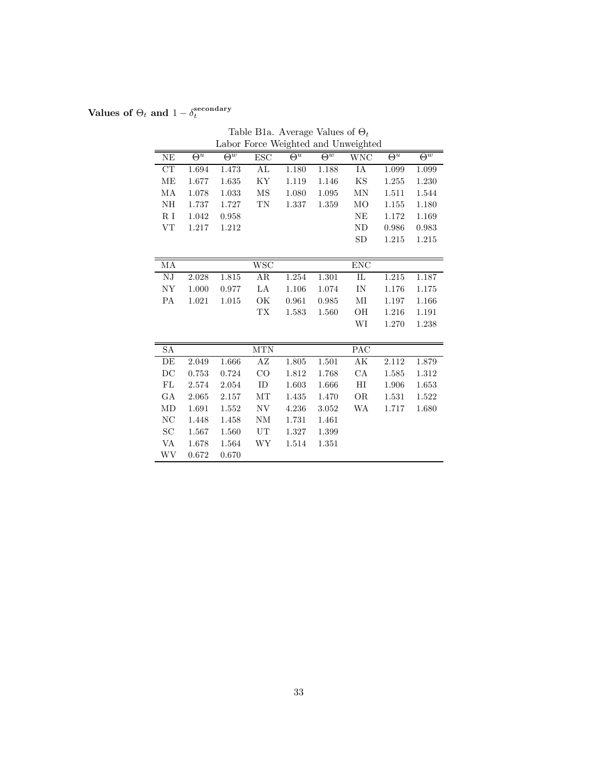# Values of  $\Theta_t$  and  $1 - \delta_t^{\rm secondary}$

|                     |                       |                       |            |                       |                       | Labor Force Weighted and Unweighted |                       |                       |
|---------------------|-----------------------|-----------------------|------------|-----------------------|-----------------------|-------------------------------------|-----------------------|-----------------------|
| <b>NE</b>           | $\overline{\Theta^u}$ | $\overline{\Theta^w}$ | ESC        | $\overline{\Theta^u}$ | $\overline{\Theta^w}$ | WNC                                 | $\overline{\Theta^u}$ | $\overline{\Theta^w}$ |
| CT                  | 1.694                 | 1.473                 | AL         | 1.180                 | 1.188                 | IA                                  | 1.099                 | 1.099                 |
| ME                  | 1.677                 | $1.635\,$             | KY         | 1.119                 | 1.146                 | KS                                  | 1.255                 | 1.230                 |
| MA                  | 1.078                 | 1.033                 | MS         | 1.080                 | 1.095                 | MN                                  | 1.511                 | 1.544                 |
| NH                  | 1.737                 | 1.727                 | TN         | 1.337                 | 1.359                 | MO                                  | 1.155                 | 1.180                 |
| R I                 | 1.042                 | 0.958                 |            |                       |                       | ΝE                                  | 1.172                 | 1.169                 |
| VT                  | 1.217                 | 1.212                 |            |                       |                       | <b>ND</b>                           | 0.986                 | 0.983                 |
|                     |                       |                       |            |                       |                       | SD                                  | 1.215                 | 1.215                 |
|                     |                       |                       |            |                       |                       |                                     |                       |                       |
| МA                  |                       |                       | <b>WSC</b> |                       |                       | <b>ENC</b>                          |                       |                       |
| NJ                  | 2.028                 | 1.815                 | AR         | 1.254                 | 1.301                 | IL                                  | 1.215                 | 1.187                 |
| NY                  | 1.000                 | 0.977                 | LA         | 1.106                 | 1.074                 | IN                                  | 1.176                 | 1.175                 |
| PA                  | 1.021                 | 1.015                 | OK         | 0.961                 | 0.985                 | $\rm MI$                            | 1.197                 | 1.166                 |
|                     |                       |                       | TX         | 1.583                 | 1.560                 | OН                                  | 1.216                 | 1.191                 |
|                     |                       |                       |            |                       |                       | WI                                  | 1.270                 | 1.238                 |
|                     |                       |                       |            |                       |                       |                                     |                       |                       |
| SA                  |                       |                       | $\rm{MTN}$ |                       |                       | PAC                                 |                       |                       |
| DE                  | 2.049                 | 1.666                 | AZ         | 1.805                 | 1.501                 | $\mathbf{A}\mathbf{K}$              | 2.112                 | 1.879                 |
| $\operatorname{DC}$ | 0.753                 | 0.724                 | CO         | 1.812                 | 1.768                 | CA                                  | 1.585                 | 1.312                 |
| FL                  | 2.574                 | 2.054                 | ID         | 1.603                 | 1.666                 | HI                                  | 1.906                 | 1.653                 |
| GА                  | 2.065                 | 2.157                 | MT         | 1.435                 | 1.470                 | <b>OR</b>                           | 1.531                 | 1.522                 |
| MD                  | 1.691                 | 1.552                 | NV         | 4.236                 | 3.052                 | WA                                  | 1.717                 | 1.680                 |
| ΝC                  | 1.448                 | 1.458                 | NΜ         | 1.731                 | 1.461                 |                                     |                       |                       |
| SC                  | 1.567                 | 1.560                 | UT         | 1.327                 | 1.399                 |                                     |                       |                       |
| VA                  | 1.678                 | 1.564                 | WΥ         | 1.514                 | 1.351                 |                                     |                       |                       |
| WV                  | 0.672                 | 0.670                 |            |                       |                       |                                     |                       |                       |

Table B1a. Average Values of  $\Theta_t$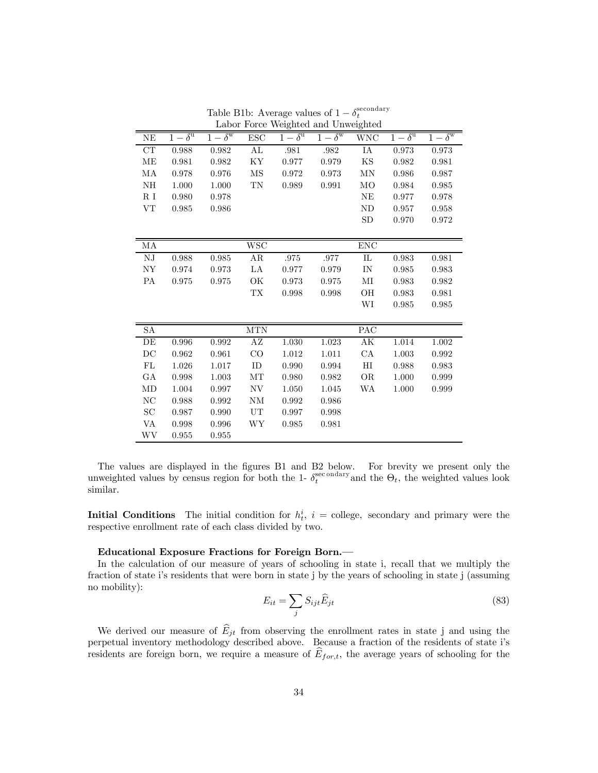|                     |                         |                         |                     |                         | Labor rorce weighted and Unweighted |                |                         |                         |
|---------------------|-------------------------|-------------------------|---------------------|-------------------------|-------------------------------------|----------------|-------------------------|-------------------------|
| NE                  | $1-\delta^{\mathrm{u}}$ | $1-\delta^{\mathrm{w}}$ | <b>ESC</b>          | $1-\delta^{\mathrm{u}}$ | $1-\delta^{\mathrm{w}}$             | <b>WNC</b>     | $1-\delta^{\mathrm{u}}$ | $1-\delta^{\mathrm{w}}$ |
| CT                  | 0.988                   | 0.982                   | AL                  | .981                    | .982                                | IA             | 0.973                   | 0.973                   |
| ME                  | 0.981                   | 0.982                   | ΚY                  | 0.977                   | 0.979                               | KS             | 0.982                   | 0.981                   |
| MA                  | 0.978                   | 0.976                   | $\overline{\rm MS}$ | 0.972                   | 0.973                               | MN             | 0.986                   | 0.987                   |
| NH                  | 1.000                   | 1.000                   | TN                  | 0.989                   | 0.991                               | M <sub>O</sub> | 0.984                   | 0.985                   |
| R <sub>I</sub>      | 0.980                   | 0.978                   |                     |                         |                                     | NE             | 0.977                   | 0.978                   |
| VT                  | 0.985                   | 0.986                   |                     |                         |                                     | <b>ND</b>      | 0.957                   | 0.958                   |
|                     |                         |                         |                     |                         |                                     | <b>SD</b>      | 0.970                   | 0.972                   |
|                     |                         |                         |                     |                         |                                     |                |                         |                         |
| MA                  |                         |                         | <b>WSC</b>          |                         |                                     | <b>ENC</b>     |                         |                         |
| ${\rm N J}$         | 0.988                   | 0.985                   | AR                  | .975                    | .977                                | $\rm IL$       | 0.983                   | 0.981                   |
| NY                  | 0.974                   | 0.973                   | LA                  | 0.977                   | 0.979                               | IN             | 0.985                   | 0.983                   |
| PA                  | 0.975                   | 0.975                   | ОK                  | 0.973                   | 0.975                               | $\rm MI$       | 0.983                   | 0.982                   |
|                     |                         |                         | <b>TX</b>           | 0.998                   | 0.998                               | OН             | 0.983                   | 0.981                   |
|                     |                         |                         |                     |                         |                                     | WI             | 0.985                   | 0.985                   |
|                     |                         |                         |                     |                         |                                     |                |                         |                         |
| ${\rm SA}$          |                         |                         | <b>MTN</b>          |                         |                                     | PAC            |                         |                         |
| DE                  | 0.996                   | 0.992                   | AZ                  | 1.030                   | 1.023                               | AK             | 1.014                   | 1.002                   |
| DC                  | 0.962                   | 0.961                   | CO                  | 1.012                   | 1.011                               | CA             | 1.003                   | 0.992                   |
| FL                  | 1.026                   | 1.017                   | ID                  | 0.990                   | 0.994                               | $_{\rm HI}$    | 0.988                   | 0.983                   |
| GA                  | 0.998                   | 1.003                   | MT                  | 0.980                   | 0.982                               | <b>OR</b>      | 1.000                   | 0.999                   |
| MD                  | $1.004\,$               | 0.997                   | NV                  | 1.050                   | 1.045                               | WA             | 1.000                   | 0.999                   |
| $\rm NC$            | 0.988                   | 0.992                   | <b>NM</b>           | 0.992                   | 0.986                               |                |                         |                         |
| $\operatorname{SC}$ | 0.987                   | 0.990                   | UT                  | 0.997                   | 0.998                               |                |                         |                         |
| VA                  | 0.998                   | 0.996                   | WY                  | 0.985                   | 0.981                               |                |                         |                         |
| WV                  | 0.955                   | 0.955                   |                     |                         |                                     |                |                         |                         |
|                     |                         |                         |                     |                         |                                     |                |                         |                         |

Table B1b: Average values of  $1 - \delta_t^{\text{secondary}}$ <br>Labor Force Weighted and Unweighted

The values are displayed in the figures B1 and B2 below. For brevity we present only the unweighted values by census region for both the 1-  $\delta_t^{\text{sec}\text{ondary}}$  and the  $\Theta_t$ , the weighted values look similar.

**Initial Conditions** The initial condition for  $h_t^i$ ,  $i =$  college, secondary and primary were the respective enrollment rate of each class divided by two.

#### Educational Exposure Fractions for Foreign Born.–

In the calculation of our measure of years of schooling in state i, recall that we multiply the fraction of state i's residents that were born in state j by the years of schooling in state j (assuming no mobility):

$$
E_{it} = \sum_{j} S_{ijt} \widehat{E}_{jt} \tag{83}
$$

We derived our measure of  $\hat{E}_{jt}$  from observing the enrollment rates in state j and using the perpetual inventory methodology described above. Because a fraction of the residents of state i's residents are foreign born, we require a measure of  $E_{for,t}$ , the average years of schooling for the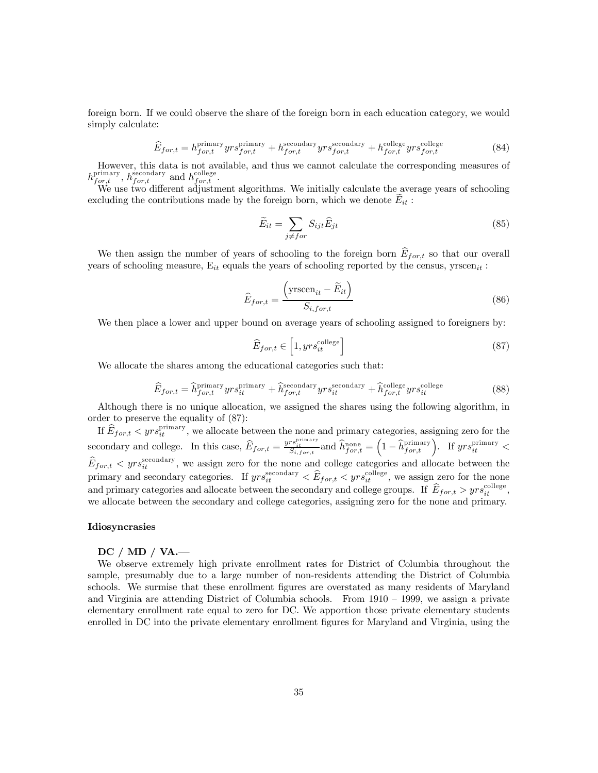foreign born. If we could observe the share of the foreign born in each education category, we would simply calculate:

$$
\widehat{E}_{for,t} = h_{for,t}^{\text{primary}} y r s_{for,t}^{\text{primary}} + h_{for,t}^{\text{secondary}} y r s_{for,t}^{\text{secondary}} + h_{for,t}^{\text{collapse}} y r s_{for,t}^{\text{collect}} \tag{84}
$$

However, this data is not available, and thus we cannot calculate the corresponding measures of  $h_{for,t}^{\text{primary}}, h_{for,t}^{\text{secondary}}$  and  $h_{for,t}^{\text{collect}}$ .

We use two different adjustment algorithms. We initially calculate the average years of schooling excluding the contributions made by the foreign born, which we denote  $E_{it}$ :

$$
\widetilde{E}_{it} = \sum_{j \neq for} S_{ijt} \widehat{E}_{jt} \tag{85}
$$

We then assign the number of years of schooling to the foreign born  $\widehat{E}_{for,t}$  so that our overall years of schooling measure,  $E_{it}$  equals the years of schooling reported by the census, yrscen<sub>it</sub>:

$$
\widehat{E}_{for,t} = \frac{\left(\text{yrseen}_{it} - \widetilde{E}_{it}\right)}{S_{i,for,t}}
$$
\n(86)

We then place a lower and upper bound on average years of schooling assigned to foreigners by:

$$
\widehat{E}_{for,t} \in \left[1, yrs_{it}^{\text{college}}\right] \tag{87}
$$

We allocate the shares among the educational categories such that:

$$
\widehat{E}_{for,t} = \widehat{h}_{for,t}^{\text{primary}} y r s_{it}^{\text{primary}} + \widehat{h}_{for,t}^{\text{secondary}} y r s_{it}^{\text{secondary}} + \widehat{h}_{for,t}^{\text{collect}} y r s_{it}^{\text{collect}} \tag{88}
$$

Although there is no unique allocation, we assigned the shares using the following algorithm, in order to preserve the equality of (87):

If  $\widehat{E}_{for,t} < yrs_{it}^{\text{primary}}$ , we allocate between the none and primary categories, assigning zero for the secondary and college. In this case,  $\widehat{E}_{for,t} = \frac{yrs_{it}^{\text{primary}}}{S_{i,for,t}}$  and  $\widehat{h}_{for,t}^{\text{none}} = \left(1 - \widehat{h}_{for,t}^{\text{primary}}\right)$ . If  $yrs_{it}^{\text{primary}}$  $\widehat{E}_{for,t} < yrs_{it}^{\text{secondary}}$ , we assign zero for the none and college categories and allocate between the primary and secondary categories. If  $yrs_{it}^{\text{secondary}} < \widehat{E}_{for,t} < yrs_{it}^{\text{collect}}$ , we assign zero for the none and primary categories and allocate between the secondary and college groups. If  $\widehat{E}_{for,t} > yrs_{it}^{\text{collapse}},$ we allocate between the secondary and college categories, assigning zero for the none and primary.

#### Idiosyncrasies

#### DC / MD / VA.–

We observe extremely high private enrollment rates for District of Columbia throughout the sample, presumably due to a large number of non-residents attending the District of Columbia schools. We surmise that these enrollment figures are overstated as many residents of Maryland and Virginia are attending District of Columbia schools. From 1910 — 1999, we assign a private elementary enrollment rate equal to zero for DC. We apportion those private elementary students enrolled in DC into the private elementary enrollment figures for Maryland and Virginia, using the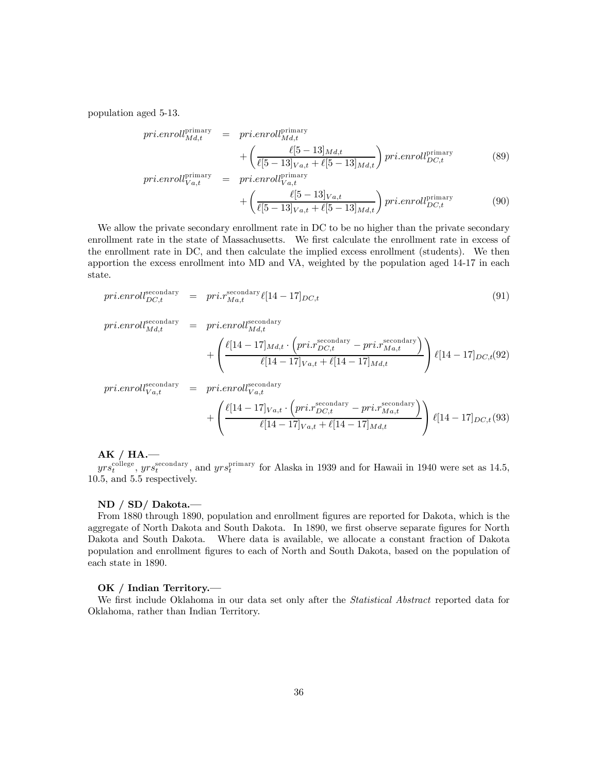population aged 5-13.

$$
pri.enroll_{Md,t}^{primary} = pri.enroll_{Md,t}^{primary} + \left(\frac{\ell[5-13]_{Md,t}}{\ell[5-13]_{Va,t} + \ell[5-13]_{Md,t}}\right) pri.enroll_{DC,t}^{primary}
$$
\n
$$
pri.enroll_{Va,t}^{primary} = pri.enroll_{Va,t}^{primary}
$$
\n(89)

$$
+ \left( \frac{\ell[5-13]_{Va,t}}{\ell[5-13]_{Va,t} + \ell[5-13]_{Md,t}} \right) pri. en roll_{DC,t}^{primary}
$$
 (90)

We allow the private secondary enrollment rate in DC to be no higher than the private secondary enrollment rate in the state of Massachusetts. We first calculate the enrollment rate in excess of the enrollment rate in DC, and then calculate the implied excess enrollment (students). We then apportion the excess enrollment into MD and VA, weighted by the population aged 14-17 in each state.

$$
pri.enroll_{DC,t}^{\text{secondary}} = pri.r_{Ma,t}^{\text{secondary}} \ell[14-17]_{DC,t}
$$
\n(91)

$$
pri.enroll_{Md,t}^{secondary} = pri.enroll_{Md,t}^{secondary} + \left(\frac{\ell[14-17]_{Md,t} \cdot (pri.r_{DC,t}^{secondary} - pri.r_{Ma,t}^{secondary})}{\ell[14-17]_{Va,t} + \ell[14-17]_{Md,t}}\right) \ell[14-17]_{DC,t}(92)
$$

$$
pri.enroll_{Va,t}^{secondary} = pri.enroll_{Va,t}^{secondary}
$$

$$
+ \left( \frac{\ell[14-17]_{Va,t} \cdot (pri.r_{DC,t}^{secondary} - pri.r_{Ma,t}^{secondary})}{\ell[14-17]_{Va,t} + \ell[14-17]_{Md,t}} \right) \ell[14-17]_{DC,t}(93)
$$

 $AK / HA.$ 

 $yrs_t^{\text{collect}}$ ,  $yrs_t^{\text{secondary}}$ , and  $yrs_t^{\text{primary}}$  for Alaska in 1939 and for Hawaii in 1940 were set as 14.5, 10.5, and 5.5 respectively.

#### ND / SD/ Dakota.–

From 1880 through 1890, population and enrollment figures are reported for Dakota, which is the aggregate of North Dakota and South Dakota. In 1890, we first observe separate figures for North Dakota and South Dakota. Where data is available, we allocate a constant fraction of Dakota population and enrollment figures to each of North and South Dakota, based on the population of each state in 1890.

#### OK / Indian Territory.

We first include Oklahoma in our data set only after the *Statistical Abstract* reported data for Oklahoma, rather than Indian Territory.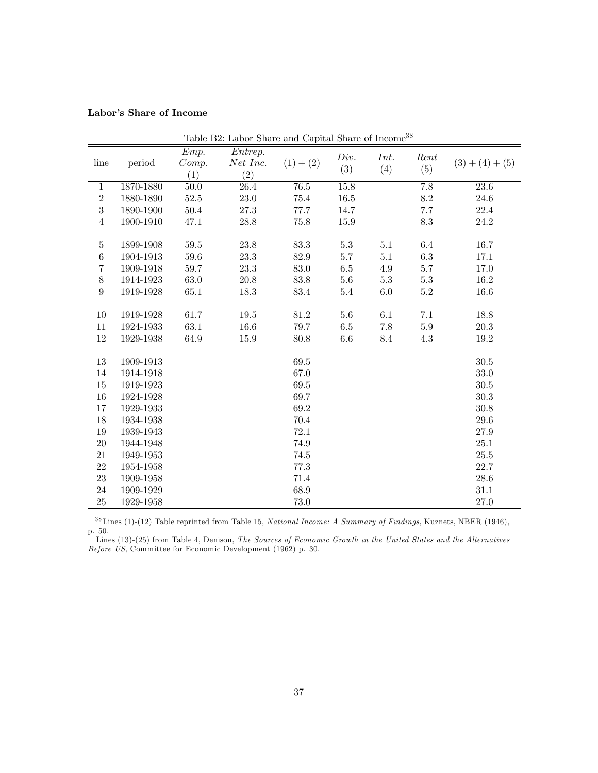# Labor's Share of Income

| line             | period                 | Emp.<br>Comp. | Table D2. Labor bliare and Capital bliare of Hicome<br>$\overline{Entrep}$ .<br>Net Inc. | $(1) + (2)$ | Div.    | Int.    | Rent             | $(3) + (4) + (5)$ |
|------------------|------------------------|---------------|------------------------------------------------------------------------------------------|-------------|---------|---------|------------------|-------------------|
|                  |                        | (1)           | (2)                                                                                      |             | (3)     | (4)     | (5)              |                   |
| $\mathbf{1}$     | 1870-1880              | 50.0          | 26.4                                                                                     | 76.5        | 15.8    |         | $\overline{7.8}$ | 23.6              |
| $\,2$            | 1880-1890              | 52.5          | 23.0                                                                                     | $75.4\,$    | 16.5    |         | $\!\!\!\!\!8.2$  | 24.6              |
| $\boldsymbol{3}$ | 1890-1900              | 50.4          | 27.3                                                                                     | 77.7        | 14.7    |         | 7.7              | 22.4              |
| $\overline{4}$   | 1900-1910              | 47.1          | 28.8                                                                                     | 75.8        | 15.9    |         | 8.3              | 24.2              |
|                  |                        |               |                                                                                          |             |         |         |                  |                   |
| $\bf 5$          | 1899-1908              | $59.5\,$      | 23.8                                                                                     | 83.3        | $5.3\,$ | 5.1     | 6.4              | 16.7              |
| $\,6$            | 1904-1913              | $59.6\,$      | 23.3                                                                                     | $82.9\,$    | $5.7\,$ | $5.1\,$ | $6.3\,$          | 17.1              |
| $\,7$            | 1909-1918              | 59.7          | 23.3                                                                                     | 83.0        | 6.5     | 4.9     | 5.7              | 17.0              |
| $8\,$            | 1914-1923              | 63.0          | 20.8                                                                                     | 83.8        | $5.6\,$ | $5.3\,$ | $5.3\,$          | 16.2              |
| $\boldsymbol{9}$ | 1919-1928              | 65.1          | 18.3                                                                                     | 83.4        | $5.4\,$ | $6.0\,$ | $5.2\,$          | $16.6\,$          |
|                  |                        |               |                                                                                          |             |         |         |                  |                   |
| 10               | 1919-1928              | 61.7          | 19.5                                                                                     | 81.2        | $5.6\,$ | 6.1     | 7.1              | 18.8              |
| 11               | 1924-1933              | 63.1          | 16.6                                                                                     | 79.7        | $6.5\,$ | 7.8     | $5.9\,$          | $20.3\,$          |
| 12               | 1929-1938              | 64.9          | 15.9                                                                                     | 80.8        | 6.6     | 8.4     | 4.3              | 19.2              |
| $13\,$           | 1909-1913              |               |                                                                                          | $69.5\,$    |         |         |                  | $30.5\,$          |
| $14\,$           | 1914-1918              |               |                                                                                          | 67.0        |         |         |                  | 33.0              |
| $15\,$           | 1919-1923              |               |                                                                                          | 69.5        |         |         |                  | $30.5\,$          |
| 16               | 1924-1928              |               |                                                                                          | 69.7        |         |         |                  | $30.3\,$          |
| 17               | 1929-1933              |               |                                                                                          | 69.2        |         |         |                  | 30.8              |
| $18\,$           | 1934-1938              |               |                                                                                          | 70.4        |         |         |                  | $29.6\,$          |
| $19\,$           |                        |               |                                                                                          | 72.1        |         |         |                  | 27.9              |
| $20\,$           | 1939-1943<br>1944-1948 |               |                                                                                          | 74.9        |         |         |                  | 25.1              |
| $21\,$           | 1949-1953              |               |                                                                                          | $74.5\,$    |         |         |                  | $25.5\,$          |
|                  |                        |               |                                                                                          |             |         |         |                  |                   |
| 22               | 1954-1958              |               |                                                                                          | 77.3        |         |         |                  | 22.7              |
| 23               | 1909-1958              |               |                                                                                          | 71.4        |         |         |                  | 28.6              |
| $24\,$           | 1909-1929              |               |                                                                                          | 68.9        |         |         |                  | 31.1              |
| 25               | 1929-1958              |               |                                                                                          | 73.0        |         |         |                  | 27.0              |

Table B2: Labor Share and Capital Share of Income<sup>38</sup>

3 8Lines (1)-(12) Table reprinted from Table 15, National Income: A Summary of Findings, Kuznets, NBER (1946), p. 50.

Lines (13)-(25) from Table 4, Denison, The Sources of Economic Growth in the United States and the Alternatives Before US, Committee for Economic Development (1962) p. 30.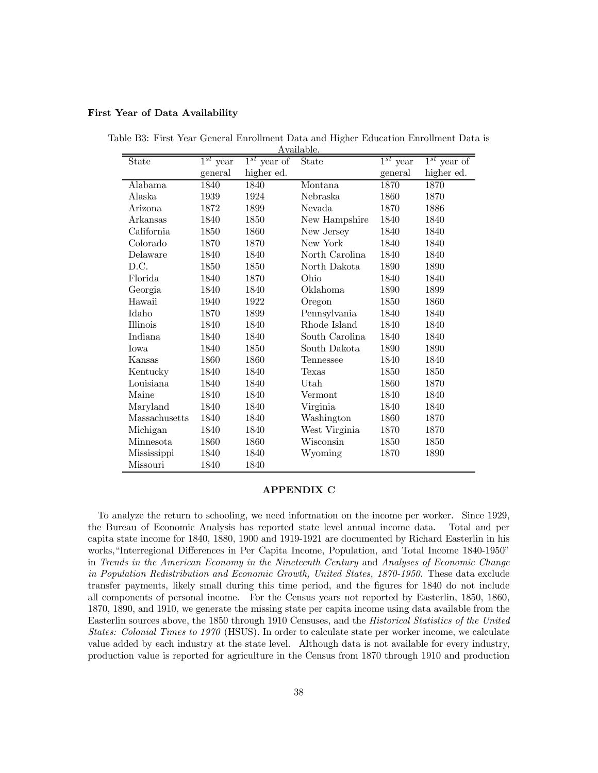#### First Year of Data Availability

| State           | $\overline{1^{st}}$ year | $\overline{1^{st}}$ year of | дуапаріе.<br>State | $\overline{1^{st}}$ year | $1^{st}$ year of |
|-----------------|--------------------------|-----------------------------|--------------------|--------------------------|------------------|
|                 | general                  | higher ed.                  |                    | general                  | higher ed.       |
| Alabama         | 1840                     | 1840                        | Montana            | 1870                     | 1870             |
| Alaska          | 1939                     | 1924                        | Nebraska           | 1860                     | 1870             |
| Arizona         | 1872                     | 1899                        | Nevada             | 1870                     | 1886             |
| Arkansas        | 1840                     | 1850                        | New Hampshire      | 1840                     | 1840             |
| California      | 1850                     | 1860                        | New Jersey         | 1840                     | 1840             |
| Colorado        | 1870                     | 1870                        | New York           | 1840                     | 1840             |
| Delaware        | 1840                     | 1840                        | North Carolina     | 1840                     | 1840             |
| D.C.            | 1850                     | 1850                        | North Dakota       | 1890                     | 1890             |
| Florida         | 1840                     | 1870                        | Ohio               | 1840                     | 1840             |
| Georgia         | 1840                     | 1840                        | Oklahoma           | 1890                     | 1899             |
| Hawaii          | 1940                     | 1922                        | Oregon             | 1850                     | 1860             |
| Idaho           | 1870                     | 1899                        | Pennsylvania       | 1840                     | 1840             |
| <b>Illinois</b> | 1840                     | 1840                        | Rhode Island       | 1840                     | 1840             |
| Indiana         | 1840                     | 1840                        | South Carolina     | 1840                     | 1840             |
| Iowa            | 1840                     | 1850                        | South Dakota       | 1890                     | 1890             |
| Kansas          | 1860                     | 1860                        | Tennessee          | 1840                     | 1840             |
| Kentucky        | 1840                     | 1840                        | Texas              | 1850                     | 1850             |
| Louisiana       | 1840                     | 1840                        | Utah               | 1860                     | 1870             |
| Maine           | 1840                     | 1840                        | Vermont            | 1840                     | 1840             |
| Maryland        | 1840                     | 1840                        | Virginia           | 1840                     | 1840             |
| Massachusetts   | 1840                     | 1840                        | Washington         | 1860                     | 1870             |
| Michigan        | 1840                     | 1840                        | West Virginia      | 1870                     | 1870             |
| Minnesota       | 1860                     | 1860                        | Wisconsin          | 1850                     | 1850             |
| Mississippi     | 1840                     | 1840                        | Wyoming            | 1870                     | 1890             |
| Missouri        | 1840                     | 1840                        |                    |                          |                  |

Table B3: First Year General Enrollment Data and Higher Education Enrollment Data is Available.

#### APPENDIX C

To analyze the return to schooling, we need information on the income per worker. Since 1929, the Bureau of Economic Analysis has reported state level annual income data. Total and per capita state income for 1840, 1880, 1900 and 1919-1921 are documented by Richard Easterlin in his works,"Interregional Differences in Per Capita Income, Population, and Total Income 1840-1950" in Trends in the American Economy in the Nineteenth Century and Analyses of Economic Change in Population Redistribution and Economic Growth, United States, 1870-1950. These data exclude transfer payments, likely small during this time period, and the figures for 1840 do not include all components of personal income. For the Census years not reported by Easterlin, 1850, 1860, 1870, 1890, and 1910, we generate the missing state per capita income using data available from the Easterlin sources above, the 1850 through 1910 Censuses, and the Historical Statistics of the United States: Colonial Times to 1970 (HSUS). In order to calculate state per worker income, we calculate value added by each industry at the state level. Although data is not available for every industry, production value is reported for agriculture in the Census from 1870 through 1910 and production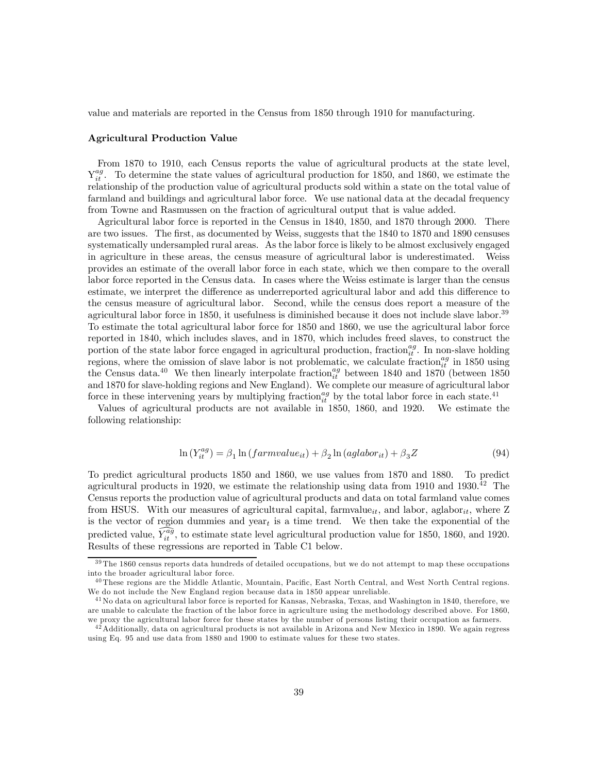value and materials are reported in the Census from 1850 through 1910 for manufacturing.

#### Agricultural Production Value

From 1870 to 1910, each Census reports the value of agricultural products at the state level,  $Y_{it}^{ag}$ . To determine the state values of agricultural production for 1850, and 1860, we estimate the relationship of the production value of agricultural products sold within a state on the total value of farmland and buildings and agricultural labor force. We use national data at the decadal frequency from Towne and Rasmussen on the fraction of agricultural output that is value added.

Agricultural labor force is reported in the Census in 1840, 1850, and 1870 through 2000. There are two issues. The first, as documented by Weiss, suggests that the 1840 to 1870 and 1890 censuses systematically undersampled rural areas. As the labor force is likely to be almost exclusively engaged in agriculture in these areas, the census measure of agricultural labor is underestimated. Weiss provides an estimate of the overall labor force in each state, which we then compare to the overall labor force reported in the Census data. In cases where the Weiss estimate is larger than the census estimate, we interpret the difference as underreported agricultural labor and add this difference to the census measure of agricultural labor. Second, while the census does report a measure of the agricultural labor force in 1850, it usefulness is diminished because it does not include slave labor.<sup>39</sup> To estimate the total agricultural labor force for 1850 and 1860, we use the agricultural labor force reported in 1840, which includes slaves, and in 1870, which includes freed slaves, to construct the portion of the state labor force engaged in agricultural production, fraction<sup>ag</sup>. In non-slave holding regions, where the omission of slave labor is not problematic, we calculate fraction $_{it}^{ag}$  in 1850 using the Census data.<sup>40</sup> We then linearly interpolate fraction<sub>it</sub> between 1840 and 1870 (between 1850) and 1870 for slave-holding regions and New England). We complete our measure of agricultural labor force in these intervening years by multiplying fraction<sub>it</sub> by the total labor force in each state.<sup>41</sup>

Values of agricultural products are not available in 1850, 1860, and 1920. We estimate the following relationship:

$$
\ln(Y_{it}^{ag}) = \beta_1 \ln(farmvalue_{it}) + \beta_2 \ln(aglabor_{it}) + \beta_3 Z \tag{94}
$$

To predict agricultural products 1850 and 1860, we use values from 1870 and 1880. To predict agricultural products in 1920, we estimate the relationship using data from 1910 and 1930.<sup>42</sup> The Census reports the production value of agricultural products and data on total farmland value comes from HSUS. With our measures of agricultural capital, farmvalue<sub>it</sub>, and labor, aglabor<sub>it</sub>, where Z is the vector of region dummies and year<sub>t</sub> is a time trend. We then take the exponential of the predicted value,  $\widehat{Y}_{it}^{a\tilde{g}}$ , to estimate state level agricultural production value for 1850, 1860, and 1920. Results of these regressions are reported in Table C1 below.

<sup>&</sup>lt;sup>39</sup> The 1860 census reports data hundreds of detailed occupations, but we do not attempt to map these occupations into the broader agricultural labor force.

<sup>&</sup>lt;sup>40</sup> These regions are the Middle Atlantic, Mountain, Pacific, East North Central, and West North Central regions. We do not include the New England region because data in 1850 appear unreliable.

 $^{41}$  No data on agricultural labor force is reported for Kansas, Nebraska, Texas, and Washington in 1840, therefore, we are unable to calculate the fraction of the labor force in agriculture using the methodology described above. For 1860, we proxy the agricultural labor force for these states by the number of persons listing their occupation as farmers.

<sup>&</sup>lt;sup>42</sup> Additionally, data on agricultural products is not available in Arizona and New Mexico in 1890. We again regress using Eq. 95 and use data from 1880 and 1900 to estimate values for these two states.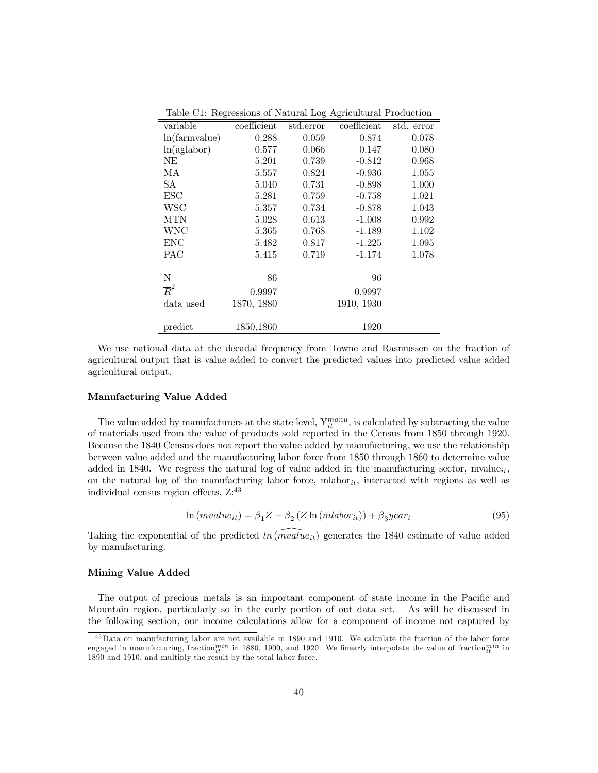| variable         | coefficient | std.error | coefficient | std. error |
|------------------|-------------|-----------|-------------|------------|
| ln(farmvalue)    | 0.288       | 0.059     | 0.874       | 0.078      |
| ln(aglabor)      | 0.577       | 0.066     | 0.147       | 0.080      |
| NΕ               | 5.201       | 0.739     | $-0.812$    | 0.968      |
| МA               | 5.557       | 0.824     | $-0.936$    | 1.055      |
| SА               | 5.040       | 0.731     | $-0.898$    | 1.000      |
| ESC              | 5.281       | 0.759     | $-0.758$    | 1.021      |
| <b>WSC</b>       | 5.357       | 0.734     | $-0.878$    | 1.043      |
| <b>MTN</b>       | 5.028       | 0.613     | $-1.008$    | 0.992      |
| <b>WNC</b>       | 5.365       | 0.768     | $-1.189$    | 1.102      |
| <b>ENC</b>       | 5.482       | 0.817     | $-1.225$    | 1.095      |
| <b>PAC</b>       | 5.415       | 0.719     | $-1.174$    | 1.078      |
|                  |             |           |             |            |
| N                | 86          |           | 96          |            |
| $\overline{R}^2$ | 0.9997      |           | 0.9997      |            |
| data used        | 1870, 1880  |           | 1910, 1930  |            |
|                  |             |           |             |            |
| predict          | 1850,1860   |           | 1920        |            |

Table C1: Regressions of Natural Log Agricultural Production

We use national data at the decadal frequency from Towne and Rasmussen on the fraction of agricultural output that is value added to convert the predicted values into predicted value added agricultural output.

#### Manufacturing Value Added

The value added by manufacturers at the state level,  $Y_{it}^{manu}$ , is calculated by subtracting the value of materials used from the value of products sold reported in the Census from 1850 through 1920. Because the 1840 Census does not report the value added by manufacturing, we use the relationship between value added and the manufacturing labor force from 1850 through 1860 to determine value added in 1840. We regress the natural log of value added in the manufacturing sector, mvalue<sub>it</sub>, on the natural log of the manufacturing labor force, mlabor<sub>it</sub>, interacted with regions as well as individual census region effects, Z:<sup>43</sup>

$$
\ln(mvalue_{it}) = \beta_1 Z + \beta_2 (Z \ln(mlabor_{it})) + \beta_3 year_t \tag{95}
$$

Taking the exponential of the predicted  $ln(mvalue_{it})$  generates the 1840 estimate of value added by manufacturing.

#### Mining Value Added

The output of precious metals is an important component of state income in the Pacific and Mountain region, particularly so in the early portion of out data set. As will be discussed in the following section, our income calculations allow for a component of income not captured by

<sup>&</sup>lt;sup>43</sup>Data on manufacturing labor are not available in 1890 and 1910. We calculate the fraction of the labor force engaged in manufacturing, fraction $^{min}_{it}$  in 1880, 1900, and 1920. We linearly interpolate the value of fraction $^{min}_{it}$  in 1890 and 1910, and multiply the result by the total labor force.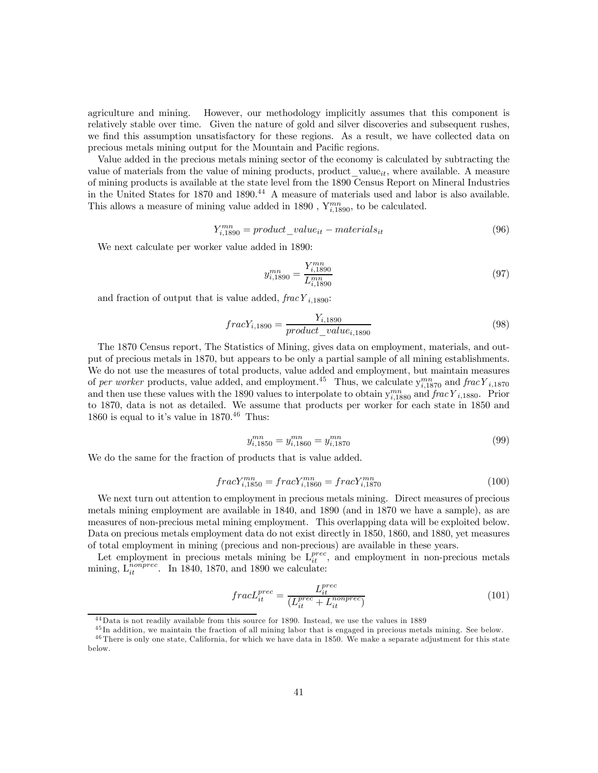agriculture and mining. However, our methodology implicitly assumes that this component is relatively stable over time. Given the nature of gold and silver discoveries and subsequent rushes, we find this assumption unsatisfactory for these regions. As a result, we have collected data on precious metals mining output for the Mountain and Pacific regions.

Value added in the precious metals mining sector of the economy is calculated by subtracting the value of materials from the value of mining products, product\_value $_{it}$ , where available. A measure of mining products is available at the state level from the 1890 Census Report on Mineral Industries in the United States for 1870 and 1890.<sup>44</sup> A measure of materials used and labor is also available. This allows a measure of mining value added in 1890,  $Y_{i,1890}^{mn}$ , to be calculated.

$$
Y_{i,1890}^{mn} = product\_value_{it} - materials_{it}
$$
\n(96)

We next calculate per worker value added in 1890:

$$
y_{i,1890}^{mn} = \frac{Y_{i,1890}^{mn}}{L_{i,1890}^{mn}} \tag{97}
$$

and fraction of output that is value added,  $frac Y_{i,1890}$ :

$$
fracY_{i,1890} = \frac{Y_{i,1890}}{product\_value_{i,1890}}\tag{98}
$$

The 1870 Census report, The Statistics of Mining, gives data on employment, materials, and output of precious metals in 1870, but appears to be only a partial sample of all mining establishments. We do not use the measures of total products, value added and employment, but maintain measures of per worker products, value added, and employment.<sup>45</sup> Thus, we calculate  $y_{i,1870}^{mn}$  and  $frac Y_{i,1870}$ and then use these values with the 1890 values to interpolate to obtain  $y_{i,1880}^{mn}$  and  $frac Y_{i,1880}$ . Prior to 1870, data is not as detailed. We assume that products per worker for each state in 1850 and 1860 is equal to it's value in  $1870.<sup>46</sup>$  Thus:

$$
y_{i,1850}^{mn} = y_{i,1860}^{mn} = y_{i,1870}^{mn} \tag{99}
$$

We do the same for the fraction of products that is value added.

$$
fracY_{i,1850}^{mn} = fracY_{i,1860}^{mn} = fracY_{i,1870}^{mn}
$$
\n(100)

We next turn out attention to employment in precious metals mining. Direct measures of precious metals mining employment are available in 1840, and 1890 (and in 1870 we have a sample), as are measures of non-precious metal mining employment. This overlapping data will be exploited below. Data on precious metals employment data do not exist directly in 1850, 1860, and 1880, yet measures of total employment in mining (precious and non-precious) are available in these years.

Let employment in precious metals mining be  $L_{it}^{prec}$ , and employment in non-precious metals mining,  $L_{it}^{nonprec}$ . In 1840, 1870, and 1890 we calculate:

$$
fracL_{it}^{prec} = \frac{L_{it}^{prec}}{(L_{it}^{prec} + L_{it}^{nonprec})}
$$
(101)

<sup>4 4</sup>Data is not readily available from this source for 1890. Instead, we use the values in 1889

<sup>4 5</sup> In addition, we maintain the fraction of all mining labor that is engaged in precious metals mining. See below. <sup>46</sup> There is only one state, California, for which we have data in 1850. We make a separate adjustment for this state below.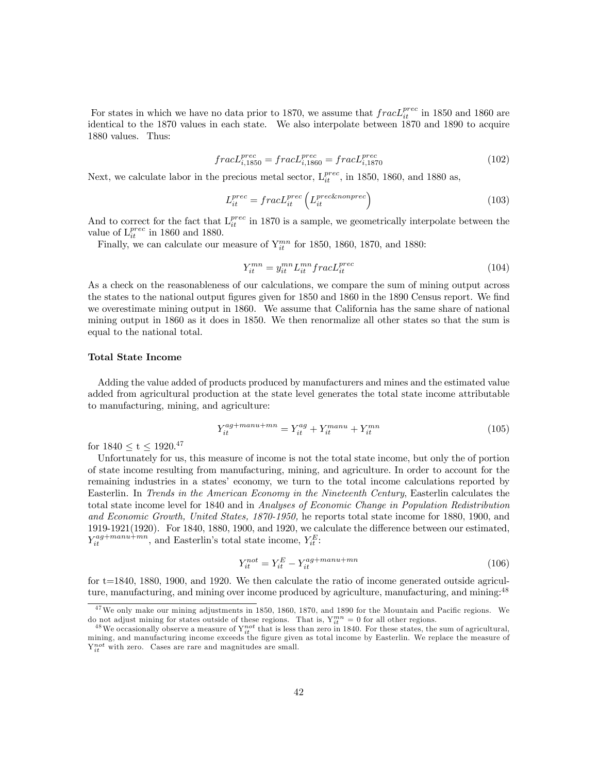For states in which we have no data prior to 1870, we assume that  $frac{p^{tree}}{it}$  in 1850 and 1860 are identical to the 1870 values in each state. We also interpolate between 1870 and 1890 to acquire 1880 values. Thus:

$$
frac_{i,1850} = fracL_{i,1860}^{prec} = fracL_{i,1870}^{prec}
$$
\n(102)

Next, we calculate labor in the precious metal sector,  $L_{it}^{prec}$ , in 1850, 1860, and 1880 as,

$$
L_{it}^{prec} = frac{L_{it}^{prec}} \left( L_{it}^{prec \& nonprec} \right) \tag{103}
$$

And to correct for the fact that  $L_{it}^{prec}$  in 1870 is a sample, we geometrically interpolate between the value of  $L_{it}^{prec}$  in 1860 and 1880.

Finally, we can calculate our measure of  $Y_{it}^{mn}$  for 1850, 1860, 1870, and 1880:

$$
Y_{it}^{mn} = y_{it}^{mn} L_{it}^{mn} fracL_{it}^{prec}
$$
\n
$$
(104)
$$

As a check on the reasonableness of our calculations, we compare the sum of mining output across the states to the national output figures given for 1850 and 1860 in the 1890 Census report. We find we overestimate mining output in 1860. We assume that California has the same share of national mining output in 1860 as it does in 1850. We then renormalize all other states so that the sum is equal to the national total.

# Total State Income

Adding the value added of products produced by manufacturers and mines and the estimated value added from agricultural production at the state level generates the total state income attributable to manufacturing, mining, and agriculture:

$$
Y_{it}^{ag + manu + mn} = Y_{it}^{ag} + Y_{it}^{manu} + Y_{it}^{mn}
$$
\n
$$
(105)
$$

for  $1840 \le t \le 1920.^{47}$ 

Unfortunately for us, this measure of income is not the total state income, but only the of portion of state income resulting from manufacturing, mining, and agriculture. In order to account for the remaining industries in a states' economy, we turn to the total income calculations reported by Easterlin. In Trends in the American Economy in the Nineteenth Century, Easterlin calculates the total state income level for 1840 and in Analyses of Economic Change in Population Redistribution and Economic Growth, United States, 1870-1950, he reports total state income for 1880, 1900, and 1919-1921(1920). For 1840, 1880, 1900, and 1920, we calculate the difference between our estimated,  $Y_{it}^{ag + manu + mn}$ , and Easterlin's total state income,  $Y_{it}^{E}$ :

$$
Y_{it}^{not} = Y_{it}^E - Y_{it}^{ag + manu + mn}
$$
\n
$$
(106)
$$

for t=1840, 1880, 1900, and 1920. We then calculate the ratio of income generated outside agriculture, manufacturing, and mining over income produced by agriculture, manufacturing, and mining:<sup>48</sup>

 $47$  We only make our mining adjustments in 1850, 1860, 1870, and 1890 for the Mountain and Pacific regions. We do not adjust mining for states outside of these regions. That is,  $Y_{ii}^{mn} = 0$  for all other regions.<br><sup>48</sup>We occasionally observe a measure of  $Y_{ii}^{not}$  that is less than zero in 1840. For these states, the sum of agricu

mining, and manufacturing income exceeds the figure given as total income by Easterlin. We replace the measure of  $Y_{it}^{not}$  with zero. Cases are rare and magnitudes are small.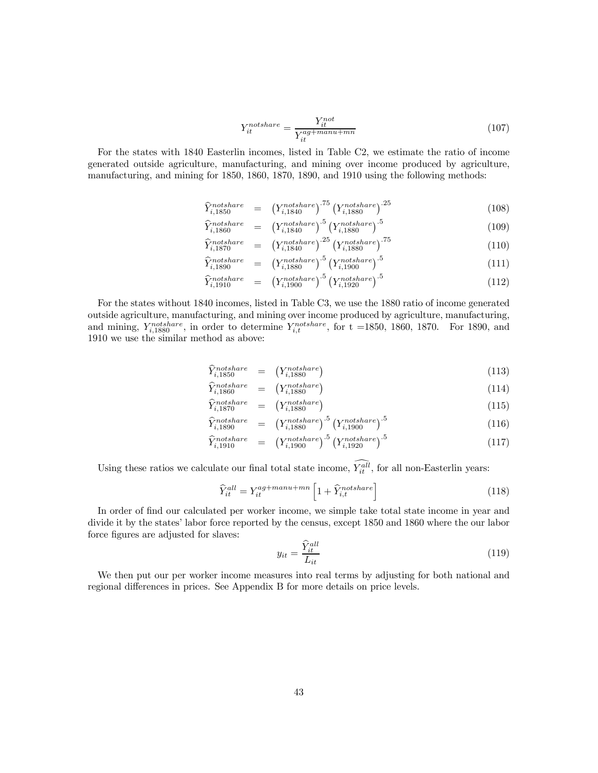$$
Y_{it}^{notshare} = \frac{Y_{it}^{not}}{Y_{it}^{ag + manu + mn}} \tag{107}
$$

For the states with 1840 Easterlin incomes, listed in Table C2, we estimate the ratio of income generated outside agriculture, manufacturing, and mining over income produced by agriculture, manufacturing, and mining for 1850, 1860, 1870, 1890, and 1910 using the following methods:

$$
\widehat{Y}_{i,1850}^{notshare} = (Y_{i,1840}^{notshare})^{.75} (Y_{i,1880}^{notshare})^{.25}
$$
\n(108)

$$
\widehat{Y}_{i,1860}^{notshare} = (Y_{i,1840}^{notshare})^{.5} (Y_{i,1880}^{notshare})^{.5}
$$
\n(109)

$$
\widehat{Y}_{i,1870}^{notshare} = (Y_{i,1840}^{notshare})^{.25} (Y_{i,1880}^{notshare})^{.75}
$$
\n(110)

$$
\widehat{Y}_{i,1890}^{notshare} = (Y_{i,1880}^{notshare})^{5} (Y_{i,1900}^{notshare})^{5}
$$
\n(111)

$$
\hat{Y}_{i,1910}^{notshare} = (Y_{i,1900}^{notshare})^{.5} (Y_{i,1920}^{notshare})^{.5}
$$
\n(112)

For the states without 1840 incomes, listed in Table C3, we use the 1880 ratio of income generated outside agriculture, manufacturing, and mining over income produced by agriculture, manufacturing, and mining,  $Y_{i,1880}^{notshare}$ , in order to determine  $Y_{i,t}^{notshare}$ , for t =1850, 1860, 1870. For 1890, and 1910 we use the similar method as above:

$$
\widehat{Y}_{i,1850}^{notshare} = (Y_{i,1880}^{notshare})
$$
\n(113)

$$
\widehat{Y}_{i,1860}^{notshare} = (Y_{i,1880}^{notshare}) \tag{114}
$$

$$
\widehat{Y}_{i,1870}^{notshare} = (Y_{i,1880}^{notshare})
$$
\n(115)

$$
\widehat{Y}_{i,1890}^{notshare} = \left(Y_{i,1880}^{notshare}\right)^{.5} \left(Y_{i,1900}^{notshare}\right)^{.5} \tag{116}
$$
\n
$$
\widehat{Y}_{i,1890}^{notshare} = \left(Y_{i,1880}^{notshare}\right)^{.5} \left(Y_{i,1900}^{notshare}\right)^{.5} \tag{117}
$$

$$
\widehat{Y}_{i,1910}^{notshare} = (Y_{i,1900}^{notshare})^{.5} (Y_{i,1920}^{notshare})^{.5}
$$
\n(117)

Using these ratios we calculate our final total state income,  $Y_{it}^{all}$ , for all non-Easterlin years:

$$
\widehat{Y}_{it}^{all} = Y_{it}^{ag + manu + mn} \left[ 1 + \widehat{Y}_{i,t}^{not share} \right] \tag{118}
$$

In order of find our calculated per worker income, we simple take total state income in year and divide it by the states' labor force reported by the census, except 1850 and 1860 where the our labor force figures are adjusted for slaves:

$$
y_{it} = \frac{\hat{Y}_{it}^{all}}{L_{it}} \tag{119}
$$

We then put our per worker income measures into real terms by adjusting for both national and regional differences in prices. See Appendix B for more details on price levels.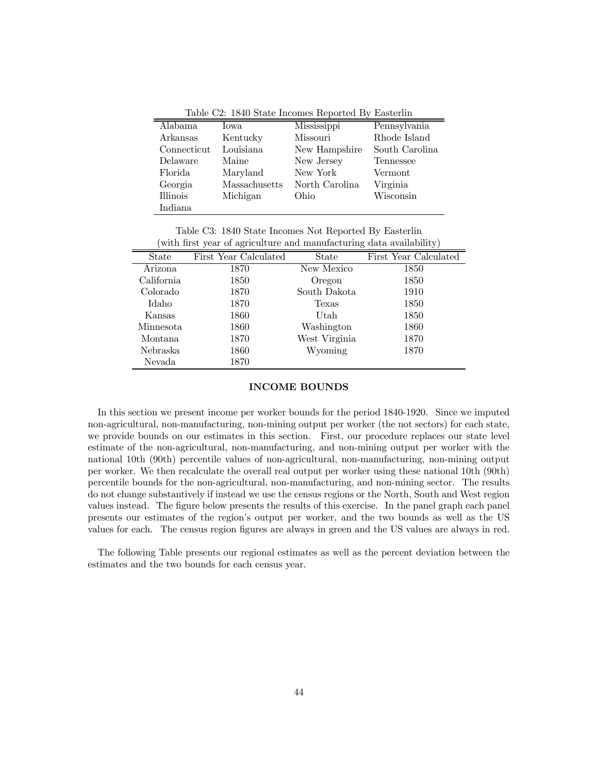Table C2: 1840 State Incomes Reported By Easterlin

| Alabama         | <b>I</b> owa  | Mississippi    | Pennsylvania   |
|-----------------|---------------|----------------|----------------|
| Arkansas        | Kentucky      | Missouri       | Rhode Island   |
| Connecticut     | Louisiana     | New Hampshire  | South Carolina |
| Delaware        | Maine         | New Jersey     | Tennessee      |
| Florida         | Maryland      | New York       | Vermont        |
| Georgia         | Massachusetts | North Carolina | Virginia       |
| <b>Illinois</b> | Michigan      | Ohio           | Wisconsin      |
| Indiana         |               |                |                |

Table C3: 1840 State Incomes Not Reported By Easterlin (with first year of agriculture and manufacturing data availability)

|                  | ◡                     |               | ◡<br>J 1              |
|------------------|-----------------------|---------------|-----------------------|
| State            | First Year Calculated | State         | First Year Calculated |
| Arizona          | 1870                  | New Mexico    | 1850                  |
| California       | 1850                  | Oregon        | 1850                  |
| Colorado         | 1870                  | South Dakota  | 1910                  |
| Idaho            | 1870                  | Texas         | 1850                  |
| Kansas           | 1860                  | Utah          | 1850                  |
| <b>Minnesota</b> | 1860                  | Washington    | 1860                  |
| Montana          | 1870                  | West Virginia | 1870                  |
| Nebraska         | 1860                  | Wyoming       | 1870                  |
| Nevada           | 1870                  |               |                       |

# INCOME BOUNDS

In this section we present income per worker bounds for the period 1840-1920. Since we imputed non-agricultural, non-manufacturing, non-mining output per worker (the not sectors) for each state, we provide bounds on our estimates in this section. First, our procedure replaces our state level estimate of the non-agricultural, non-manufacturing, and non-mining output per worker with the national 10th (90th) percentile values of non-agricultural, non-manufacturing, non-mining output per worker. We then recalculate the overall real output per worker using these national 10th (90th) percentile bounds for the non-agricultural, non-manufacturing, and non-mining sector. The results do not change substantively if instead we use the census regions or the North, South and West region values instead. The figure below presents the results of this exercise. In the panel graph each panel presents our estimates of the region's output per worker, and the two bounds as well as the US values for each. The census region figures are always in green and the US values are always in red.

The following Table presents our regional estimates as well as the percent deviation between the estimates and the two bounds for each census year.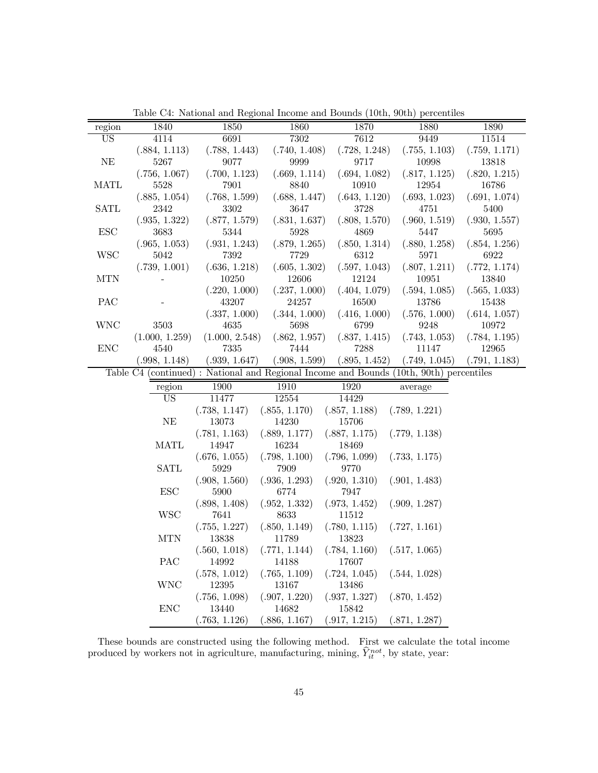|                      | 1840           |                |               | 1870          |                                                                                        | 1890          |
|----------------------|----------------|----------------|---------------|---------------|----------------------------------------------------------------------------------------|---------------|
| region               |                | 1850           | 1860          |               | 1880                                                                                   |               |
| US                   | 4114           | 6691           | 7302          | 7612          | 9449                                                                                   | 11514         |
|                      | (.884, 1.113)  | (.788, 1.443)  | (.740, 1.408) | (.728, 1.248) | (.755, 1.103)                                                                          | (.759, 1.171) |
| NE                   | 5267           | 9077           | 9999          | 9717          | 10998                                                                                  | 13818         |
|                      | (.756, 1.067)  | (.700, 1.123)  | (.669, 1.114) | (.694, 1.082) | (.817, 1.125)                                                                          | (.820, 1.215) |
| <b>MATL</b>          | 5528           | 7901           | 8840          | 10910         | 12954                                                                                  | 16786         |
|                      | (.885, 1.054)  | (.768, 1.599)  | (.688, 1.447) | (.643, 1.120) | (.693, 1.023)                                                                          | (.691, 1.074) |
| <b>SATL</b>          | 2342           | 3302           | 3647          | 3728          | 4751                                                                                   | 5400          |
|                      | (.935, 1.322)  | (.877, 1.579)  | (.831, 1.637) | (.808, 1.570) | (.960, 1.519)                                                                          | (.930, 1.557) |
| <b>ESC</b>           | 3683           | 5344           | 5928          | 4869          | 5447                                                                                   | 5695          |
|                      | (.965, 1.053)  | (.931, 1.243)  | (.879, 1.265) | (.850, 1.314) | (.880, 1.258)                                                                          | (.854, 1.256) |
| <b>WSC</b>           | 5042           | 7392           | 7729          | 6312          | 5971                                                                                   | 6922          |
|                      | (.739, 1.001)  | (.636, 1.218)  | (.605, 1.302) | (.597, 1.043) | (.807, 1.211)                                                                          | (.772, 1.174) |
| <b>MTN</b>           |                | 10250          | 12606         | 12124         | 10951                                                                                  | 13840         |
|                      |                | (.220, 1.000)  | (.237, 1.000) | (.404, 1.079) | (.594, 1.085)                                                                          | (.565, 1.033) |
| PAC                  |                | 43207          | 24257         | 16500         | 13786                                                                                  | 15438         |
|                      |                | (.337, 1.000)  | (.344, 1.000) | (.416, 1.000) | (.576, 1.000)                                                                          | (.614, 1.057) |
| <b>WNC</b>           | 3503           | 4635           | 5698          | 6799          | 9248                                                                                   | 10972         |
|                      | (1.000, 1.259) | (1.000, 2.548) | (.862, 1.957) | (.837, 1.415) | (.743, 1.053)                                                                          | (.784, 1.195) |
| $\operatorname{ENC}$ | 4540           | 7335           | 7444          | 7288          | 11147                                                                                  | 12965         |
|                      | (.998, 1.148)  | (.939, 1.647)  | (.908, 1.599) | (.895, 1.452) | (.749, 1.045)                                                                          | (.791, 1.183) |
|                      |                |                |               |               | Table C4 (continued): National and Regional Income and Bounds (10th, 90th) percentiles |               |
|                      | region         | 1900           | 1910          | 1920          | average                                                                                |               |
|                      | US             | 11477          | 12554         | 14429         |                                                                                        |               |
|                      |                | (.738, 1.147)  | (.855, 1.170) | (.857, 1.188) | (.789, 1.221)                                                                          |               |
|                      | NE             | 13073          | 14230         | 15706         |                                                                                        |               |
|                      |                | (.781, 1.163)  | (.889, 1.177) | (.887, 1.175) | (.779, 1.138)                                                                          |               |
|                      | <b>MATL</b>    | 14947          | 16234         | 18469         |                                                                                        |               |
|                      |                | (.676, 1.055)  | (.798, 1.100) | (.796, 1.099) | (.733, 1.175)                                                                          |               |
|                      | <b>SATL</b>    | 5929           | 7909          | 9770          |                                                                                        |               |
|                      |                | (.908, 1.560)  | (.936, 1.293) | (.920, 1.310) | (.901, 1.483)                                                                          |               |
|                      | $\rm{ESC}$     | 5900           | 6774          | 7947          |                                                                                        |               |
|                      |                | (.898, 1.408)  | (.952, 1.332) | (.973, 1.452) | (.909, 1.287)                                                                          |               |
|                      | <b>WSC</b>     | 7641           | 8633          | 11512         |                                                                                        |               |
|                      |                | (.755, 1.227)  | (.850, 1.149) | (.780, 1.115) | (.727, 1.161)                                                                          |               |
|                      | <b>MTN</b>     | 13838          | 11789         | 13823         |                                                                                        |               |
|                      |                | (.560, 1.018)  | (.771, 1.144) | (.784, 1.160) | (.517, 1.065)                                                                          |               |
|                      | <b>PAC</b>     | 14992          | 14188         | 17607         |                                                                                        |               |
|                      |                | (.578, 1.012)  | (.765, 1.109) | (.724, 1.045) | (.544, 1.028)                                                                          |               |
|                      | WNC            | 12395          | 13167         | 13486         |                                                                                        |               |
|                      |                | (.756, 1.098)  | (.907, 1.220) | (.937, 1.327) | (.870, 1.452)                                                                          |               |
|                      | ${\rm ENC}$    | 13440          | 14682         | 15842         |                                                                                        |               |
|                      |                | (.763, 1.126)  | (.886, 1.167) | (.917, 1.215) | (.871, 1.287)                                                                          |               |
|                      |                |                |               |               |                                                                                        |               |

Table C4: National and Regional Income and Bounds (10th, 90th) percentiles

These bounds are constructed using the following method. First we calculate the total income produced by workers not in agriculture, manufacturing, mining,  $\hat{Y}_{it}^{not}$ , by state, year: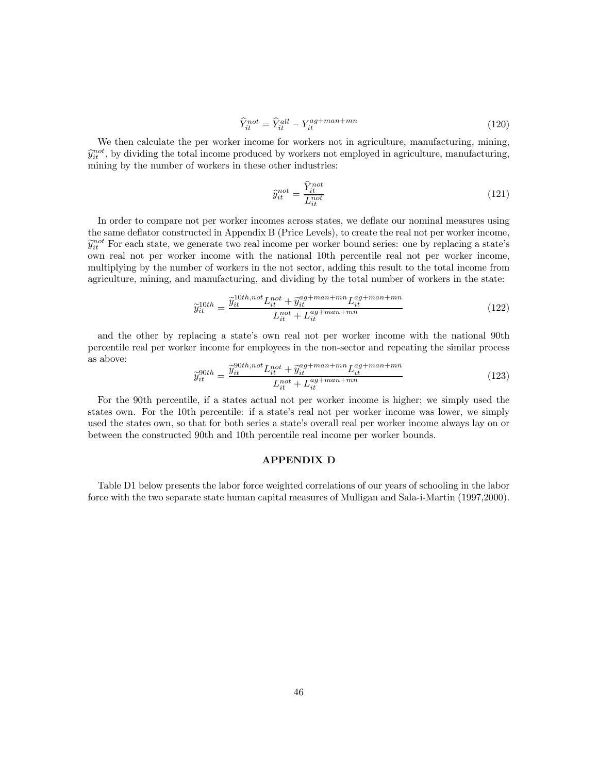$$
\widehat{Y}_{it}^{not} = \widehat{Y}_{it}^{all} - Y_{it}^{ag + man + mn}
$$
\n(120)

We then calculate the per worker income for workers not in agriculture, manufacturing, mining,  $\hat{y}_{it}^{not}$ , by dividing the total income produced by workers not employed in agriculture, manufacturing, mining by the number of workers in these other industries:

$$
\widehat{y}_{it}^{not} = \frac{\widehat{Y}_{it}^{not}}{L_{it}^{not}}\tag{121}
$$

In order to compare not per worker incomes across states, we deflate our nominal measures using the same deflator constructed in Appendix B (Price Levels), to create the real not per worker income,  $\hat{y}_{it}^{not}$  For each state, we generate two real income per worker bound series: one by replacing a state's own real not per worker income with the national 10th percentile real not per worker income, multiplying by the number of workers in the not sector, adding this result to the total income from agriculture, mining, and manufacturing, and dividing by the total number of workers in the state:

$$
\widetilde{y}_{it}^{10th} = \frac{\widetilde{y}_{it}^{10th, not} L_{it}^{not} + \widetilde{y}_{it}^{ag + man + mn} L_{it}^{ag + man + mn}}{L_{it}^{at} + L_{it}^{ag + man + mn}}
$$
\n(122)

and the other by replacing a state's own real not per worker income with the national 90th percentile real per worker income for employees in the non-sector and repeating the similar process as above:

$$
\widetilde{y}_{it}^{90th} = \frac{\widetilde{y}_{it}^{90th, not} L_{it}^{not} + \widetilde{y}_{it}^{ag + man + mn} L_{it}^{ag + man + mn}}{L_{it}^{ag + man + mn}}
$$
\n(123)

For the 90th percentile, if a states actual not per worker income is higher; we simply used the states own. For the 10th percentile: if a state's real not per worker income was lower, we simply used the states own, so that for both series a state's overall real per worker income always lay on or between the constructed 90th and 10th percentile real income per worker bounds.

#### APPENDIX D

Table D1 below presents the labor force weighted correlations of our years of schooling in the labor force with the two separate state human capital measures of Mulligan and Sala-i-Martin (1997,2000).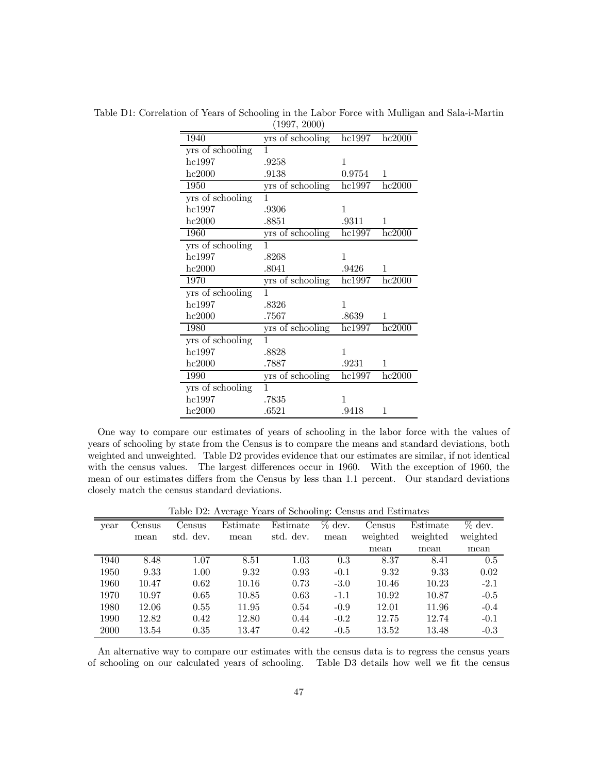|                  | 1001, 2000       |                              |                      |
|------------------|------------------|------------------------------|----------------------|
| 1940             | yrs of schooling | hc1997                       | hc2000               |
| yrs of schooling | 1                |                              |                      |
| hc1997           | .9258            | 1                            |                      |
| hc2000           | .9138            | 0.9754                       | 1                    |
| 1950             | yrs of schooling | $\overline{\text{hc}}$ 1997  | hc2000               |
| yrs of schooling | 1                |                              |                      |
| hc1997           | .9306            | 1                            |                      |
| hc2000           | .8851            | .9311                        | 1                    |
| 1960             | yrs of schooling | hc1997                       | hc2000               |
| yrs of schooling | 1                |                              |                      |
| hc1997           | .8268            | 1                            |                      |
| hc2000           | .8041            | .9426                        | 1                    |
| 1970             | yrs of schooling | $\overline{\mathrm{hc}1997}$ | $\overline{hc}$ 2000 |
| yrs of schooling | 1                |                              |                      |
| hc1997           | .8326            | 1                            |                      |
| hc2000           | .7567            | .8639                        | 1                    |
| 1980             | yrs of schooling | $\overline{\text{hc}}$ 1997  | hc2000               |
| yrs of schooling | 1                |                              |                      |
| hc1997           | .8828            | 1                            |                      |
| hc2000           | .7887            | .9231                        | 1                    |
| 1990             | yrs of schooling | hc1997                       | hc2000               |
| yrs of schooling | 1                |                              |                      |
| hc1997           | .7835            | 1                            |                      |
| hc2000           | .6521            | .9418                        | 1                    |

Table D1: Correlation of Years of Schooling in the Labor Force with Mulligan and Sala-i-Martin  $(1997, 2000)$ 

One way to compare our estimates of years of schooling in the labor force with the values of years of schooling by state from the Census is to compare the means and standard deviations, both weighted and unweighted. Table D2 provides evidence that our estimates are similar, if not identical with the census values. The largest differences occur in 1960. With the exception of 1960, the mean of our estimates differs from the Census by less than 1.1 percent. Our standard deviations closely match the census standard deviations.

Table D2: Average Years of Schooling: Census and Estimates

| year | Census | Census    | Estimate | Estimate  | $\%$ dev. | Census   | Estimate | $\%$ dev. |
|------|--------|-----------|----------|-----------|-----------|----------|----------|-----------|
|      | mean   | std. dev. | mean     | std. dev. | mean      | weighted | weighted | weighted  |
|      |        |           |          |           |           | mean     | mean     | mean      |
| 1940 | 8.48   | 1.07      | 8.51     | 1.03      | 0.3       | 8.37     | 8.41     | 0.5       |
| 1950 | 9.33   | 1.00      | 9.32     | 0.93      | $-0.1$    | 9.32     | 9.33     | 0.02      |
| 1960 | 10.47  | 0.62      | 10.16    | 0.73      | $-3.0$    | 10.46    | 10.23    | $-2.1$    |
| 1970 | 10.97  | 0.65      | 10.85    | 0.63      | $-1.1$    | 10.92    | 10.87    | $-0.5$    |
| 1980 | 12.06  | 0.55      | 11.95    | 0.54      | $-0.9$    | 12.01    | 11.96    | $-0.4$    |
| 1990 | 12.82  | 0.42      | 12.80    | 0.44      | $-0.2$    | 12.75    | 12.74    | $-0.1$    |
| 2000 | 13.54  | 0.35      | 13.47    | 0.42      | $-0.5$    | 13.52    | 13.48    | $-0.3$    |

An alternative way to compare our estimates with the census data is to regress the census years of schooling on our calculated years of schooling. Table D3 details how well we fit the census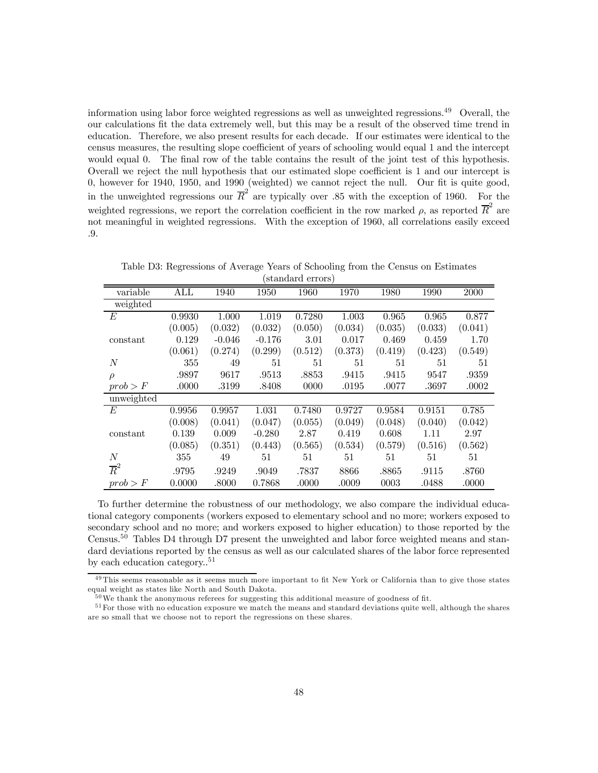information using labor force weighted regressions as well as unweighted regressions.<sup>49</sup> Overall, the our calculations fit the data extremely well, but this may be a result of the observed time trend in education. Therefore, we also present results for each decade. If our estimates were identical to the census measures, the resulting slope coefficient of years of schooling would equal 1 and the intercept would equal 0. The final row of the table contains the result of the joint test of this hypothesis. Overall we reject the null hypothesis that our estimated slope coefficient is 1 and our intercept is 0, however for 1940, 1950, and 1990 (weighted) we cannot reject the null. Our fit is quite good, in the unweighted regressions our  $\overline{R}^2$  are typically over .85 with the exception of 1960. For the weighted regressions, we report the correlation coefficient in the row marked  $\rho$ , as reported  $\overline{R}^2$  are not meaningful in weighted regressions. With the exception of 1960, all correlations easily exceed .9.

Table D3: Regressions of Average Years of Schooling from the Census on Estimates (standard errors)

|                  |                         |          |          | beandard orrors |         |         |         |         |
|------------------|-------------------------|----------|----------|-----------------|---------|---------|---------|---------|
| variable         | $\mathop{\mathrm{ALL}}$ | 1940     | 1950     | 1960            | 1970    | 1980    | 1990    | 2000    |
| weighted         |                         |          |          |                 |         |         |         |         |
| E                | 0.9930                  | 1.000    | 1.019    | 0.7280          | 1.003   | 0.965   | 0.965   | 0.877   |
|                  | (0.005)                 | (0.032)  | (0.032)  | (0.050)         | (0.034) | (0.035) | (0.033) | (0.041) |
| constant         | 0.129                   | $-0.046$ | $-0.176$ | 3.01            | 0.017   | 0.469   | 0.459   | 1.70    |
|                  | (0.061)                 | (0.274)  | (0.299)  | (0.512)         | (0.373) | (0.419) | (0.423) | (0.549) |
| $\overline{N}$   | 355                     | 49       | 51       | 51              | 51      | 51      | 51      | 51      |
| $\rho$           | .9897                   | 9617     | .9513    | .8853           | .9415   | .9415   | 9547    | .9359   |
| prob > F         | .0000                   | .3199    | .8408    | 0000            | .0195   | .0077   | .3697   | .0002   |
| unweighted       |                         |          |          |                 |         |         |         |         |
| E                | 0.9956                  | 0.9957   | 1.031    | 0.7480          | 0.9727  | 0.9584  | 0.9151  | 0.785   |
|                  | (0.008)                 | (0.041)  | (0.047)  | (0.055)         | (0.049) | (0.048) | (0.040) | (0.042) |
| constant         | 0.139                   | 0.009    | $-0.280$ | 2.87            | 0.419   | 0.608   | 1.11    | 2.97    |
|                  | (0.085)                 | (0.351)  | (0.443)  | (0.565)         | (0.534) | (0.579) | (0.516) | (0.562) |
| N                | 355                     | 49       | 51       | 51              | 51      | 51      | 51      | 51      |
| $\overline{R}^2$ | .9795                   | .9249    | .9049    | .7837           | 8866    | .8865   | .9115   | .8760   |
| prob > F         | 0.0000                  | .8000    | 0.7868   | .0000           | .0009   | 0003    | .0488   | .0000   |

To further determine the robustness of our methodology, we also compare the individual educational category components (workers exposed to elementary school and no more; workers exposed to secondary school and no more; and workers exposed to higher education) to those reported by the Census.<sup>50</sup> Tables D4 through D7 present the unweighted and labor force weighted means and standard deviations reported by the census as well as our calculated shares of the labor force represented by each education category.. $51$ 

<sup>&</sup>lt;sup>49</sup> This seems reasonable as it seems much more important to fit New York or California than to give those states equal weight as states like North and South Dakota.

<sup>&</sup>lt;sup>50</sup>We thank the anonymous referees for suggesting this additional measure of goodness of fit.

<sup>&</sup>lt;sup>51</sup> For those with no education exposure we match the means and standard deviations quite well, although the shares are so small that we choose not to report the regressions on these shares.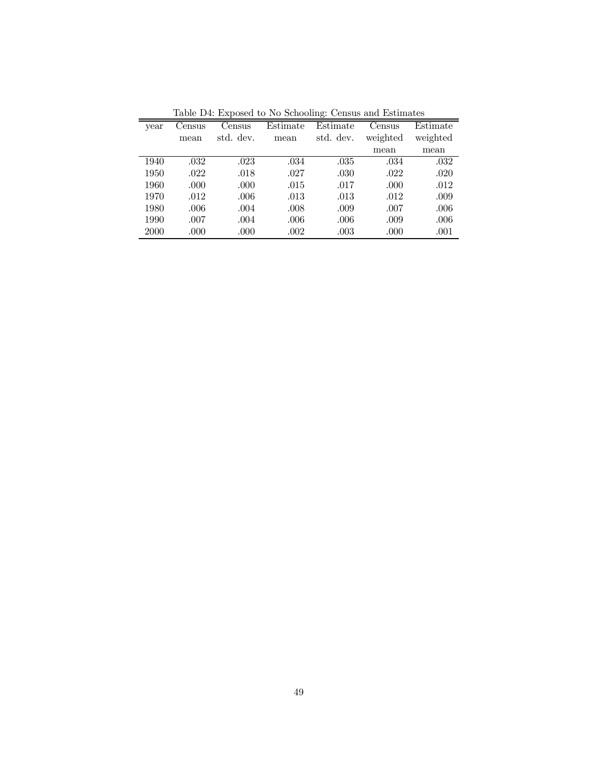| Table D4. Exposed to two schooling. Census and Estimates |        |           |          |           |          |          |  |
|----------------------------------------------------------|--------|-----------|----------|-----------|----------|----------|--|
| year                                                     | Census | Census    | Estimate | Estimate  | Census   | Estimate |  |
|                                                          | mean   | std. dev. | mean     | std. dev. | weighted | weighted |  |
|                                                          |        |           |          |           | mean     | mean     |  |
| 1940                                                     | .032   | .023      | .034     | .035      | .034     | .032     |  |
| 1950                                                     | .022   | .018      | .027     | .030      | .022     | .020     |  |
| 1960                                                     | .000   | .000      | .015     | .017      | .000     | .012     |  |
| 1970                                                     | .012   | .006      | .013     | .013      | .012     | .009     |  |
| 1980                                                     | .006   | .004      | .008     | .009      | .007     | .006     |  |
| 1990                                                     | .007   | .004      | .006     | .006      | .009     | .006     |  |
| 2000                                                     | .000   | .000      | .002     | .003      | .000     | .001     |  |

Table D4: Exposed to No Schooling: Census and Estimates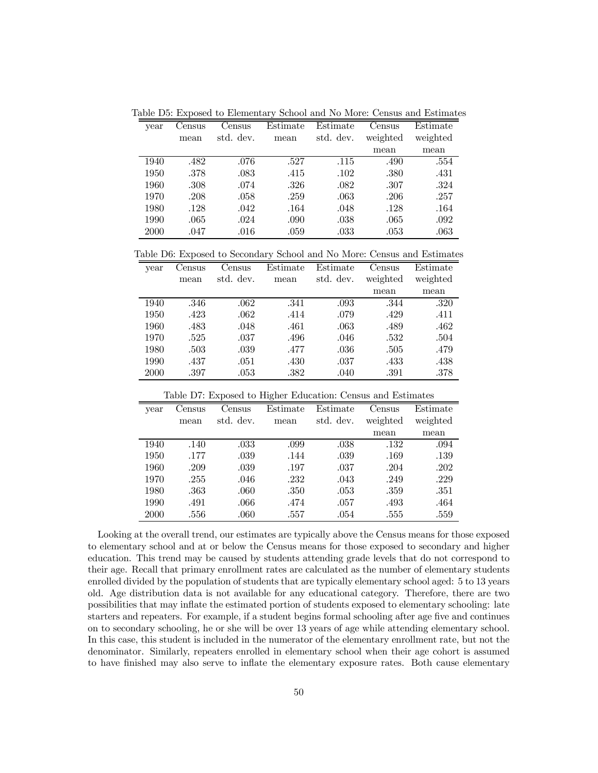Table D5: Exposed to Elementary School and No More: Census and Estimates

| year | Census | Census    | Estimate | Estimate  | Census   | Estimate |
|------|--------|-----------|----------|-----------|----------|----------|
|      | mean   | std. dev. | mean     | std. dev. | weighted | weighted |
|      |        |           |          |           | mean     | mean     |
| 1940 | .482   | .076      | .527     | .115      | .490     | .554     |
| 1950 | .378   | .083      | .415     | .102      | .380     | .431     |
| 1960 | .308   | .074      | .326     | .082      | .307     | .324     |
| 1970 | .208   | .058      | .259     | .063      | .206     | .257     |
| 1980 | .128   | .042      | .164     | .048      | .128     | .164     |
| 1990 | .065   | .024      | .090     | .038      | .065     | .092     |
| 2000 | .047   | .016      | .059     | .033      | .053     | .063     |

Table D6: Exposed to Secondary School and No More: Census and Estimates

| vear | Census | Census    | Estimate | Estimate  | Census   | Estimate |
|------|--------|-----------|----------|-----------|----------|----------|
|      | mean   | std. dev. | mean     | std. dev. | weighted | weighted |
|      |        |           |          |           | mean     | mean     |
| 1940 | .346   | .062      | .341     | .093      | .344     | .320     |
| 1950 | .423   | .062      | .414     | .079      | .429     | .411     |
| 1960 | .483   | .048      | .461     | .063      | .489     | .462     |
| 1970 | .525   | .037      | .496     | .046      | .532     | .504     |
| 1980 | .503   | .039      | .477     | .036      | .505     | .479     |
| 1990 | .437   | .051      | .430     | .037      | .433     | .438     |
| 2000 | .397   | .053      | .382     | .040      | .391     | .378     |

| Table D7: Exposed to Higher Education: Census and Estimates |                  |           |          |           |          |          |  |  |  |  |
|-------------------------------------------------------------|------------------|-----------|----------|-----------|----------|----------|--|--|--|--|
| year                                                        | Census<br>Census |           | Estimate | Estimate  | Census   | Estimate |  |  |  |  |
|                                                             | mean             | std. dev. | mean     | std. dev. | weighted | weighted |  |  |  |  |
|                                                             |                  |           |          |           | mean     | mean     |  |  |  |  |
| 1940                                                        | .140             | .033      | .099     | .038      | .132     | .094     |  |  |  |  |
| 1950                                                        | .177             | .039      | .144     | .039      | .169     | .139     |  |  |  |  |
| 1960                                                        | .209             | .039      | .197     | .037      | .204     | .202     |  |  |  |  |
| 1970                                                        | .255             | .046      | .232     | .043      | .249     | .229     |  |  |  |  |
| 1980                                                        | .363             | .060      | .350     | .053      | .359     | .351     |  |  |  |  |
| 1990                                                        | .491             | .066      | .474     | .057      | .493     | .464     |  |  |  |  |
| 2000                                                        | .556             | .060      | .557     | .054      | .555     | .559     |  |  |  |  |

Looking at the overall trend, our estimates are typically above the Census means for those exposed to elementary school and at or below the Census means for those exposed to secondary and higher education. This trend may be caused by students attending grade levels that do not correspond to their age. Recall that primary enrollment rates are calculated as the number of elementary students enrolled divided by the population of students that are typically elementary school aged: 5 to 13 years old. Age distribution data is not available for any educational category. Therefore, there are two possibilities that may inflate the estimated portion of students exposed to elementary schooling: late starters and repeaters. For example, if a student begins formal schooling after age five and continues on to secondary schooling, he or she will be over 13 years of age while attending elementary school. In this case, this student is included in the numerator of the elementary enrollment rate, but not the denominator. Similarly, repeaters enrolled in elementary school when their age cohort is assumed to have finished may also serve to inflate the elementary exposure rates. Both cause elementary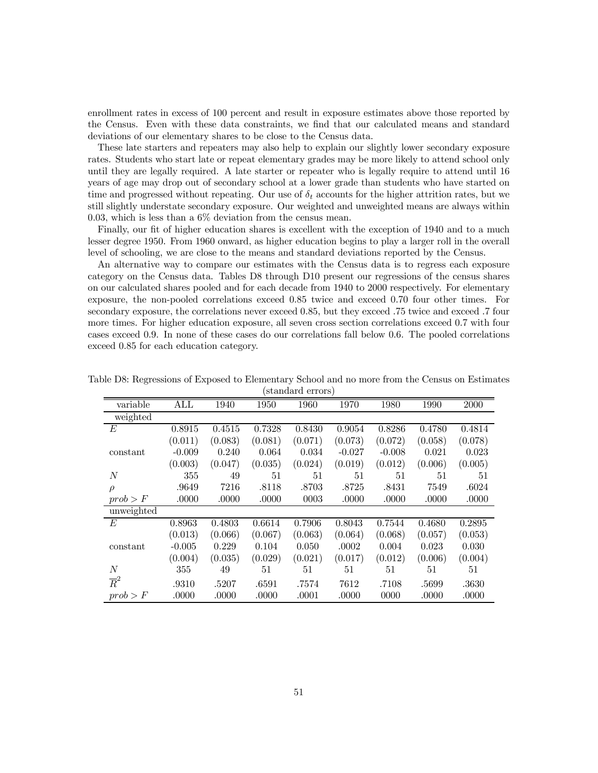enrollment rates in excess of 100 percent and result in exposure estimates above those reported by the Census. Even with these data constraints, we find that our calculated means and standard deviations of our elementary shares to be close to the Census data.

These late starters and repeaters may also help to explain our slightly lower secondary exposure rates. Students who start late or repeat elementary grades may be more likely to attend school only until they are legally required. A late starter or repeater who is legally require to attend until 16 years of age may drop out of secondary school at a lower grade than students who have started on time and progressed without repeating. Our use of  $\delta_t$  accounts for the higher attrition rates, but we still slightly understate secondary exposure. Our weighted and unweighted means are always within 0.03, which is less than a 6% deviation from the census mean.

Finally, our fit of higher education shares is excellent with the exception of 1940 and to a much lesser degree 1950. From 1960 onward, as higher education begins to play a larger roll in the overall level of schooling, we are close to the means and standard deviations reported by the Census.

An alternative way to compare our estimates with the Census data is to regress each exposure category on the Census data. Tables D8 through D10 present our regressions of the census shares on our calculated shares pooled and for each decade from 1940 to 2000 respectively. For elementary exposure, the non-pooled correlations exceed 0.85 twice and exceed 0.70 four other times. For secondary exposure, the correlations never exceed 0.85, but they exceed .75 twice and exceed .7 four more times. For higher education exposure, all seven cross section correlations exceed 0.7 with four cases exceed 0.9. In none of these cases do our correlations fall below 0.6. The pooled correlations exceed 0.85 for each education category.

| variable         | $\mathop{\mathrm{ALL}}$ | 1940    | 1950    | 1960    | 1970     | 1980     | 1990    | 2000    |
|------------------|-------------------------|---------|---------|---------|----------|----------|---------|---------|
| weighted         |                         |         |         |         |          |          |         |         |
| E                | 0.8915                  | 0.4515  | 0.7328  | 0.8430  | 0.9054   | 0.8286   | 0.4780  | 0.4814  |
|                  | (0.011)                 | (0.083) | (0.081) | (0.071) | (0.073)  | (0.072)  | (0.058) | (0.078) |
| constant         | $-0.009$                | 0.240   | 0.064   | 0.034   | $-0.027$ | $-0.008$ | 0.021   | 0.023   |
|                  | (0.003)                 | (0.047) | (0.035) | (0.024) | (0.019)  | (0.012)  | (0.006) | (0.005) |
| N                | 355                     | 49      | 51      | 51      | 51       | 51       | 51      | 51      |
| $\rho$           | .9649                   | 7216    | .8118   | .8703   | .8725    | .8431    | 7549    | .6024   |
| prob > F         | .0000                   | .0000   | .0000   | 0003    | .0000    | .0000    | .0000   | .0000   |
| unweighted       |                         |         |         |         |          |          |         |         |
| E                | 0.8963                  | 0.4803  | 0.6614  | 0.7906  | 0.8043   | 0.7544   | 0.4680  | 0.2895  |
|                  | (0.013)                 | (0.066) | (0.067) | (0.063) | (0.064)  | (0.068)  | (0.057) | (0.053) |
| constant         | $-0.005$                | 0.229   | 0.104   | 0.050   | .0002    | 0.004    | 0.023   | 0.030   |
|                  | (0.004)                 | (0.035) | (0.029) | (0.021) | (0.017)  | (0.012)  | (0.006) | (0.004) |
| N                | 355                     | 49      | 51      | 51      | 51       | 51       | 51      | 51      |
| $\overline{R}^2$ | .9310                   | .5207   | .6591   | .7574   | 7612     | .7108    | .5699   | .3630   |
| prob > F         | .0000                   | .0000   | .0000   | .0001   | .0000    | 0000     | .0000   | .0000   |

Table D8: Regressions of Exposed to Elementary School and no more from the Census on Estimates (standard errors)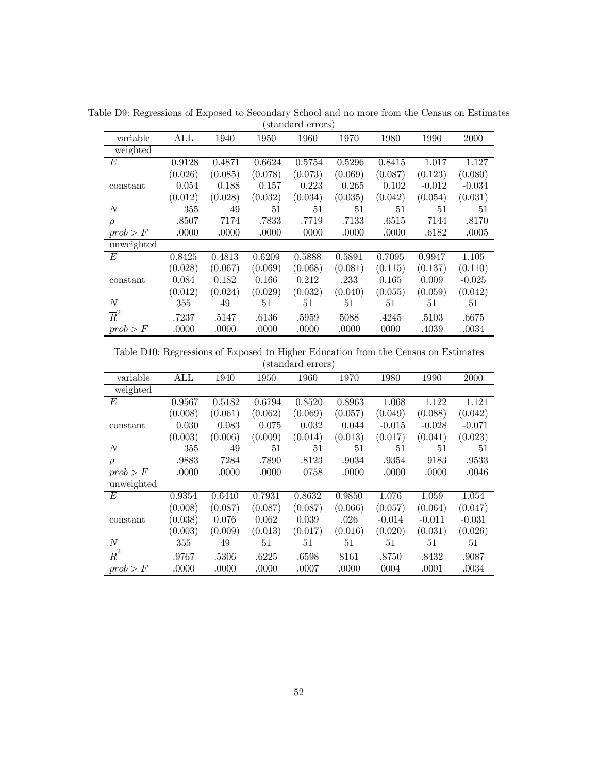| variable         | ALL     | 1940    | 1950    | 1960    | 1970    | 1980    | 1990     | 2000     |
|------------------|---------|---------|---------|---------|---------|---------|----------|----------|
| weighted         |         |         |         |         |         |         |          |          |
| E                | 0.9128  | 0.4871  | 0.6624  | 0.5754  | 0.5296  | 0.8415  | 1.017    | 1.127    |
|                  | (0.026) | (0.085) | (0.078) | (0.073) | (0.069) | (0.087) | (0.123)  | (0.080)  |
| constant         | 0.054   | 0.188   | 0.157   | 0.223   | 0.265   | 0.102   | $-0.012$ | $-0.034$ |
|                  | (0.012) | (0.028) | (0.032) | (0.034) | (0.035) | (0.042) | (0.054)  | (0.031)  |
| $\overline{N}$   | 355     | 49      | 51      | 51      | 51      | 51      | 51       | 51       |
| $\rho$           | .8507   | 7174    | .7833   | .7719   | .7133   | .6515   | 7144     | .8170    |
| prob > F         | .0000   | .0000   | .0000   | 0000    | .0000   | .0000   | .6182    | .0005    |
| unweighted       |         |         |         |         |         |         |          |          |
| E                | 0.8425  | 0.4813  | 0.6209  | 0.5888  | 0.5891  | 0.7095  | 0.9947   | 1.105    |
|                  | (0.028) | (0.067) | (0.069) | (0.068) | (0.081) | (0.115) | (0.137)  | (0.110)  |
| constant         | 0.084   | 0.182   | 0.166   | 0.212   | .233    | 0.165   | 0.009    | $-0.025$ |
|                  | (0.012) | (0.024) | (0.029) | (0.032) | (0.040) | (0.055) | (0.059)  | (0.042)  |
| $\overline{N}$   | 355     | 49      | 51      | 51      | 51      | 51      | 51       | 51       |
| $\overline{R}^2$ | .7237   | .5147   | .6136   | .5959   | 5088    | .4245   | .5103    | .6675    |
| prob > F         | .0000   | .0000   | .0000   | .0000   | .0000   | 0000    | .4039    | .0034    |

Table D9: Regressions of Exposed to Secondary School and no more from the Census on Estimates (standard errors)

Table D10: Regressions of Exposed to Higher Education from the Census on Estimates (standard errors)

| variable         | $\mathop{\mathrm{ALL}}$ | 1940    | 1950    | 1960    | 1970    | 1980     | 1990     | 2000     |
|------------------|-------------------------|---------|---------|---------|---------|----------|----------|----------|
| weighted         |                         |         |         |         |         |          |          |          |
| E                | 0.9567                  | 0.5182  | 0.6794  | 0.8520  | 0.8963  | 1.068    | 1.122    | 1.121    |
|                  | (0.008)                 | (0.061) | (0.062) | (0.069) | (0.057) | (0.049)  | (0.088)  | (0.042)  |
| constant         | 0.030                   | 0.083   | 0.075   | 0.032   | 0.044   | $-0.015$ | $-0.028$ | $-0.071$ |
|                  | (0.003)                 | (0.006) | (0.009) | (0.014) | (0.013) | (0.017)  | (0.041)  | (0.023)  |
| $\overline{N}$   | 355                     | 49      | 51      | 51      | 51      | 51       | 51       | 51       |
| $\rho$           | .9883                   | 7284    | .7890   | .8123   | .9034   | .9354    | 9183     | .9533    |
| prob > F         | .0000                   | .0000   | .0000   | 0758    | .0000   | .0000    | .0000    | .0046    |
| unweighted       |                         |         |         |         |         |          |          |          |
| E                | 0.9354                  | 0.6440  | 0.7931  | 0.8632  | 0.9850  | 1.076    | 1.059    | 1.054    |
|                  | (0.008)                 | (0.087) | (0.087) | (0.087) | (0.066) | (0.057)  | (0.064)  | (0.047)  |
| constant         | (0.038)                 | 0.076   | 0.062   | 0.039   | .026    | $-0.014$ | $-0.011$ | $-0.031$ |
|                  | (0.003)                 | (0.009) | (0.013) | (0.017) | (0.016) | (0.020)  | (0.031)  | (0.026)  |
| N                | 355                     | 49      | 51      | 51      | 51      | 51       | 51       | 51       |
| $\overline{R}^2$ | .9767                   | .5306   | .6225   | .6598   | 8161    | .8750    | .8432    | .9087    |
| prob > F         | .0000                   | .0000   | .0000   | .0007   | .0000   | 0004     | .0001    | .0034    |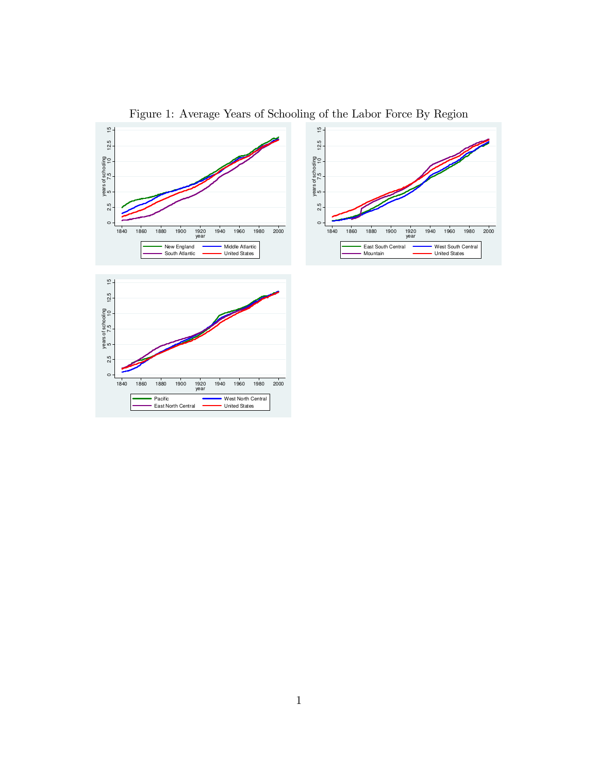

Figure 1: Average Years of Schooling of the Labor Force By Region

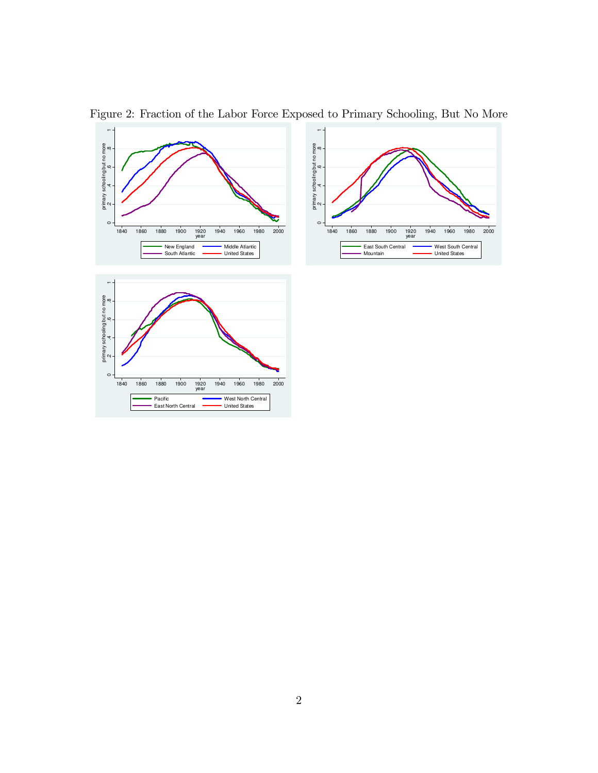



Figure 2: Fraction of the Labor Force Exposed to Primary Schooling, But No More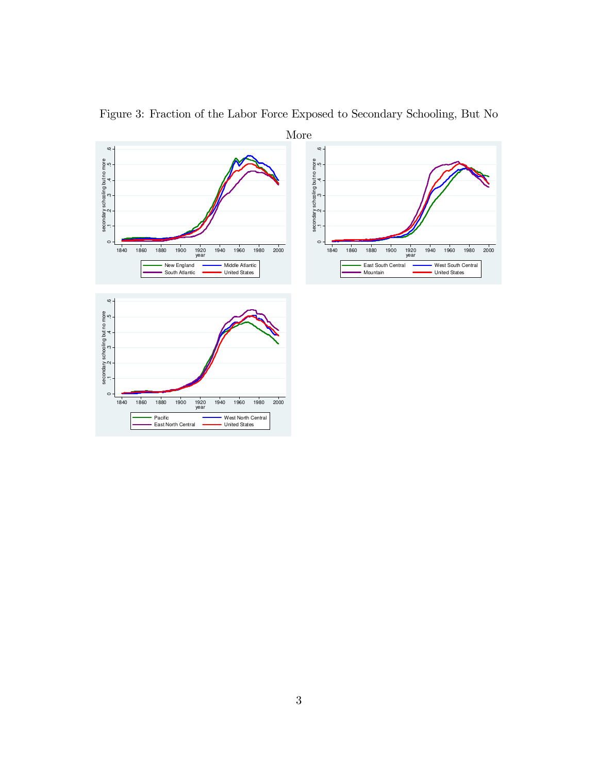

Figure 3: Fraction of the Labor Force Exposed to Secondary Schooling, But No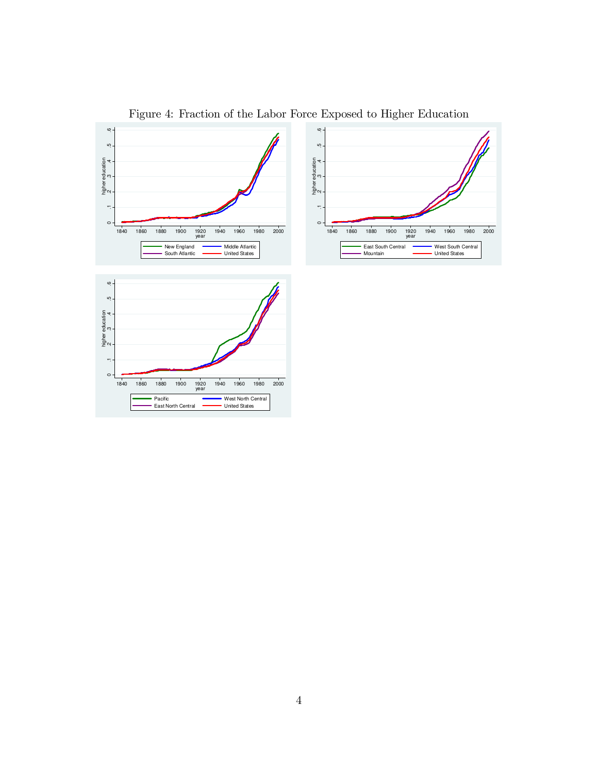

Figure 4: Fraction of the Labor Force Exposed to Higher Education

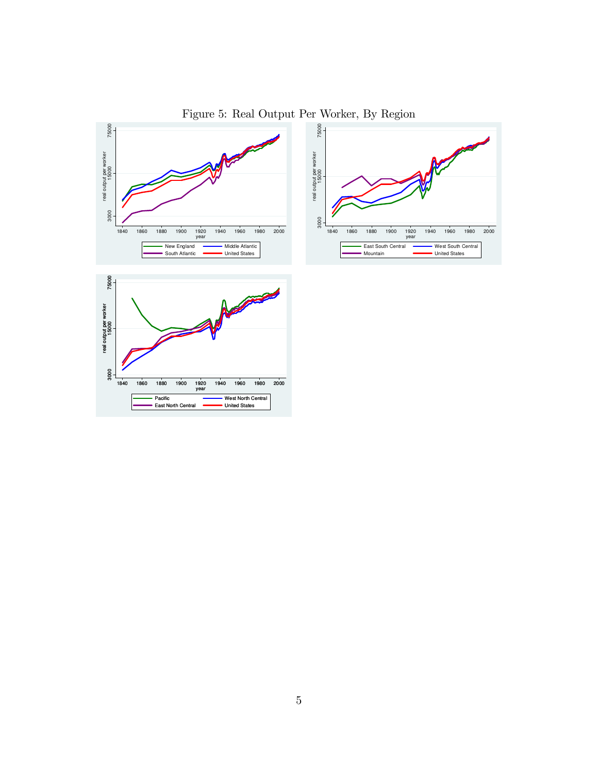

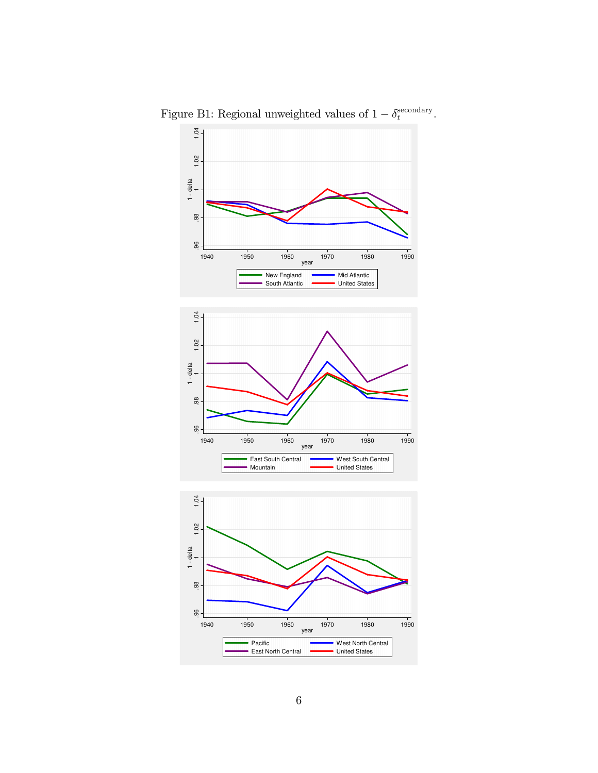

Figure B1: Regional unweighted values of  $1 - \delta_t^{\text{secondary}}$ .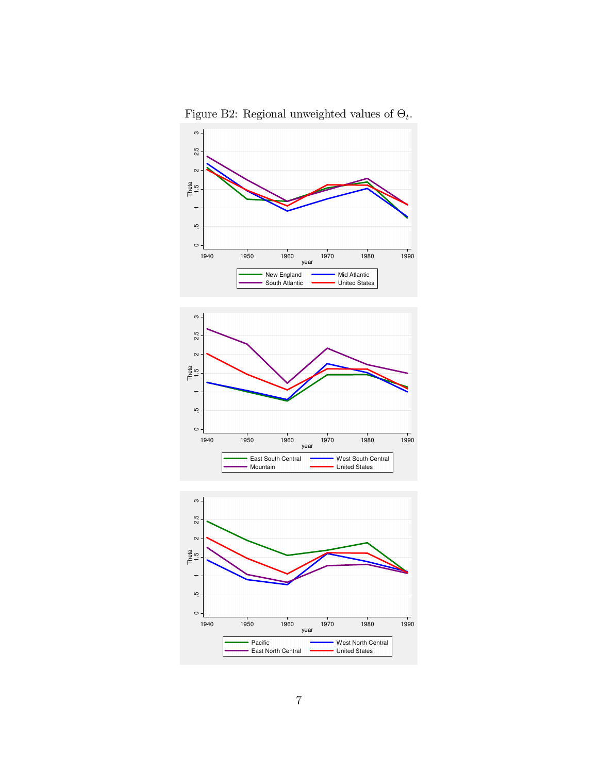

Figure B2: Regional unweighted values of  $\Theta_t$ .

Pacific<br>East North Central

1940 1950 1960 1970 1980 1990 year

**West North Central**<br>United States

 $\circ$ 

 $\overline{ }$ ŗÒ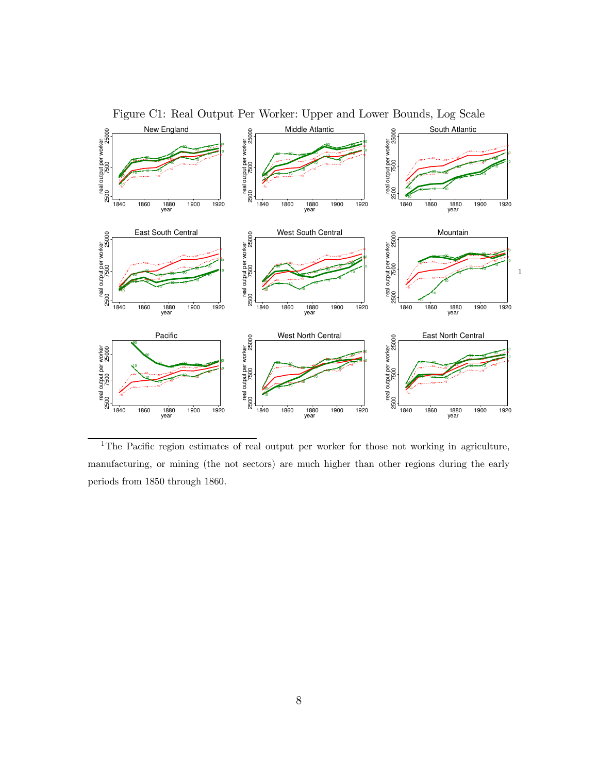

Figure C1: Real Output Per Worker: Upper and Lower Bounds, Log Scale

<sup>1</sup>The Pacific region estimates of real output per worker for those not working in agriculture, manufacturing, or mining (the not sectors) are much higher than other regions during the early periods from 1850 through 1860.